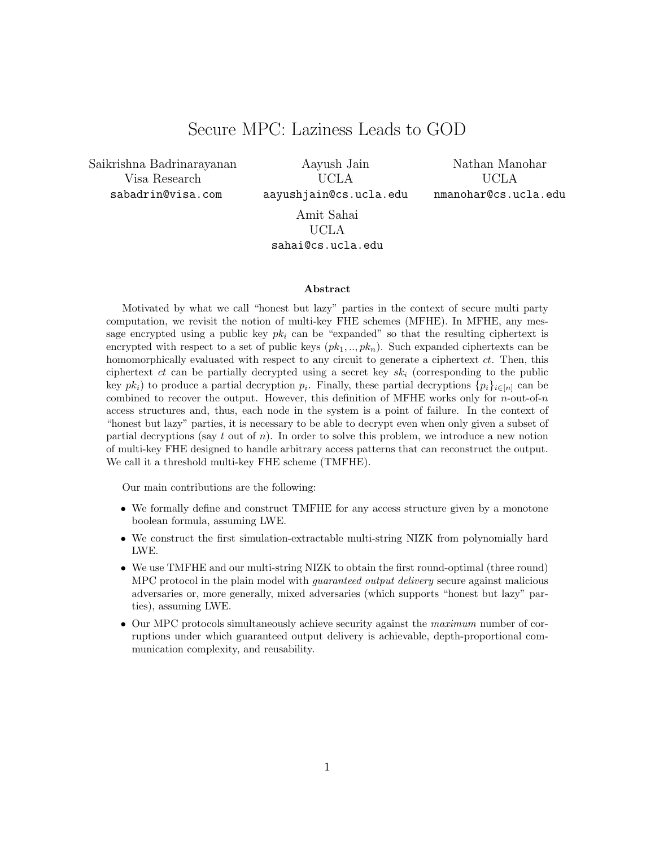# Secure MPC: Laziness Leads to GOD

<span id="page-0-0"></span>Saikrishna Badrinarayanan Visa Research sabadrin@visa.com

Aayush Jain UCLA aayushjain@cs.ucla.edu

Nathan Manohar UCLA nmanohar@cs.ucla.edu

Amit Sahai UCLA sahai@cs.ucla.edu

#### Abstract

Motivated by what we call "honest but lazy" parties in the context of secure multi party computation, we revisit the notion of multi-key FHE schemes (MFHE). In MFHE, any message encrypted using a public key  $pk_i$  can be "expanded" so that the resulting ciphertext is encrypted with respect to a set of public keys  $(pk_1, ..., pk_n)$ . Such expanded ciphertexts can be homomorphically evaluated with respect to any circuit to generate a ciphertext  $ct$ . Then, this ciphertext ct can be partially decrypted using a secret key  $sk_i$  (corresponding to the public key  $pk_i$ ) to produce a partial decryption  $p_i$ . Finally, these partial decryptions  $\{p_i\}_{i\in[n]}$  can be combined to recover the output. However, this definition of MFHE works only for *n*-out-of-*n* access structures and, thus, each node in the system is a point of failure. In the context of "honest but lazy" parties, it is necessary to be able to decrypt even when only given a subset of partial decryptions (say  $t$  out of  $n$ ). In order to solve this problem, we introduce a new notion of multi-key FHE designed to handle arbitrary access patterns that can reconstruct the output. We call it a threshold multi-key FHE scheme (TMFHE).

Our main contributions are the following:

- We formally define and construct TMFHE for any access structure given by a monotone boolean formula, assuming LWE.
- We construct the first simulation-extractable multi-string NIZK from polynomially hard LWE.
- We use TMFHE and our multi-string NIZK to obtain the first round-optimal (three round) MPC protocol in the plain model with *guaranteed output delivery* secure against malicious adversaries or, more generally, mixed adversaries (which supports "honest but lazy" parties), assuming LWE.
- Our MPC protocols simultaneously achieve security against the *maximum* number of corruptions under which guaranteed output delivery is achievable, depth-proportional communication complexity, and reusability.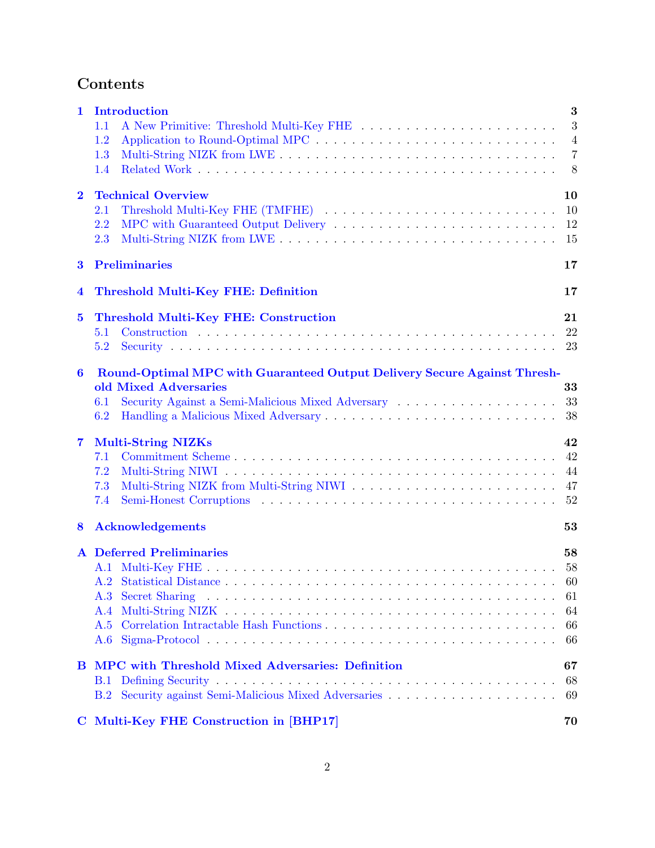# Contents

| $\mathbf{1}$            | Introduction                                                                                                                                                                                                                          | 3              |
|-------------------------|---------------------------------------------------------------------------------------------------------------------------------------------------------------------------------------------------------------------------------------|----------------|
|                         | 1.1                                                                                                                                                                                                                                   | 3              |
|                         | 1.2                                                                                                                                                                                                                                   | $\overline{4}$ |
|                         | 1.3                                                                                                                                                                                                                                   | $\overline{7}$ |
|                         | 1.4                                                                                                                                                                                                                                   | 8              |
| $\mathbf{2}$            | <b>Technical Overview</b>                                                                                                                                                                                                             | 10             |
|                         | 2.1                                                                                                                                                                                                                                   | 10             |
|                         | 2.2                                                                                                                                                                                                                                   | 12             |
|                         | 2.3                                                                                                                                                                                                                                   | 15             |
| $\bf{3}$                | <b>Preliminaries</b>                                                                                                                                                                                                                  | $17\,$         |
| 4                       | Threshold Multi-Key FHE: Definition                                                                                                                                                                                                   | 17             |
| $\bf{5}$                | <b>Threshold Multi-Key FHE: Construction</b>                                                                                                                                                                                          | 21             |
|                         | 5.1                                                                                                                                                                                                                                   |                |
|                         | 5.2                                                                                                                                                                                                                                   | 23             |
| $\boldsymbol{6}$        | <b>Round-Optimal MPC with Guaranteed Output Delivery Secure Against Thresh-</b>                                                                                                                                                       |                |
|                         | old Mixed Adversaries                                                                                                                                                                                                                 | 33             |
|                         | 6.1                                                                                                                                                                                                                                   | 33             |
|                         | 6.2                                                                                                                                                                                                                                   | 38             |
| $\overline{\mathbf{7}}$ | <b>Multi-String NIZKs</b>                                                                                                                                                                                                             | 42             |
|                         | 7.1                                                                                                                                                                                                                                   | 42             |
|                         | 7.2                                                                                                                                                                                                                                   | 44             |
|                         | 7.3                                                                                                                                                                                                                                   | 47             |
|                         | 7.4                                                                                                                                                                                                                                   | 52             |
| 8                       | <b>Acknowledgements</b>                                                                                                                                                                                                               | 53             |
|                         | <b>A</b> Deferred Preliminaries                                                                                                                                                                                                       | 58             |
|                         |                                                                                                                                                                                                                                       | 58             |
|                         |                                                                                                                                                                                                                                       | 60             |
|                         | Secret Sharing residence in the contract of the secret of the secret secret in the secret of the secret secret in the secret secret in the secret secret secret in the secret secret secret secret secret secret secret secret<br>A.3 | 61             |
|                         | A.4                                                                                                                                                                                                                                   | 64             |
|                         | A.5                                                                                                                                                                                                                                   | 66             |
|                         | A.6                                                                                                                                                                                                                                   | 66             |
| B                       | <b>MPC</b> with Threshold Mixed Adversaries: Definition                                                                                                                                                                               | 67             |
|                         | B.1                                                                                                                                                                                                                                   | 68             |
|                         | B.2                                                                                                                                                                                                                                   | 69             |
| U                       | Multi-Key FHE Construction in [BHP17]                                                                                                                                                                                                 | 70             |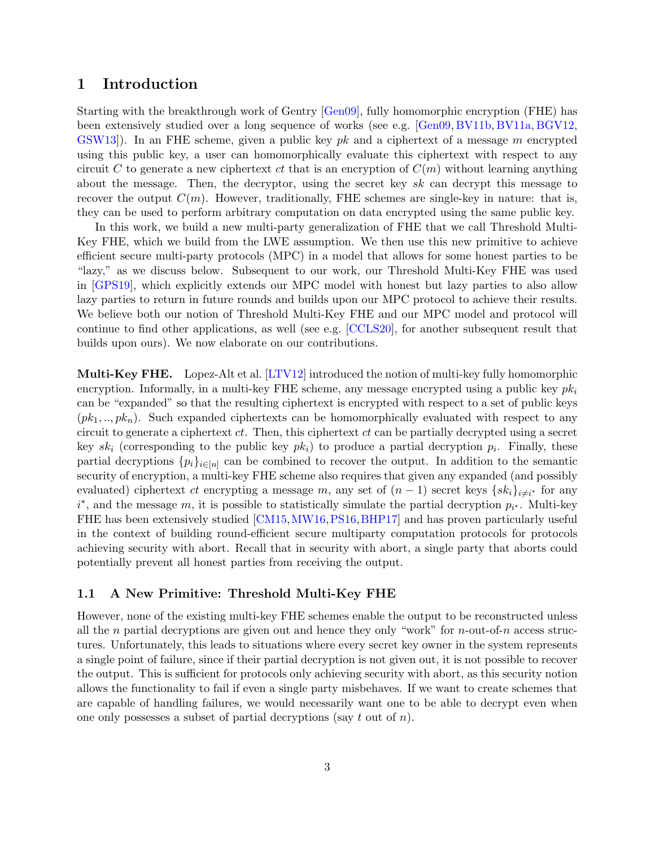### <span id="page-2-0"></span>1 Introduction

Starting with the breakthrough work of Gentry [\[Gen09\]](#page-55-0), fully homomorphic encryption (FHE) has been extensively studied over a long sequence of works (see e.g. [\[Gen09,](#page-55-0) [BV11b,](#page-53-1) [BV11a,](#page-53-2) [BGV12,](#page-53-3) [GSW13\]](#page-55-1)). In an FHE scheme, given a public key pk and a ciphertext of a message m encrypted using this public key, a user can homomorphically evaluate this ciphertext with respect to any circuit C to generate a new ciphertext ct that is an encryption of  $C(m)$  without learning anything about the message. Then, the decryptor, using the secret key  $sk$  can decrypt this message to recover the output  $C(m)$ . However, traditionally, FHE schemes are single-key in nature: that is, they can be used to perform arbitrary computation on data encrypted using the same public key.

In this work, we build a new multi-party generalization of FHE that we call Threshold Multi-Key FHE, which we build from the LWE assumption. We then use this new primitive to achieve efficient secure multi-party protocols (MPC) in a model that allows for some honest parties to be "lazy," as we discuss below. Subsequent to our work, our Threshold Multi-Key FHE was used in [\[GPS19\]](#page-55-2), which explicitly extends our MPC model with honest but lazy parties to also allow lazy parties to return in future rounds and builds upon our MPC protocol to achieve their results. We believe both our notion of Threshold Multi-Key FHE and our MPC model and protocol will continue to find other applications, as well (see e.g. [\[CCLS20\]](#page-54-0), for another subsequent result that builds upon ours). We now elaborate on our contributions.

Multi-Key FHE. Lopez-Alt et al. [\[LTV12\]](#page-56-0) introduced the notion of multi-key fully homomorphic encryption. Informally, in a multi-key FHE scheme, any message encrypted using a public key  $pk_i$ can be "expanded" so that the resulting ciphertext is encrypted with respect to a set of public keys  $(pk_1, ..., pk_n)$ . Such expanded ciphertexts can be homomorphically evaluated with respect to any circuit to generate a ciphertext ct. Then, this ciphertext ct can be partially decrypted using a secret key  $sk_i$  (corresponding to the public key  $pk_i$ ) to produce a partial decryption  $p_i$ . Finally, these partial decryptions  $\{p_i\}_{i\in[n]}$  can be combined to recover the output. In addition to the semantic security of encryption, a multi-key FHE scheme also requires that given any expanded (and possibly evaluated) ciphertext ct encrypting a message m, any set of  $(n-1)$  secret keys  $\{sk_i\}_{i\neq i^*}$  for any  $i^*$ , and the message m, it is possible to statistically simulate the partial decryption  $p_{i^*}$ . Multi-key FHE has been extensively studied [\[CM15,](#page-54-1) [MW16,](#page-56-1) [PS16,](#page-57-2) [BHP17\]](#page-53-0) and has proven particularly useful in the context of building round-efficient secure multiparty computation protocols for protocols achieving security with abort. Recall that in security with abort, a single party that aborts could potentially prevent all honest parties from receiving the output.

### <span id="page-2-1"></span>1.1 A New Primitive: Threshold Multi-Key FHE

However, none of the existing multi-key FHE schemes enable the output to be reconstructed unless all the  $n$  partial decryptions are given out and hence they only "work" for  $n$ -out-of- $n$  access structures. Unfortunately, this leads to situations where every secret key owner in the system represents a single point of failure, since if their partial decryption is not given out, it is not possible to recover the output. This is sufficient for protocols only achieving security with abort, as this security notion allows the functionality to fail if even a single party misbehaves. If we want to create schemes that are capable of handling failures, we would necessarily want one to be able to decrypt even when one only possesses a subset of partial decryptions (say t out of  $n$ ).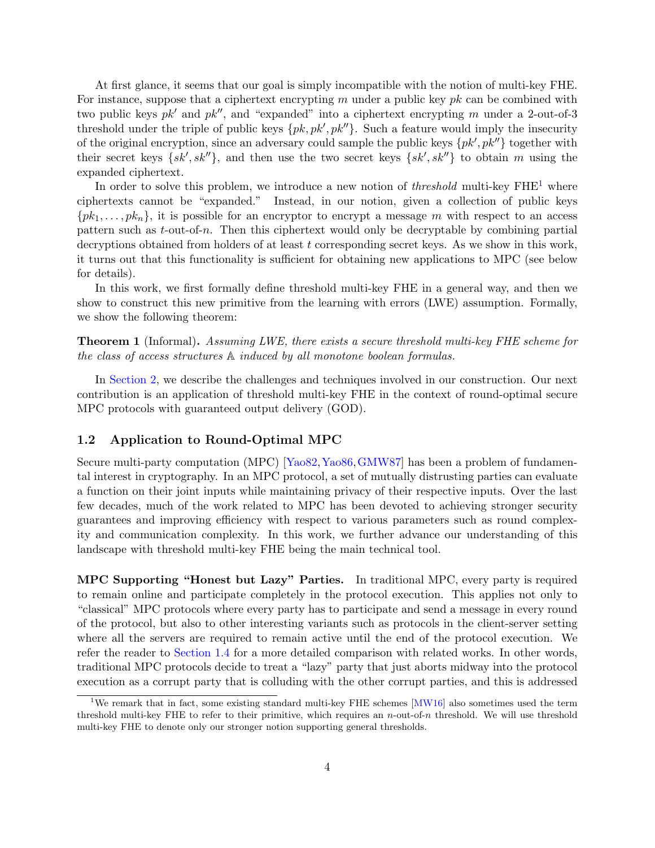At first glance, it seems that our goal is simply incompatible with the notion of multi-key FHE. For instance, suppose that a ciphertext encrypting  $m$  under a public key  $pk$  can be combined with two public keys pk' and pk'', and "expanded" into a ciphertext encrypting m under a 2-out-of-3 threshold under the triple of public keys  $\{pk, pk', pk''\}$ . Such a feature would imply the insecurity of the original encryption, since an adversary could sample the public keys  $\{pk', pk''\}$  together with their secret keys  $\{sk', sk''\}$ , and then use the two secret keys  $\{sk', sk''\}$  to obtain m using the expanded ciphertext.

In order to solve this problem, we introduce a new notion of *threshold* multi-key  $FHE<sup>1</sup>$  $FHE<sup>1</sup>$  $FHE<sup>1</sup>$  where ciphertexts cannot be "expanded." Instead, in our notion, given a collection of public keys  $\{pk_1, \ldots, pk_n\}$ , it is possible for an encryptor to encrypt a message m with respect to an access pattern such as  $t$ -out-of-n. Then this ciphertext would only be decryptable by combining partial decryptions obtained from holders of at least t corresponding secret keys. As we show in this work, it turns out that this functionality is sufficient for obtaining new applications to MPC (see below for details).

In this work, we first formally define threshold multi-key FHE in a general way, and then we show to construct this new primitive from the learning with errors (LWE) assumption. Formally, we show the following theorem:

**Theorem 1** (Informal). Assuming LWE, there exists a secure threshold multi-key FHE scheme for the class of access structures A induced by all monotone boolean formulas.

In [Section 2,](#page-9-0) we describe the challenges and techniques involved in our construction. Our next contribution is an application of threshold multi-key FHE in the context of round-optimal secure MPC protocols with guaranteed output delivery (GOD).

### <span id="page-3-0"></span>1.2 Application to Round-Optimal MPC

Secure multi-party computation (MPC) [\[Yao82,](#page-57-3) [Yao86,](#page-57-4) [GMW87\]](#page-55-3) has been a problem of fundamental interest in cryptography. In an MPC protocol, a set of mutually distrusting parties can evaluate a function on their joint inputs while maintaining privacy of their respective inputs. Over the last few decades, much of the work related to MPC has been devoted to achieving stronger security guarantees and improving efficiency with respect to various parameters such as round complexity and communication complexity. In this work, we further advance our understanding of this landscape with threshold multi-key FHE being the main technical tool.

MPC Supporting "Honest but Lazy" Parties. In traditional MPC, every party is required to remain online and participate completely in the protocol execution. This applies not only to "classical" MPC protocols where every party has to participate and send a message in every round of the protocol, but also to other interesting variants such as protocols in the client-server setting where all the servers are required to remain active until the end of the protocol execution. We refer the reader to [Section 1.4](#page-7-0) for a more detailed comparison with related works. In other words, traditional MPC protocols decide to treat a "lazy" party that just aborts midway into the protocol execution as a corrupt party that is colluding with the other corrupt parties, and this is addressed

<sup>&</sup>lt;sup>1</sup>We remark that in fact, some existing standard multi-key FHE schemes [\[MW16\]](#page-56-1) also sometimes used the term threshold multi-key FHE to refer to their primitive, which requires an n-out-of-n threshold. We will use threshold multi-key FHE to denote only our stronger notion supporting general thresholds.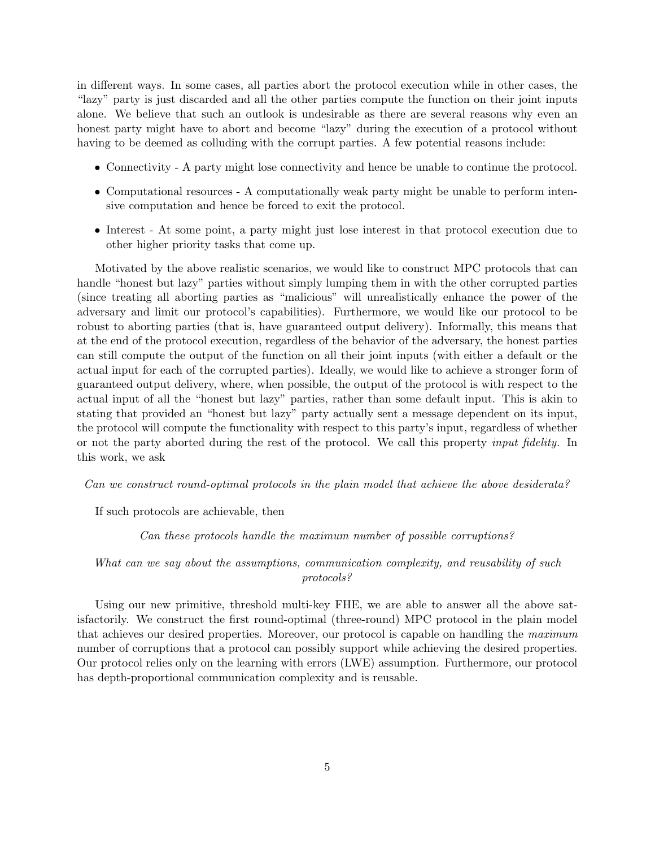in different ways. In some cases, all parties abort the protocol execution while in other cases, the "lazy" party is just discarded and all the other parties compute the function on their joint inputs alone. We believe that such an outlook is undesirable as there are several reasons why even an honest party might have to abort and become "lazy" during the execution of a protocol without having to be deemed as colluding with the corrupt parties. A few potential reasons include:

- Connectivity A party might lose connectivity and hence be unable to continue the protocol.
- Computational resources A computationally weak party might be unable to perform intensive computation and hence be forced to exit the protocol.
- Interest At some point, a party might just lose interest in that protocol execution due to other higher priority tasks that come up.

Motivated by the above realistic scenarios, we would like to construct MPC protocols that can handle "honest but lazy" parties without simply lumping them in with the other corrupted parties (since treating all aborting parties as "malicious" will unrealistically enhance the power of the adversary and limit our protocol's capabilities). Furthermore, we would like our protocol to be robust to aborting parties (that is, have guaranteed output delivery). Informally, this means that at the end of the protocol execution, regardless of the behavior of the adversary, the honest parties can still compute the output of the function on all their joint inputs (with either a default or the actual input for each of the corrupted parties). Ideally, we would like to achieve a stronger form of guaranteed output delivery, where, when possible, the output of the protocol is with respect to the actual input of all the "honest but lazy" parties, rather than some default input. This is akin to stating that provided an "honest but lazy" party actually sent a message dependent on its input, the protocol will compute the functionality with respect to this party's input, regardless of whether or not the party aborted during the rest of the protocol. We call this property input fidelity. In this work, we ask

Can we construct round-optimal protocols in the plain model that achieve the above desiderata?

If such protocols are achievable, then

Can these protocols handle the maximum number of possible corruptions?

What can we say about the assumptions, communication complexity, and reusability of such protocols?

Using our new primitive, threshold multi-key FHE, we are able to answer all the above satisfactorily. We construct the first round-optimal (three-round) MPC protocol in the plain model that achieves our desired properties. Moreover, our protocol is capable on handling the maximum number of corruptions that a protocol can possibly support while achieving the desired properties. Our protocol relies only on the learning with errors (LWE) assumption. Furthermore, our protocol has depth-proportional communication complexity and is reusable.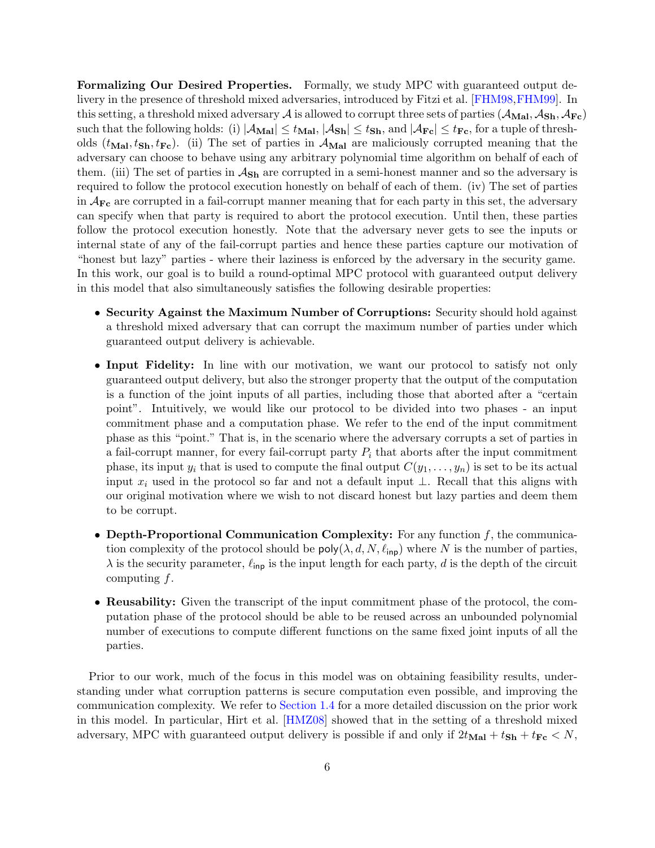Formalizing Our Desired Properties. Formally, we study MPC with guaranteed output delivery in the presence of threshold mixed adversaries, introduced by Fitzi et al. [\[FHM98,](#page-54-2)[FHM99\]](#page-54-3). In this setting, a threshold mixed adversary A is allowed to corrupt three sets of parties  $(A_{\text{Mal}}, A_{\text{Sh}}, A_{\text{Fc}})$ such that the following holds: (i)  $|\mathcal{A}_{\text{Mal}}| \le t_{\text{Mal}}, |\mathcal{A}_{\text{Sh}}| \le t_{\text{Sh}},$  and  $|\mathcal{A}_{\text{Fc}}| \le t_{\text{Fc}},$  for a tuple of thresholds  $(t_{\text{Mal}}, t_{\text{Sh}}, t_{\text{Fc}})$ . (ii) The set of parties in  $\mathcal{A}_{\text{Mal}}$  are maliciously corrupted meaning that the adversary can choose to behave using any arbitrary polynomial time algorithm on behalf of each of them. (iii) The set of parties in  $A_{\rm Sh}$  are corrupted in a semi-honest manner and so the adversary is required to follow the protocol execution honestly on behalf of each of them. (iv) The set of parties in  $A_{\text{Fc}}$  are corrupted in a fail-corrupt manner meaning that for each party in this set, the adversary can specify when that party is required to abort the protocol execution. Until then, these parties follow the protocol execution honestly. Note that the adversary never gets to see the inputs or internal state of any of the fail-corrupt parties and hence these parties capture our motivation of "honest but lazy" parties - where their laziness is enforced by the adversary in the security game. In this work, our goal is to build a round-optimal MPC protocol with guaranteed output delivery in this model that also simultaneously satisfies the following desirable properties:

- Security Against the Maximum Number of Corruptions: Security should hold against a threshold mixed adversary that can corrupt the maximum number of parties under which guaranteed output delivery is achievable.
- Input Fidelity: In line with our motivation, we want our protocol to satisfy not only guaranteed output delivery, but also the stronger property that the output of the computation is a function of the joint inputs of all parties, including those that aborted after a "certain point". Intuitively, we would like our protocol to be divided into two phases - an input commitment phase and a computation phase. We refer to the end of the input commitment phase as this "point." That is, in the scenario where the adversary corrupts a set of parties in a fail-corrupt manner, for every fail-corrupt party  $P_i$  that aborts after the input commitment phase, its input  $y_i$  that is used to compute the final output  $C(y_1, \ldots, y_n)$  is set to be its actual input  $x_i$  used in the protocol so far and not a default input  $\perp$ . Recall that this aligns with our original motivation where we wish to not discard honest but lazy parties and deem them to be corrupt.
- Depth-Proportional Communication Complexity: For any function  $f$ , the communication complexity of the protocol should be  $\text{poly}(\lambda, d, N, \ell_{\text{inp}})$  where N is the number of parties,  $\lambda$  is the security parameter,  $\ell_{\text{inp}}$  is the input length for each party, d is the depth of the circuit computing f.
- Reusability: Given the transcript of the input commitment phase of the protocol, the computation phase of the protocol should be able to be reused across an unbounded polynomial number of executions to compute different functions on the same fixed joint inputs of all the parties.

Prior to our work, much of the focus in this model was on obtaining feasibility results, understanding under what corruption patterns is secure computation even possible, and improving the communication complexity. We refer to [Section 1.4](#page-7-0) for a more detailed discussion on the prior work in this model. In particular, Hirt et al. [\[HMZ08\]](#page-56-2) showed that in the setting of a threshold mixed adversary, MPC with guaranteed output delivery is possible if and only if  $2t_{\text{Mal}} + t_{\text{Sh}} + t_{\text{Fc}} < N$ ,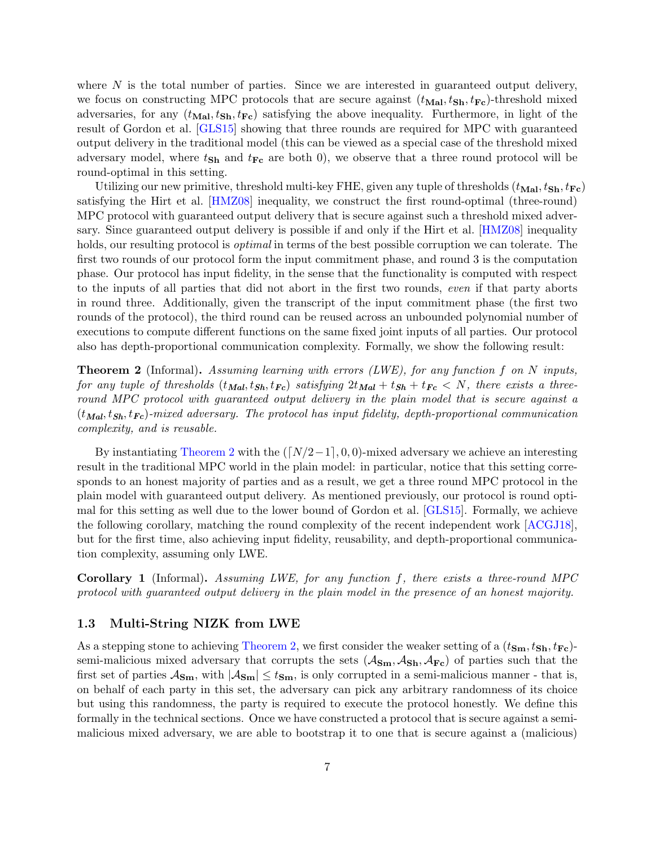where  $N$  is the total number of parties. Since we are interested in guaranteed output delivery, we focus on constructing MPC protocols that are secure against  $(t_{\text{Mal}}, t_{\text{Sh}}, t_{\text{Fc}})$ -threshold mixed adversaries, for any  $(t_{\text{Mal}}, t_{\text{Sh}}, t_{\text{Fc}})$  satisfying the above inequality. Furthermore, in light of the result of Gordon et al. [\[GLS15\]](#page-55-4) showing that three rounds are required for MPC with guaranteed output delivery in the traditional model (this can be viewed as a special case of the threshold mixed adversary model, where  $t_{\rm Sh}$  and  $t_{\rm Fc}$  are both 0), we observe that a three round protocol will be round-optimal in this setting.

Utilizing our new primitive, threshold multi-key FHE, given any tuple of thresholds  $(t_{\text{Mal}}, t_{\text{Sh}}, t_{\text{Fc}})$ satisfying the Hirt et al. [\[HMZ08\]](#page-56-2) inequality, we construct the first round-optimal (three-round) MPC protocol with guaranteed output delivery that is secure against such a threshold mixed adversary. Since guaranteed output delivery is possible if and only if the Hirt et al. [\[HMZ08\]](#page-56-2) inequality holds, our resulting protocol is *optimal* in terms of the best possible corruption we can tolerate. The first two rounds of our protocol form the input commitment phase, and round 3 is the computation phase. Our protocol has input fidelity, in the sense that the functionality is computed with respect to the inputs of all parties that did not abort in the first two rounds, even if that party aborts in round three. Additionally, given the transcript of the input commitment phase (the first two rounds of the protocol), the third round can be reused across an unbounded polynomial number of executions to compute different functions on the same fixed joint inputs of all parties. Our protocol also has depth-proportional communication complexity. Formally, we show the following result:

<span id="page-6-1"></span>**Theorem 2** (Informal). Assuming learning with errors (LWE), for any function f on N inputs, for any tuple of thresholds  $(t_{\text{Mal}}, t_{\text{Sh}}, t_{\text{Fc}})$  satisfying  $2t_{\text{Mal}} + t_{\text{Sh}} + t_{\text{Fc}} < N$ , there exists a threeround MPC protocol with guaranteed output delivery in the plain model that is secure against a  $(t_{\text{Mal}}, t_{\text{Sh}}, t_{\text{Fc}})$ -mixed adversary. The protocol has input fidelity, depth-proportional communication complexity, and is reusable.

By instantiating [Theorem 2](#page-6-1) with the  $([N/2-1], 0, 0)$ -mixed adversary we achieve an interesting result in the traditional MPC world in the plain model: in particular, notice that this setting corresponds to an honest majority of parties and as a result, we get a three round MPC protocol in the plain model with guaranteed output delivery. As mentioned previously, our protocol is round optimal for this setting as well due to the lower bound of Gordon et al. [\[GLS15\]](#page-55-4). Formally, we achieve the following corollary, matching the round complexity of the recent independent work [\[ACGJ18\]](#page-52-1), but for the first time, also achieving input fidelity, reusability, and depth-proportional communication complexity, assuming only LWE.

<span id="page-6-2"></span>Corollary 1 (Informal). Assuming LWE, for any function f, there exists a three-round MPC protocol with guaranteed output delivery in the plain model in the presence of an honest majority.

### <span id="page-6-0"></span>1.3 Multi-String NIZK from LWE

As a stepping stone to achieving [Theorem 2,](#page-6-1) we first consider the weaker setting of a  $(t_{\rm Sm}, t_{\rm Sk}, t_{\rm Fe})$ semi-malicious mixed adversary that corrupts the sets  $(A_{\rm Sm}, A_{\rm Sh}, A_{\rm Fe})$  of parties such that the first set of parties  $\mathcal{A}_{\mathbf{Sm}}$ , with  $|\mathcal{A}_{\mathbf{Sm}}| \leq t_{\mathbf{Sm}}$ , is only corrupted in a semi-malicious manner - that is, on behalf of each party in this set, the adversary can pick any arbitrary randomness of its choice but using this randomness, the party is required to execute the protocol honestly. We define this formally in the technical sections. Once we have constructed a protocol that is secure against a semimalicious mixed adversary, we are able to bootstrap it to one that is secure against a (malicious)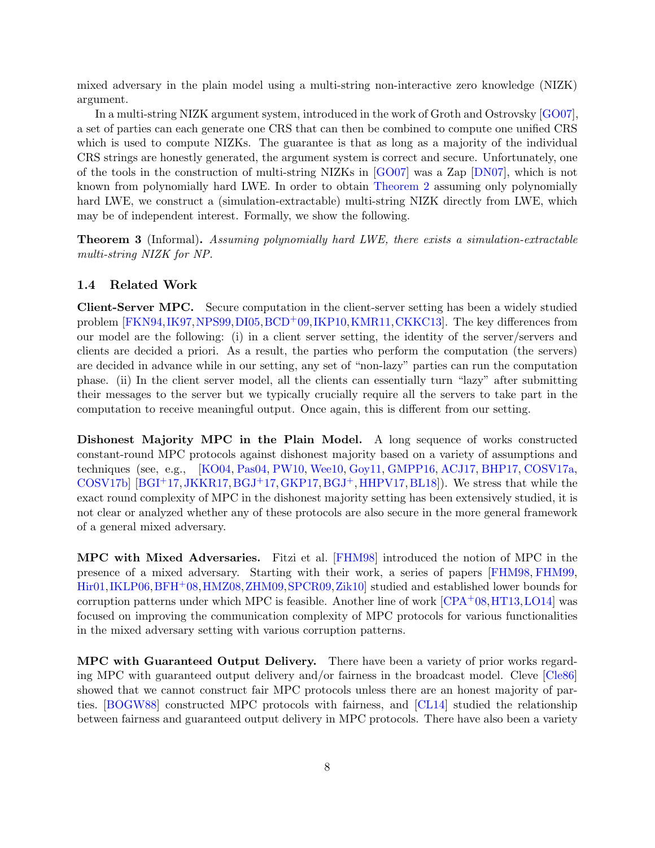mixed adversary in the plain model using a multi-string non-interactive zero knowledge (NIZK) argument.

In a multi-string NIZK argument system, introduced in the work of Groth and Ostrovsky [\[GO07\]](#page-55-5), a set of parties can each generate one CRS that can then be combined to compute one unified CRS which is used to compute NIZKs. The guarantee is that as long as a majority of the individual CRS strings are honestly generated, the argument system is correct and secure. Unfortunately, one of the tools in the construction of multi-string NIZKs in [\[GO07\]](#page-55-5) was a Zap [\[DN07\]](#page-54-4), which is not known from polynomially hard LWE. In order to obtain [Theorem 2](#page-6-1) assuming only polynomially hard LWE, we construct a (simulation-extractable) multi-string NIZK directly from LWE, which may be of independent interest. Formally, we show the following.

Theorem 3 (Informal). Assuming polynomially hard LWE, there exists a simulation-extractable multi-string NIZK for NP.

### <span id="page-7-0"></span>1.4 Related Work

Client-Server MPC. Secure computation in the client-server setting has been a widely studied problem [\[FKN94,](#page-54-5)[IK97,](#page-56-3)[NPS99,](#page-56-4)[DI05,](#page-54-6)[BCD](#page-52-2)+09[,IKP10,](#page-56-5)[KMR11,](#page-56-6)[CKKC13\]](#page-54-7). The key differences from our model are the following: (i) in a client server setting, the identity of the server/servers and clients are decided a priori. As a result, the parties who perform the computation (the servers) are decided in advance while in our setting, any set of "non-lazy" parties can run the computation phase. (ii) In the client server model, all the clients can essentially turn "lazy" after submitting their messages to the server but we typically crucially require all the servers to take part in the computation to receive meaningful output. Once again, this is different from our setting.

Dishonest Majority MPC in the Plain Model. A long sequence of works constructed constant-round MPC protocols against dishonest majority based on a variety of assumptions and techniques (see, e.g., [\[KO04,](#page-56-7) [Pas04,](#page-57-5) [PW10,](#page-57-6) [Wee10,](#page-57-7) [Goy11,](#page-55-6) [GMPP16,](#page-55-7) [ACJ17,](#page-52-3) [BHP17,](#page-53-0) [COSV17a,](#page-54-8) [COSV17b\]](#page-54-9) [\[BGI](#page-53-4)+17, [JKKR17,](#page-56-8)[BGJ](#page-53-5)+17,[GKP17,](#page-55-8)[BGJ](#page-53-6)+,[HHPV17,](#page-55-9)[BL18\]](#page-53-7)). We stress that while the exact round complexity of MPC in the dishonest majority setting has been extensively studied, it is not clear or analyzed whether any of these protocols are also secure in the more general framework of a general mixed adversary.

MPC with Mixed Adversaries. Fitzi et al. [\[FHM98\]](#page-54-2) introduced the notion of MPC in the presence of a mixed adversary. Starting with their work, a series of papers [\[FHM98,](#page-54-2) [FHM99,](#page-54-3) [Hir01,](#page-55-10)[IKLP06,](#page-56-9)[BFH](#page-52-4)+08,[HMZ08,](#page-56-2)[ZHM09,](#page-57-8)[SPCR09,](#page-57-9)[Zik10\]](#page-57-10) studied and established lower bounds for corruption patterns under which MPC is feasible. Another line of work  $[CPA<sup>+</sup>08, HT13, LO14]$  $[CPA<sup>+</sup>08, HT13, LO14]$  $[CPA<sup>+</sup>08, HT13, LO14]$  was focused on improving the communication complexity of MPC protocols for various functionalities in the mixed adversary setting with various corruption patterns.

MPC with Guaranteed Output Delivery. There have been a variety of prior works regarding MPC with guaranteed output delivery and/or fairness in the broadcast model. Cleve [\[Cle86\]](#page-54-11) showed that we cannot construct fair MPC protocols unless there are an honest majority of parties. [\[BOGW88\]](#page-53-8) constructed MPC protocols with fairness, and [\[CL14\]](#page-54-12) studied the relationship between fairness and guaranteed output delivery in MPC protocols. There have also been a variety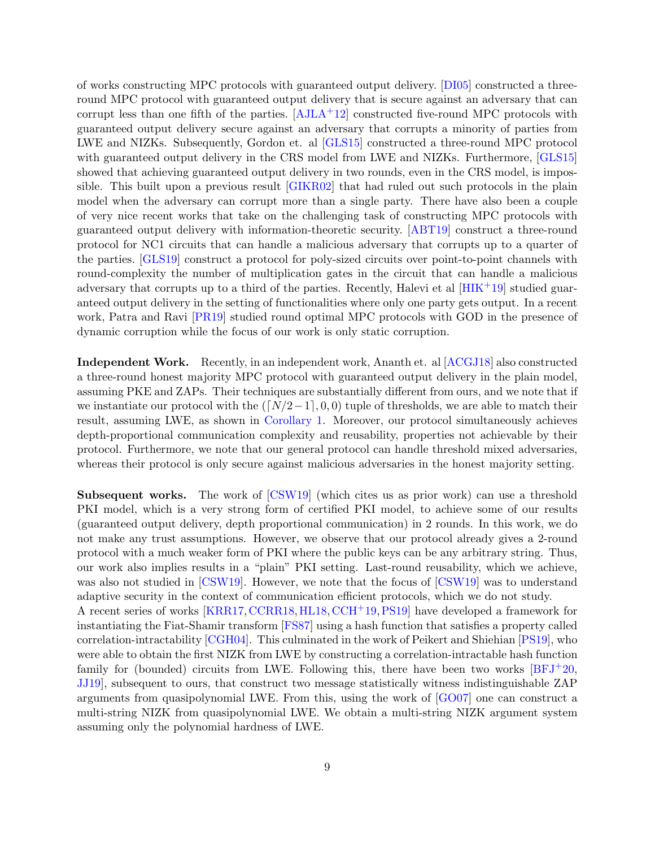of works constructing MPC protocols with guaranteed output delivery. [\[DI05\]](#page-54-6) constructed a threeround MPC protocol with guaranteed output delivery that is secure against an adversary that can corrupt less than one fifth of the parties.  $[AJLA+12]$  $[AJLA+12]$  constructed five-round MPC protocols with guaranteed output delivery secure against an adversary that corrupts a minority of parties from LWE and NIZKs. Subsequently, Gordon et. al [\[GLS15\]](#page-55-4) constructed a three-round MPC protocol with guaranteed output delivery in the CRS model from LWE and NIZKs. Furthermore, [\[GLS15\]](#page-55-4) showed that achieving guaranteed output delivery in two rounds, even in the CRS model, is impossible. This built upon a previous result [\[GIKR02\]](#page-55-11) that had ruled out such protocols in the plain model when the adversary can corrupt more than a single party. There have also been a couple of very nice recent works that take on the challenging task of constructing MPC protocols with guaranteed output delivery with information-theoretic security. [\[ABT19\]](#page-52-6) construct a three-round protocol for NC1 circuits that can handle a malicious adversary that corrupts up to a quarter of the parties. [\[GLS19\]](#page-55-12) construct a protocol for poly-sized circuits over point-to-point channels with round-complexity the number of multiplication gates in the circuit that can handle a malicious adversary that corrupts up to a third of the parties. Recently, Halevi et al  $[HIK^+19]$  $[HIK^+19]$  studied guaranteed output delivery in the setting of functionalities where only one party gets output. In a recent work, Patra and Ravi [\[PR19\]](#page-57-11) studied round optimal MPC protocols with GOD in the presence of dynamic corruption while the focus of our work is only static corruption.

Independent Work. Recently, in an independent work, Ananth et. al [\[ACGJ18\]](#page-52-1) also constructed a three-round honest majority MPC protocol with guaranteed output delivery in the plain model, assuming PKE and ZAPs. Their techniques are substantially different from ours, and we note that if we instantiate our protocol with the  $([N/2-1], 0, 0)$  tuple of thresholds, we are able to match their result, assuming LWE, as shown in [Corollary 1.](#page-6-2) Moreover, our protocol simultaneously achieves depth-proportional communication complexity and reusability, properties not achievable by their protocol. Furthermore, we note that our general protocol can handle threshold mixed adversaries, whereas their protocol is only secure against malicious adversaries in the honest majority setting.

Subsequent works. The work of [\[CSW19\]](#page-54-13) (which cites us as prior work) can use a threshold PKI model, which is a very strong form of certified PKI model, to achieve some of our results (guaranteed output delivery, depth proportional communication) in 2 rounds. In this work, we do not make any trust assumptions. However, we observe that our protocol already gives a 2-round protocol with a much weaker form of PKI where the public keys can be any arbitrary string. Thus, our work also implies results in a "plain" PKI setting. Last-round reusability, which we achieve, was also not studied in [\[CSW19\]](#page-54-13). However, we note that the focus of [CSW19] was to understand adaptive security in the context of communication efficient protocols, which we do not study. A recent series of works [\[KRR17,](#page-56-12)[CCRR18,](#page-54-14)[HL18,](#page-55-14)[CCH](#page-53-9)+19,[PS19\]](#page-57-12) have developed a framework for instantiating the Fiat-Shamir transform [\[FS87\]](#page-55-15) using a hash function that satisfies a property called correlation-intractability [\[CGH04\]](#page-54-15). This culminated in the work of Peikert and Shiehian [\[PS19\]](#page-57-12), who were able to obtain the first NIZK from LWE by constructing a correlation-intractable hash function family for (bounded) circuits from LWE. Following this, there have been two works  $BFJ+20$ , [JJ19\]](#page-56-13), subsequent to ours, that construct two message statistically witness indistinguishable ZAP arguments from quasipolynomial LWE. From this, using the work of [\[GO07\]](#page-55-5) one can construct a multi-string NIZK from quasipolynomial LWE. We obtain a multi-string NIZK argument system assuming only the polynomial hardness of LWE.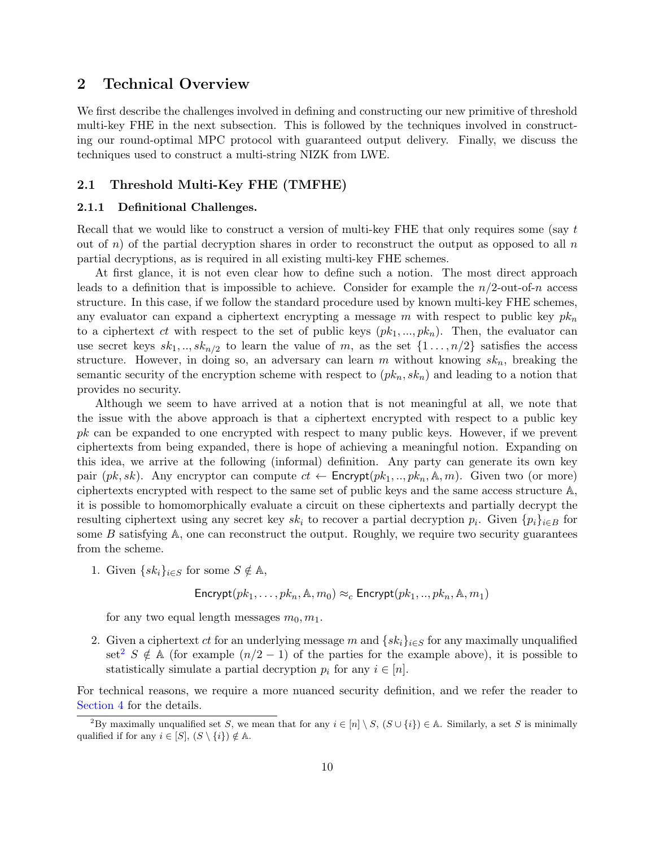### <span id="page-9-0"></span>2 Technical Overview

We first describe the challenges involved in defining and constructing our new primitive of threshold multi-key FHE in the next subsection. This is followed by the techniques involved in constructing our round-optimal MPC protocol with guaranteed output delivery. Finally, we discuss the techniques used to construct a multi-string NIZK from LWE.

### <span id="page-9-1"></span>2.1 Threshold Multi-Key FHE (TMFHE)

### 2.1.1 Definitional Challenges.

Recall that we would like to construct a version of multi-key FHE that only requires some (say t out of n) of the partial decryption shares in order to reconstruct the output as opposed to all  $n$ partial decryptions, as is required in all existing multi-key FHE schemes.

At first glance, it is not even clear how to define such a notion. The most direct approach leads to a definition that is impossible to achieve. Consider for example the  $n/2$ -out-of-n access structure. In this case, if we follow the standard procedure used by known multi-key FHE schemes, any evaluator can expand a ciphertext encrypting a message m with respect to public key  $pk_n$ to a ciphertext ct with respect to the set of public keys  $(pk_1, ..., pk_n)$ . Then, the evaluator can use secret keys  $sk_1, ..., sk_{n/2}$  to learn the value of m, as the set  $\{1 \dots, n/2\}$  satisfies the access structure. However, in doing so, an adversary can learn m without knowing  $sk_n$ , breaking the semantic security of the encryption scheme with respect to  $(pk_n, sk_n)$  and leading to a notion that provides no security.

Although we seem to have arrived at a notion that is not meaningful at all, we note that the issue with the above approach is that a ciphertext encrypted with respect to a public key pk can be expanded to one encrypted with respect to many public keys. However, if we prevent ciphertexts from being expanded, there is hope of achieving a meaningful notion. Expanding on this idea, we arrive at the following (informal) definition. Any party can generate its own key pair  $(pk, sk)$ . Any encryptor can compute  $ct \leftarrow$  Encrypt $(pk_1, ..., pk_n, \mathbb{A}, m)$ . Given two (or more) ciphertexts encrypted with respect to the same set of public keys and the same access structure A, it is possible to homomorphically evaluate a circuit on these ciphertexts and partially decrypt the resulting ciphertext using any secret key  $sk_i$  to recover a partial decryption  $p_i$ . Given  $\{p_i\}_{i\in B}$  for some  $B$  satisfying  $A$ , one can reconstruct the output. Roughly, we require two security guarantees from the scheme.

1. Given  $\{sk_i\}_{i\in S}$  for some  $S \notin \mathbb{A}$ ,

$$
\mathsf{Encrypt}(pk_1, \ldots, pk_n, \mathbb{A}, m_0) \approx_c \mathsf{Encrypt}(pk_1, \ldots, pk_n, \mathbb{A}, m_1)
$$

for any two equal length messages  $m_0, m_1$ .

2. Given a ciphertext ct for an underlying message m and  $\{sk_i\}_{i\in S}$  for any maximally unqualified set<sup>[2](#page-0-0)</sup> S  $\notin$  A (for example  $(n/2 - 1)$  of the parties for the example above), it is possible to statistically simulate a partial decryption  $p_i$  for any  $i \in [n]$ .

For technical reasons, we require a more nuanced security definition, and we refer the reader to [Section 4](#page-16-1) for the details.

<sup>&</sup>lt;sup>2</sup>By maximally unqualified set S, we mean that for any  $i \in [n] \setminus S$ ,  $(S \cup \{i\}) \in A$ . Similarly, a set S is minimally qualified if for any  $i \in [S], (S \setminus \{i\}) \notin \mathbb{A}$ .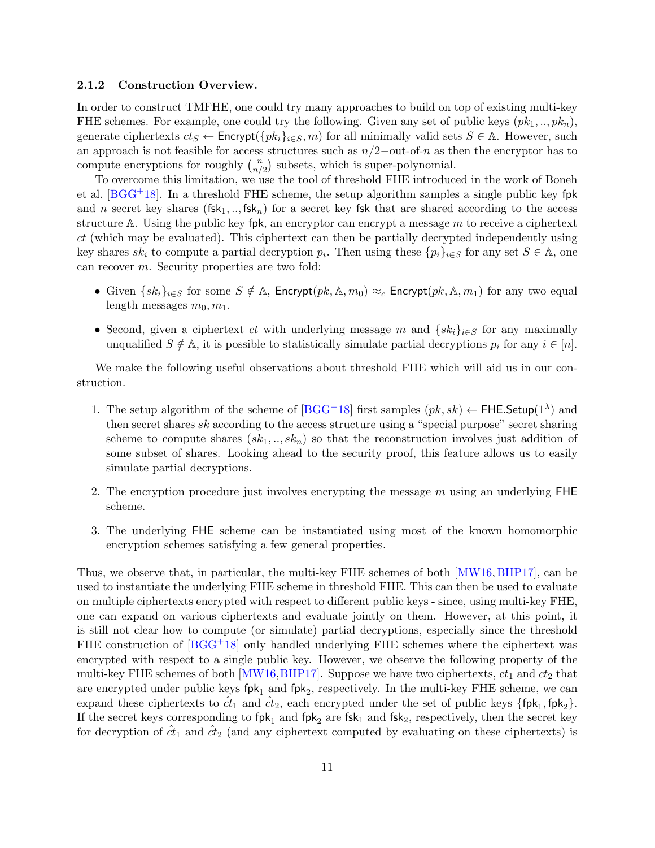#### 2.1.2 Construction Overview.

In order to construct TMFHE, one could try many approaches to build on top of existing multi-key FHE schemes. For example, one could try the following. Given any set of public keys  $(pk_1, ..., pk_n)$ , generate ciphertexts  $ct_S \leftarrow$  Encrypt( $\{pk_i\}_{i\in S}$ , m) for all minimally valid sets  $S \in A$ . However, such an approach is not feasible for access structures such as  $n/2$ –out-of-n as then the encryptor has to compute encryptions for roughly  $\binom{n}{n}$  $\binom{n}{n/2}$  subsets, which is super-polynomial.

To overcome this limitation, we use the tool of threshold FHE introduced in the work of Boneh et al.  $[\text{BGG}^+18]$ . In a threshold FHE scheme, the setup algorithm samples a single public key fpk and n secret key shares (fsk<sub>1</sub>,.., fsk<sub>n</sub>) for a secret key fsk that are shared according to the access structure A. Using the public key fpk, an encryptor can encrypt a message  $m$  to receive a ciphertext  $ct$  (which may be evaluated). This ciphertext can then be partially decrypted independently using key shares  $sk_i$  to compute a partial decryption  $p_i$ . Then using these  $\{p_i\}_{i\in S}$  for any set  $S \in A$ , one can recover m. Security properties are two fold:

- Given  $\{sk_i\}_{i\in S}$  for some  $S \notin A$ , Encrypt $(pk, A, m_0) \approx_c$  Encrypt $(pk, A, m_1)$  for any two equal length messages  $m_0, m_1$ .
- Second, given a ciphertext ct with underlying message m and  $\{sk_i\}_{i\in S}$  for any maximally unqualified  $S \notin A$ , it is possible to statistically simulate partial decryptions  $p_i$  for any  $i \in [n]$ .

We make the following useful observations about threshold FHE which will aid us in our construction.

- 1. The setup algorithm of the scheme of  $[\text{BGG}^+18]$  first samples  $(pk, sk) \leftarrow \text{FHE}.\text{Setup}(1^{\lambda})$  and then secret shares  $sk$  according to the access structure using a "special purpose" secret sharing scheme to compute shares  $(s_{k_1},...,s_{k_n})$  so that the reconstruction involves just addition of some subset of shares. Looking ahead to the security proof, this feature allows us to easily simulate partial decryptions.
- 2. The encryption procedure just involves encrypting the message  $m$  using an underlying FHE scheme.
- 3. The underlying FHE scheme can be instantiated using most of the known homomorphic encryption schemes satisfying a few general properties.

Thus, we observe that, in particular, the multi-key FHE schemes of both [\[MW16,](#page-56-1)[BHP17\]](#page-53-0), can be used to instantiate the underlying FHE scheme in threshold FHE. This can then be used to evaluate on multiple ciphertexts encrypted with respect to different public keys - since, using multi-key FHE, one can expand on various ciphertexts and evaluate jointly on them. However, at this point, it is still not clear how to compute (or simulate) partial decryptions, especially since the threshold FHE construction of  $[\text{BGG}^+18]$  only handled underlying FHE schemes where the ciphertext was encrypted with respect to a single public key. However, we observe the following property of the multi-key FHE schemes of both [\[MW16,](#page-56-1) [BHP17\]](#page-53-0). Suppose we have two ciphertexts,  $ct_1$  and  $ct_2$  that are encrypted under public keys  $fpk_1$  and  $fpk_2$ , respectively. In the multi-key FHE scheme, we can expand these ciphertexts to  $\hat{ct}_1$  and  $\hat{ct}_2$ , each encrypted under the set of public keys  $\{\textsf{fpk}_1, \textsf{fpk}_2\}$ . If the secret keys corresponding to  $fpk_1$  and  $fpk_2$  are  $fsk_1$  and  $fsk_2$ , respectively, then the secret key for decryption of  $ct_1$  and  $ct_2$  (and any ciphertext computed by evaluating on these ciphertexts) is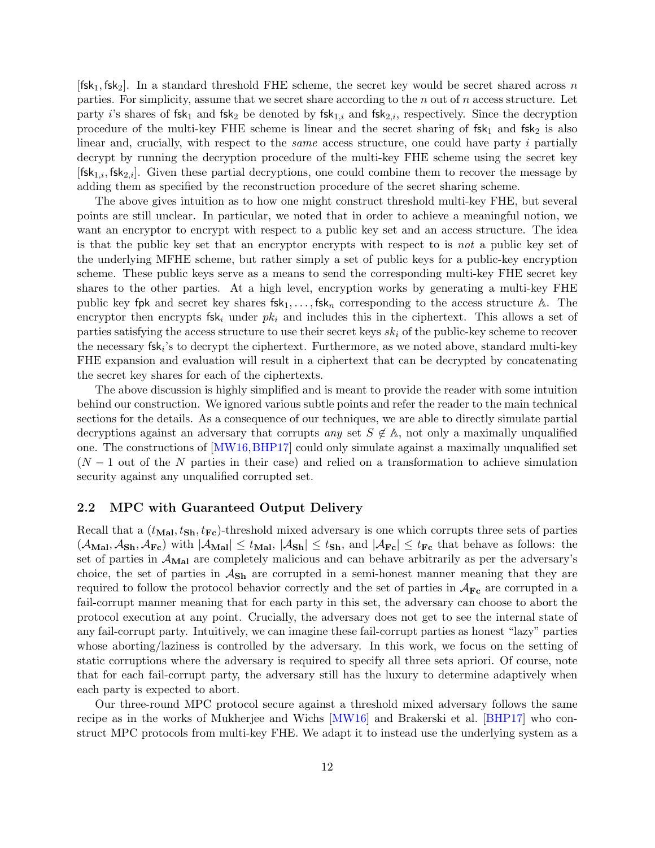$[fsk_1,fsk_2]$ . In a standard threshold FHE scheme, the secret key would be secret shared across n parties. For simplicity, assume that we secret share according to the  $n$  out of  $n$  access structure. Let party i's shares of  $fsk_1$  and  $fsk_2$  be denoted by  $fsk_{1,i}$  and  $fsk_{2,i}$ , respectively. Since the decryption procedure of the multi-key FHE scheme is linear and the secret sharing of  $fsk_1$  and  $fsk_2$  is also linear and, crucially, with respect to the same access structure, one could have party i partially decrypt by running the decryption procedure of the multi-key FHE scheme using the secret key  $[\mathsf{fsk}_{1,i}, \mathsf{fsk}_{2,i}]$ . Given these partial decryptions, one could combine them to recover the message by adding them as specified by the reconstruction procedure of the secret sharing scheme.

The above gives intuition as to how one might construct threshold multi-key FHE, but several points are still unclear. In particular, we noted that in order to achieve a meaningful notion, we want an encryptor to encrypt with respect to a public key set and an access structure. The idea is that the public key set that an encryptor encrypts with respect to is not a public key set of the underlying MFHE scheme, but rather simply a set of public keys for a public-key encryption scheme. These public keys serve as a means to send the corresponding multi-key FHE secret key shares to the other parties. At a high level, encryption works by generating a multi-key FHE public key fpk and secret key shares  $fsk_1, \ldots, fsk_n$  corresponding to the access structure A. The encryptor then encrypts fsk<sub>i</sub> under  $pk_i$  and includes this in the ciphertext. This allows a set of parties satisfying the access structure to use their secret keys  $sk_i$  of the public-key scheme to recover the necessary  $fsk_i$ 's to decrypt the ciphertext. Furthermore, as we noted above, standard multi-key FHE expansion and evaluation will result in a ciphertext that can be decrypted by concatenating the secret key shares for each of the ciphertexts.

The above discussion is highly simplified and is meant to provide the reader with some intuition behind our construction. We ignored various subtle points and refer the reader to the main technical sections for the details. As a consequence of our techniques, we are able to directly simulate partial decryptions against an adversary that corrupts any set  $S \notin A$ , not only a maximally unqualified one. The constructions of [\[MW16,](#page-56-1)[BHP17\]](#page-53-0) could only simulate against a maximally unqualified set  $(N-1)$  out of the N parties in their case) and relied on a transformation to achieve simulation security against any unqualified corrupted set.

### <span id="page-11-0"></span>2.2 MPC with Guaranteed Output Delivery

Recall that a  $(t_{\text{Mal}}, t_{\text{Sh}}, t_{\text{Fc}})$ -threshold mixed adversary is one which corrupts three sets of parties  $(\mathcal{A}_{\text{Mal}}, \mathcal{A}_{\text{Sh}}, \mathcal{A}_{\text{Fc}})$  with  $|\mathcal{A}_{\text{Mal}}| \le t_{\text{Mal}}, |\mathcal{A}_{\text{Sh}}| \le t_{\text{Sh}},$  and  $|\mathcal{A}_{\text{Fc}}| \le t_{\text{Fc}}$  that behave as follows: the set of parties in  $\mathcal{A}_{\text{Mal}}$  are completely malicious and can behave arbitrarily as per the adversary's choice, the set of parties in  $\mathcal{A}_{\text{Sh}}$  are corrupted in a semi-honest manner meaning that they are required to follow the protocol behavior correctly and the set of parties in  $A_{\text{Fc}}$  are corrupted in a fail-corrupt manner meaning that for each party in this set, the adversary can choose to abort the protocol execution at any point. Crucially, the adversary does not get to see the internal state of any fail-corrupt party. Intuitively, we can imagine these fail-corrupt parties as honest "lazy" parties whose aborting/laziness is controlled by the adversary. In this work, we focus on the setting of static corruptions where the adversary is required to specify all three sets apriori. Of course, note that for each fail-corrupt party, the adversary still has the luxury to determine adaptively when each party is expected to abort.

Our three-round MPC protocol secure against a threshold mixed adversary follows the same recipe as in the works of Mukherjee and Wichs [\[MW16\]](#page-56-1) and Brakerski et al. [\[BHP17\]](#page-53-0) who construct MPC protocols from multi-key FHE. We adapt it to instead use the underlying system as a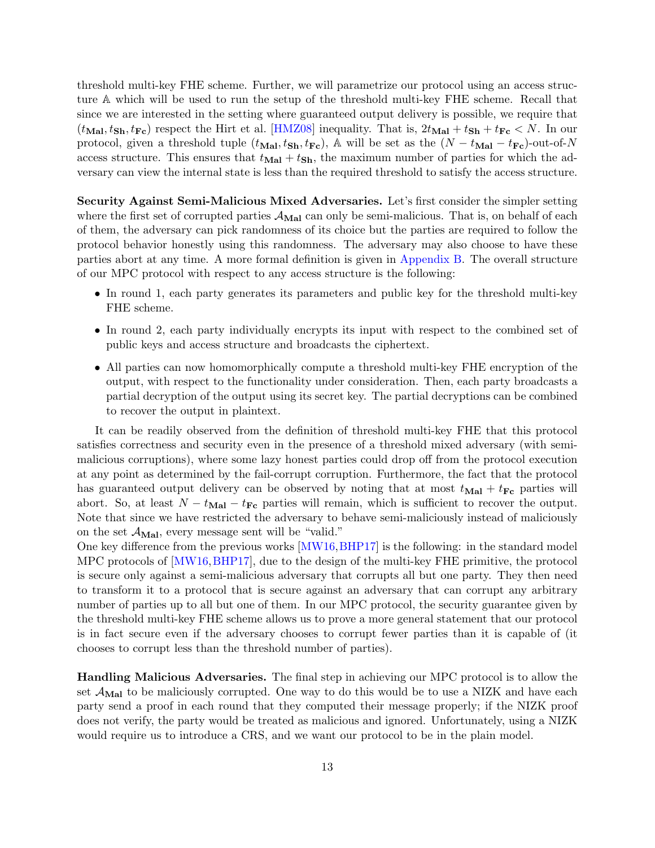threshold multi-key FHE scheme. Further, we will parametrize our protocol using an access structure A which will be used to run the setup of the threshold multi-key FHE scheme. Recall that since we are interested in the setting where guaranteed output delivery is possible, we require that  $(t_{\text{Mal}}, t_{\text{Sh}}, t_{\text{Fc}})$  respect the Hirt et al. [\[HMZ08\]](#page-56-2) inequality. That is,  $2t_{\text{Mal}} + t_{\text{Sh}} + t_{\text{Fc}} < N$ . In our protocol, given a threshold tuple  $(t_{\text{Mal}}, t_{\text{Sh}}, t_{\text{Fc}})$ , A will be set as the  $(N - t_{\text{Mal}} - t_{\text{Fc}})$ -out-of-N access structure. This ensures that  $t_{\text{Mal}} + t_{\text{Sh}}$ , the maximum number of parties for which the adversary can view the internal state is less than the required threshold to satisfy the access structure.

Security Against Semi-Malicious Mixed Adversaries. Let's first consider the simpler setting where the first set of corrupted parties  $A_{\text{Mal}}$  can only be semi-malicious. That is, on behalf of each of them, the adversary can pick randomness of its choice but the parties are required to follow the protocol behavior honestly using this randomness. The adversary may also choose to have these parties abort at any time. A more formal definition is given in [Appendix B.](#page-66-0) The overall structure of our MPC protocol with respect to any access structure is the following:

- In round 1, each party generates its parameters and public key for the threshold multi-key FHE scheme.
- In round 2, each party individually encrypts its input with respect to the combined set of public keys and access structure and broadcasts the ciphertext.
- All parties can now homomorphically compute a threshold multi-key FHE encryption of the output, with respect to the functionality under consideration. Then, each party broadcasts a partial decryption of the output using its secret key. The partial decryptions can be combined to recover the output in plaintext.

It can be readily observed from the definition of threshold multi-key FHE that this protocol satisfies correctness and security even in the presence of a threshold mixed adversary (with semimalicious corruptions), where some lazy honest parties could drop off from the protocol execution at any point as determined by the fail-corrupt corruption. Furthermore, the fact that the protocol has guaranteed output delivery can be observed by noting that at most  $t_{\text{Mal}} + t_{\text{Fc}}$  parties will abort. So, at least  $N - t_{\text{Mal}} - t_{\text{Fc}}$  parties will remain, which is sufficient to recover the output. Note that since we have restricted the adversary to behave semi-maliciously instead of maliciously on the set  $\mathcal{A}_{\text{Mal}}$ , every message sent will be "valid."

One key difference from the previous works [\[MW16,](#page-56-1)[BHP17\]](#page-53-0) is the following: in the standard model MPC protocols of [\[MW16,](#page-56-1)[BHP17\]](#page-53-0), due to the design of the multi-key FHE primitive, the protocol is secure only against a semi-malicious adversary that corrupts all but one party. They then need to transform it to a protocol that is secure against an adversary that can corrupt any arbitrary number of parties up to all but one of them. In our MPC protocol, the security guarantee given by the threshold multi-key FHE scheme allows us to prove a more general statement that our protocol is in fact secure even if the adversary chooses to corrupt fewer parties than it is capable of (it chooses to corrupt less than the threshold number of parties).

Handling Malicious Adversaries. The final step in achieving our MPC protocol is to allow the set  $A_{\text{Mal}}$  to be maliciously corrupted. One way to do this would be to use a NIZK and have each party send a proof in each round that they computed their message properly; if the NIZK proof does not verify, the party would be treated as malicious and ignored. Unfortunately, using a NIZK would require us to introduce a CRS, and we want our protocol to be in the plain model.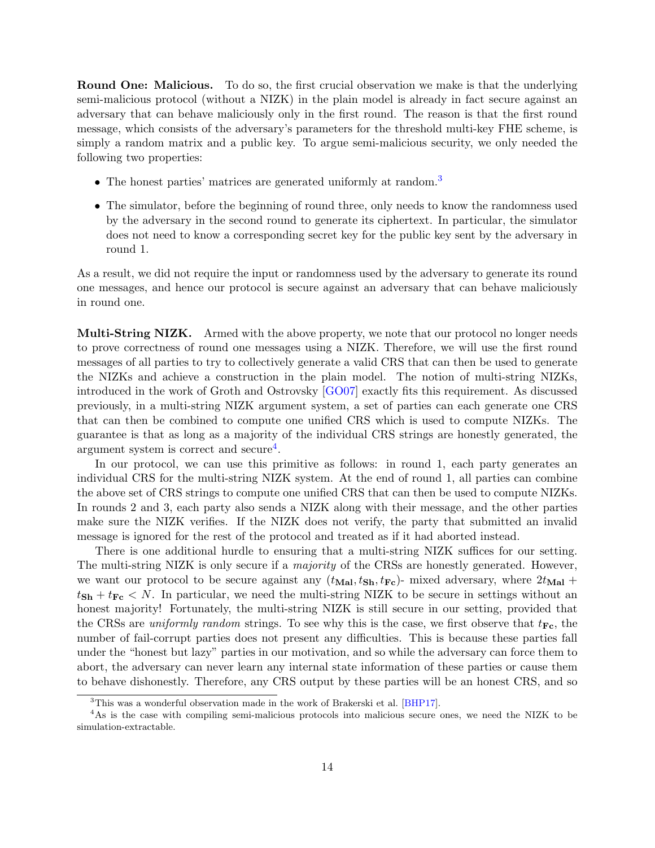Round One: Malicious. To do so, the first crucial observation we make is that the underlying semi-malicious protocol (without a NIZK) in the plain model is already in fact secure against an adversary that can behave maliciously only in the first round. The reason is that the first round message, which consists of the adversary's parameters for the threshold multi-key FHE scheme, is simply a random matrix and a public key. To argue semi-malicious security, we only needed the following two properties:

- The honest parties' matrices are generated uniformly at random.<sup>[3](#page-0-0)</sup>
- The simulator, before the beginning of round three, only needs to know the randomness used by the adversary in the second round to generate its ciphertext. In particular, the simulator does not need to know a corresponding secret key for the public key sent by the adversary in round 1.

As a result, we did not require the input or randomness used by the adversary to generate its round one messages, and hence our protocol is secure against an adversary that can behave maliciously in round one.

Multi-String NIZK. Armed with the above property, we note that our protocol no longer needs to prove correctness of round one messages using a NIZK. Therefore, we will use the first round messages of all parties to try to collectively generate a valid CRS that can then be used to generate the NIZKs and achieve a construction in the plain model. The notion of multi-string NIZKs, introduced in the work of Groth and Ostrovsky [\[GO07\]](#page-55-5) exactly fits this requirement. As discussed previously, in a multi-string NIZK argument system, a set of parties can each generate one CRS that can then be combined to compute one unified CRS which is used to compute NIZKs. The guarantee is that as long as a majority of the individual CRS strings are honestly generated, the argument system is correct and secure<sup>[4](#page-0-0)</sup>.

In our protocol, we can use this primitive as follows: in round 1, each party generates an individual CRS for the multi-string NIZK system. At the end of round 1, all parties can combine the above set of CRS strings to compute one unified CRS that can then be used to compute NIZKs. In rounds 2 and 3, each party also sends a NIZK along with their message, and the other parties make sure the NIZK verifies. If the NIZK does not verify, the party that submitted an invalid message is ignored for the rest of the protocol and treated as if it had aborted instead.

There is one additional hurdle to ensuring that a multi-string NIZK suffices for our setting. The multi-string NIZK is only secure if a *majority* of the CRSs are honestly generated. However, we want our protocol to be secure against any  $(t_{\text{Mal}}, t_{\text{Sh}}, t_{\text{Fe}})$ - mixed adversary, where  $2t_{\text{Mal}}$  +  $t_{\text{Sh}} + t_{\text{Fc}} < N$ . In particular, we need the multi-string NIZK to be secure in settings without an honest majority! Fortunately, the multi-string NIZK is still secure in our setting, provided that the CRSs are *uniformly random* strings. To see why this is the case, we first observe that  $t_{\text{Fc}}$ , the number of fail-corrupt parties does not present any difficulties. This is because these parties fall under the "honest but lazy" parties in our motivation, and so while the adversary can force them to abort, the adversary can never learn any internal state information of these parties or cause them to behave dishonestly. Therefore, any CRS output by these parties will be an honest CRS, and so

<sup>&</sup>lt;sup>3</sup>This was a wonderful observation made in the work of Brakerski et al. [\[BHP17\]](#page-53-0).

<sup>&</sup>lt;sup>4</sup>As is the case with compiling semi-malicious protocols into malicious secure ones, we need the NIZK to be simulation-extractable.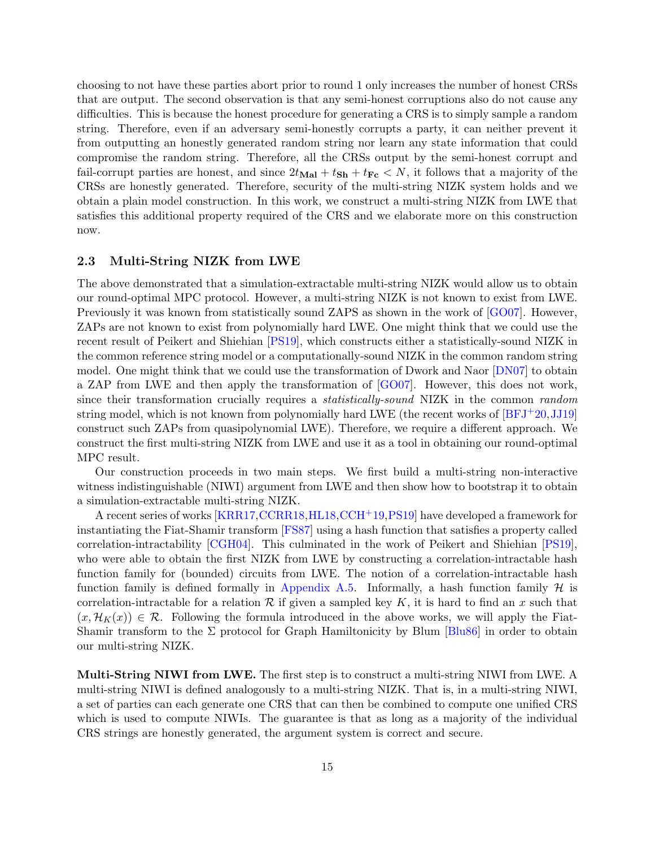choosing to not have these parties abort prior to round 1 only increases the number of honest CRSs that are output. The second observation is that any semi-honest corruptions also do not cause any difficulties. This is because the honest procedure for generating a CRS is to simply sample a random string. Therefore, even if an adversary semi-honestly corrupts a party, it can neither prevent it from outputting an honestly generated random string nor learn any state information that could compromise the random string. Therefore, all the CRSs output by the semi-honest corrupt and fail-corrupt parties are honest, and since  $2t_{\text{Mal}} + t_{\text{Sh}} + t_{\text{Fc}} < N$ , it follows that a majority of the CRSs are honestly generated. Therefore, security of the multi-string NIZK system holds and we obtain a plain model construction. In this work, we construct a multi-string NIZK from LWE that satisfies this additional property required of the CRS and we elaborate more on this construction now.

### <span id="page-14-0"></span>2.3 Multi-String NIZK from LWE

The above demonstrated that a simulation-extractable multi-string NIZK would allow us to obtain our round-optimal MPC protocol. However, a multi-string NIZK is not known to exist from LWE. Previously it was known from statistically sound ZAPS as shown in the work of [\[GO07\]](#page-55-5). However, ZAPs are not known to exist from polynomially hard LWE. One might think that we could use the recent result of Peikert and Shiehian [\[PS19\]](#page-57-12), which constructs either a statistically-sound NIZK in the common reference string model or a computationally-sound NIZK in the common random string model. One might think that we could use the transformation of Dwork and Naor [\[DN07\]](#page-54-4) to obtain a ZAP from LWE and then apply the transformation of [\[GO07\]](#page-55-5). However, this does not work, since their transformation crucially requires a *statistically-sound* NIZK in the common *random* string model, which is not known from polynomially hard LWE (the recent works of  $[BFJ+20,JJ19]$  $[BFJ+20,JJ19]$  $[BFJ+20,JJ19]$ ) construct such ZAPs from quasipolynomial LWE). Therefore, we require a different approach. We construct the first multi-string NIZK from LWE and use it as a tool in obtaining our round-optimal MPC result.

Our construction proceeds in two main steps. We first build a multi-string non-interactive witness indistinguishable (NIWI) argument from LWE and then show how to bootstrap it to obtain a simulation-extractable multi-string NIZK.

A recent series of works [\[KRR17,](#page-56-12)[CCRR18,](#page-54-14)[HL18,](#page-55-14)[CCH](#page-53-9)+19[,PS19\]](#page-57-12) have developed a framework for instantiating the Fiat-Shamir transform [\[FS87\]](#page-55-15) using a hash function that satisfies a property called correlation-intractability [\[CGH04\]](#page-54-15). This culminated in the work of Peikert and Shiehian [\[PS19\]](#page-57-12), who were able to obtain the first NIZK from LWE by constructing a correlation-intractable hash function family for (bounded) circuits from LWE. The notion of a correlation-intractable hash function family is defined formally in [Appendix A.5.](#page-65-0) Informally, a hash function family  $H$  is correlation-intractable for a relation R if given a sampled key K, it is hard to find an x such that  $(x, \mathcal{H}_K(x)) \in \mathcal{R}$ . Following the formula introduced in the above works, we will apply the Fiat-Shamir transform to the  $\Sigma$  protocol for Graph Hamiltonicity by Blum [\[Blu86\]](#page-53-12) in order to obtain our multi-string NIZK.

Multi-String NIWI from LWE. The first step is to construct a multi-string NIWI from LWE. A multi-string NIWI is defined analogously to a multi-string NIZK. That is, in a multi-string NIWI, a set of parties can each generate one CRS that can then be combined to compute one unified CRS which is used to compute NIWIs. The guarantee is that as long as a majority of the individual CRS strings are honestly generated, the argument system is correct and secure.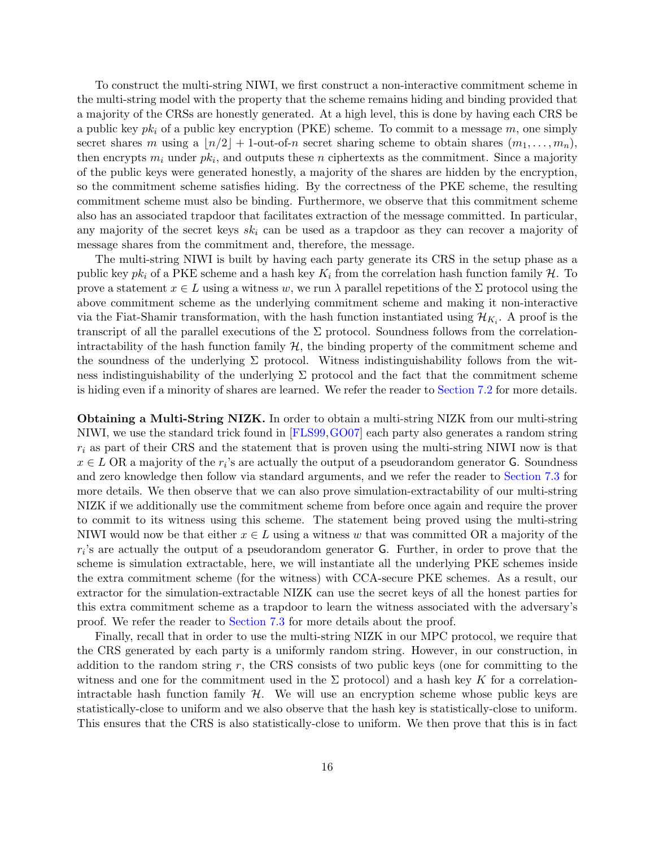To construct the multi-string NIWI, we first construct a non-interactive commitment scheme in the multi-string model with the property that the scheme remains hiding and binding provided that a majority of the CRSs are honestly generated. At a high level, this is done by having each CRS be a public key  $pk_i$  of a public key encryption (PKE) scheme. To commit to a message m, one simply secret shares m using a  $\lfloor n/2 \rfloor + 1$ -out-of-n secret sharing scheme to obtain shares  $(m_1, \ldots, m_n)$ , then encrypts  $m_i$  under  $pk_i$ , and outputs these n ciphertexts as the commitment. Since a majority of the public keys were generated honestly, a majority of the shares are hidden by the encryption, so the commitment scheme satisfies hiding. By the correctness of the PKE scheme, the resulting commitment scheme must also be binding. Furthermore, we observe that this commitment scheme also has an associated trapdoor that facilitates extraction of the message committed. In particular, any majority of the secret keys  $sk_i$  can be used as a trapdoor as they can recover a majority of message shares from the commitment and, therefore, the message.

The multi-string NIWI is built by having each party generate its CRS in the setup phase as a public key  $pk_i$  of a PKE scheme and a hash key  $K_i$  from the correlation hash function family  $H$ . To prove a statement  $x \in L$  using a witness w, we run  $\lambda$  parallel repetitions of the  $\Sigma$  protocol using the above commitment scheme as the underlying commitment scheme and making it non-interactive via the Fiat-Shamir transformation, with the hash function instantiated using  $\mathcal{H}_{K_i}$ . A proof is the transcript of all the parallel executions of the  $\Sigma$  protocol. Soundness follows from the correlationintractability of the hash function family  $H$ , the binding property of the commitment scheme and the soundness of the underlying  $\Sigma$  protocol. Witness indistinguishability follows from the witness indistinguishability of the underlying  $\Sigma$  protocol and the fact that the commitment scheme is hiding even if a minority of shares are learned. We refer the reader to [Section 7.2](#page-43-0) for more details.

Obtaining a Multi-String NIZK. In order to obtain a multi-string NIZK from our multi-string NIWI, we use the standard trick found in [\[FLS99,](#page-55-16)[GO07\]](#page-55-5) each party also generates a random string  $r_i$  as part of their CRS and the statement that is proven using the multi-string NIWI now is that  $x \in L$  OR a majority of the  $r_i$ 's are actually the output of a pseudorandom generator G. Soundness and zero knowledge then follow via standard arguments, and we refer the reader to [Section 7.3](#page-46-0) for more details. We then observe that we can also prove simulation-extractability of our multi-string NIZK if we additionally use the commitment scheme from before once again and require the prover to commit to its witness using this scheme. The statement being proved using the multi-string NIWI would now be that either  $x \in L$  using a witness w that was committed OR a majority of the  $r_i$ 's are actually the output of a pseudorandom generator G. Further, in order to prove that the scheme is simulation extractable, here, we will instantiate all the underlying PKE schemes inside the extra commitment scheme (for the witness) with CCA-secure PKE schemes. As a result, our extractor for the simulation-extractable NIZK can use the secret keys of all the honest parties for this extra commitment scheme as a trapdoor to learn the witness associated with the adversary's proof. We refer the reader to [Section 7.3](#page-46-0) for more details about the proof.

Finally, recall that in order to use the multi-string NIZK in our MPC protocol, we require that the CRS generated by each party is a uniformly random string. However, in our construction, in addition to the random string  $r$ , the CRS consists of two public keys (one for committing to the witness and one for the commitment used in the  $\Sigma$  protocol) and a hash key K for a correlationintractable hash function family  $H$ . We will use an encryption scheme whose public keys are statistically-close to uniform and we also observe that the hash key is statistically-close to uniform. This ensures that the CRS is also statistically-close to uniform. We then prove that this is in fact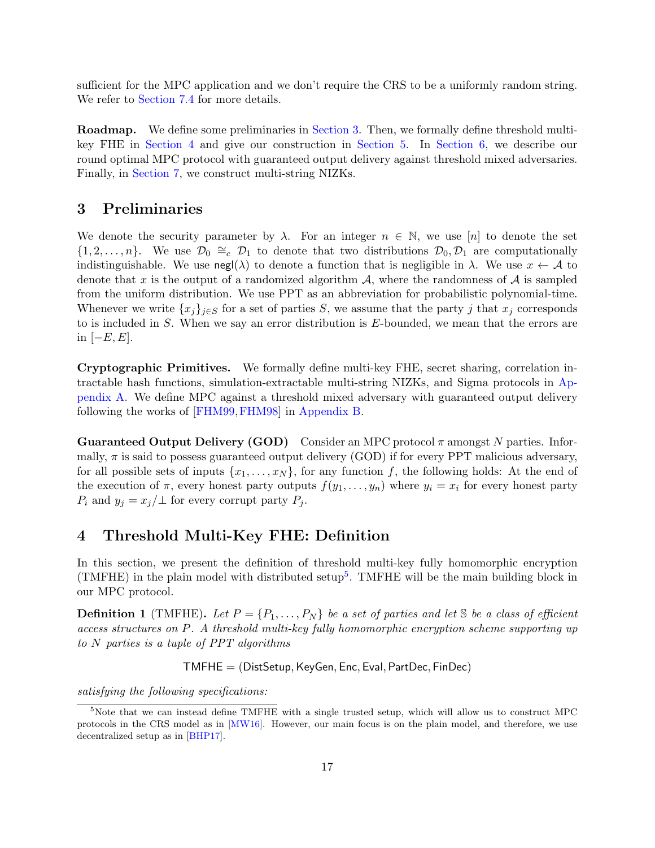sufficient for the MPC application and we don't require the CRS to be a uniformly random string. We refer to [Section 7.4](#page-51-0) for more details.

Roadmap. We define some preliminaries in [Section 3.](#page-16-0) Then, we formally define threshold multikey FHE in [Section 4](#page-16-1) and give our construction in [Section 5.](#page-20-0) In [Section 6,](#page-32-0) we describe our round optimal MPC protocol with guaranteed output delivery against threshold mixed adversaries. Finally, in [Section 7,](#page-41-0) we construct multi-string NIZKs.

### <span id="page-16-0"></span>3 Preliminaries

We denote the security parameter by  $\lambda$ . For an integer  $n \in \mathbb{N}$ , we use [n] to denote the set  $\{1, 2, \ldots, n\}$ . We use  $\mathcal{D}_0 \cong_c \mathcal{D}_1$  to denote that two distributions  $\mathcal{D}_0, \mathcal{D}_1$  are computationally indistinguishable. We use  $\text{negl}(\lambda)$  to denote a function that is negligible in  $\lambda$ . We use  $x \leftarrow A$  to denote that x is the output of a randomized algorithm  $A$ , where the randomness of  $A$  is sampled from the uniform distribution. We use PPT as an abbreviation for probabilistic polynomial-time. Whenever we write  ${x_i}_{i \in S}$  for a set of parties S, we assume that the party j that  $x_i$  corresponds to is included in S. When we say an error distribution is E-bounded, we mean that the errors are in  $[-E, E]$ .

Cryptographic Primitives. We formally define multi-key FHE, secret sharing, correlation intractable hash functions, simulation-extractable multi-string NIZKs, and Sigma protocols in [Ap](#page-57-0)[pendix A.](#page-57-0) We define MPC against a threshold mixed adversary with guaranteed output delivery following the works of [\[FHM99,](#page-54-3)[FHM98\]](#page-54-2) in [Appendix B.](#page-66-0)

Guaranteed Output Delivery (GOD) Consider an MPC protocol  $\pi$  amongst N parties. Informally,  $\pi$  is said to possess guaranteed output delivery (GOD) if for every PPT malicious adversary, for all possible sets of inputs  $\{x_1, \ldots, x_N\}$ , for any function f, the following holds: At the end of the execution of  $\pi$ , every honest party outputs  $f(y_1, \ldots, y_n)$  where  $y_i = x_i$  for every honest party  $P_i$  and  $y_j = x_j/\perp$  for every corrupt party  $P_j$ .

### <span id="page-16-1"></span>4 Threshold Multi-Key FHE: Definition

In this section, we present the definition of threshold multi-key fully homomorphic encryption (TMFHE) in the plain model with distributed setup<sup>[5](#page-0-0)</sup>. TMFHE will be the main building block in our MPC protocol.

**Definition 1** (TMFHE). Let  $P = \{P_1, \ldots, P_N\}$  be a set of parties and let S be a class of efficient access structures on P. A threshold multi-key fully homomorphic encryption scheme supporting up to N parties is a tuple of PPT algorithms

 $TMFHE = (DistSetup, KeyGen, Enc, eval, PartDec, FinDec)$ 

satisfying the following specifications:

<sup>5</sup>Note that we can instead define TMFHE with a single trusted setup, which will allow us to construct MPC protocols in the CRS model as in [\[MW16\]](#page-56-1). However, our main focus is on the plain model, and therefore, we use decentralized setup as in [\[BHP17\]](#page-53-0).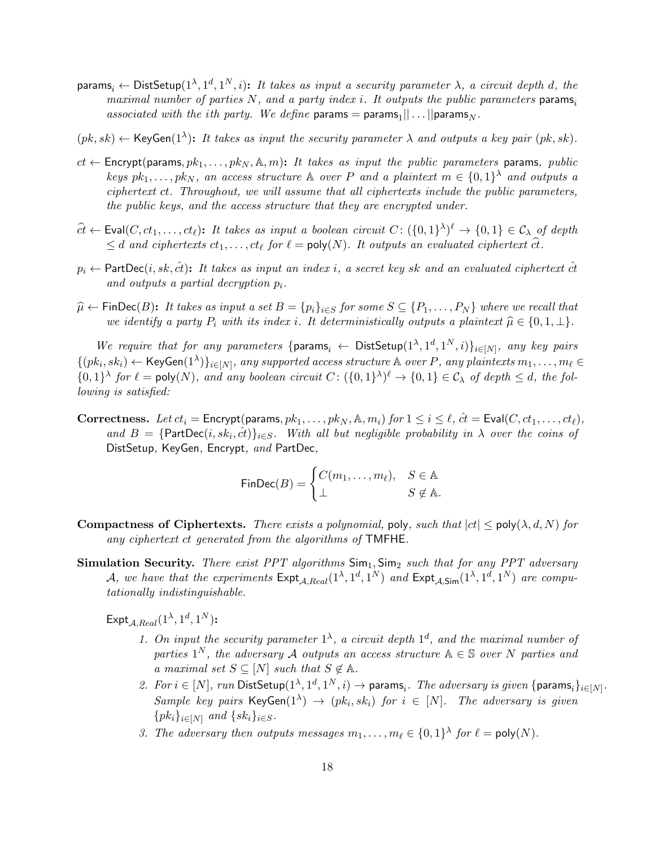- $\mathsf{params}_i \gets \mathsf{DistSetup}(1^\lambda,1^d,1^N,i)$ : It takes as input a security parameter  $\lambda,$  a circuit depth  $d,$  the maximal number of parties N, and a party index i. It outputs the public parameters params<sub>i</sub> associated with the ith party. We define params  $=$  params<sub>1</sub> $||...||$ params<sub>N</sub>.
- $(pk, sk) \leftarrow \text{KeyGen}(1^{\lambda})$ : It takes as input the security parameter  $\lambda$  and outputs a key pair  $(pk, sk)$ .
- $ct \leftarrow$  Encrypt(params,  $pk_1, \ldots, pk_N, \mathbb{A}, m$ ): It takes as input the public parameters params, public keys  $pk_1, \ldots, pk_N$ , an access structure  $\mathbb A$  over P and a plaintext  $m \in \{0,1\}^{\lambda}$  and outputs a ciphertext ct. Throughout, we will assume that all ciphertexts include the public parameters, the public keys, and the access structure that they are encrypted under.
- $\hat{ct} \leftarrow \text{Eval}(C, ct_1, \ldots, ct_\ell)$ : It takes as input a boolean circuit  $C : (\{0, 1\}^{\lambda})^{\ell} \rightarrow \{0, 1\} \in C_{\lambda}$  of depth  $\leq d$  and ciphertexts  $ct_1, \ldots, ct_\ell$  for  $\ell = \text{poly}(N)$ . It outputs an evaluated ciphertext  $\acute{c}t$ .
- $p_i \leftarrow$  PartDec(i, sk, ct): It takes as input an index i, a secret key sk and an evaluated ciphertext ct and outputs a partial decryption  $p_i$ .
- $\widehat{\mu} \leftarrow$  FinDec(B): It takes as input a set  $B = \{p_i\}_{i \in S}$  for some  $S \subseteq \{P_1, \ldots, P_N\}$  where we recall that we identify a party  $P_i$  with its index i. It deterministically outputs a plaintext  $\hat{\mu} \in \{0, 1, \perp\}.$

We require that for any parameters {params<sub>i</sub>  $\leftarrow$  DistSetup( $1^{\lambda}, 1^d, 1^N, i$ )}<sub>i $\in$ [N]</sub>, any key pairs  $\{(pk_i, sk_i) \leftarrow \textsf{KeyGen}(1^{\lambda})\}_{i \in [N]},$  any supported access structure  $\mathbb A$  over  $P$ , any plaintexts  $m_1, \ldots, m_\ell \in$  $\{0,1\}^{\lambda}$  for  $\ell = \text{poly}(N)$ , and any boolean circuit  $C: (\{0,1\}^{\lambda})^{\ell} \to \{0,1\} \in C_{\lambda}$  of depth  $\leq d$ , the following is satisfied:

Correctness. Let  $ct_i =$  Encrypt(params,  $pk_1, \ldots, pk_N, \mathbb{A}, m_i$ ) for  $1 \leq i \leq \ell$ ,  $\hat{ct} =$  Eval( $C, ct_1, \ldots, ct_\ell$ ), and  $B = \{ \text{PartDec}(i, sk_i, \hat{ct}) \}_{i \in S}$ . With all but negligible probability in  $\lambda$  over the coins of DistSetup, KeyGen, Encrypt, and PartDec,

$$
\mathsf{FinDec}(B) = \begin{cases} C(m_1, \dots, m_\ell), & S \in \mathbb{A} \\ \perp & S \notin \mathbb{A}. \end{cases}
$$

- **Compactness of Ciphertexts.** There exists a polynomial, poly, such that  $|ct| \le \text{poly}(\lambda, d, N)$  for any ciphertext ct generated from the algorithms of TMFHE.
- Simulation Security. There exist PPT algorithms  $Sim_1, Sim_2$  such that for any PPT adversary A, we have that the experiments  $\textsf{Expt}_{\mathcal{A},Real}(1^{\lambda}, 1^d, 1^N)$  and  $\textsf{Expt}_{\mathcal{A},Sim}(1^{\lambda}, 1^d, 1^N)$  are computationally indistinguishable.

 $\mathsf{Expt}_{\mathcal{A},Real}(1^{\lambda},1^d,1^N)$ :

- 1. On input the security parameter  $1^{\lambda}$ , a circuit depth  $1^d$ , and the maximal number of parties  $1^N$ , the adversary A outputs an access structure  $\mathbb{A} \in \mathbb{S}$  over N parties and a maximal set  $S \subseteq [N]$  such that  $S \notin \mathbb{A}$ .
- 2. For  $i \in [N]$ , run DistSetup $(1^{\lambda}, 1^d, 1^N, i) \rightarrow$  params<sub>i</sub>. The adversary is given  $\{\text{params}_i\}_{i \in [N]}$ . Sample key pairs  $\mathsf{KeyGen}(1^\lambda) \rightarrow (pk_i, sk_i)$  for  $i \in [N]$ . The adversary is given  ${pk_i}_{i\in[N]}$  and  ${sk_i}_{i\in S}$ .
- 3. The adversary then outputs messages  $m_1, \ldots, m_\ell \in \{0, 1\}^\lambda$  for  $\ell = \text{poly}(N)$ .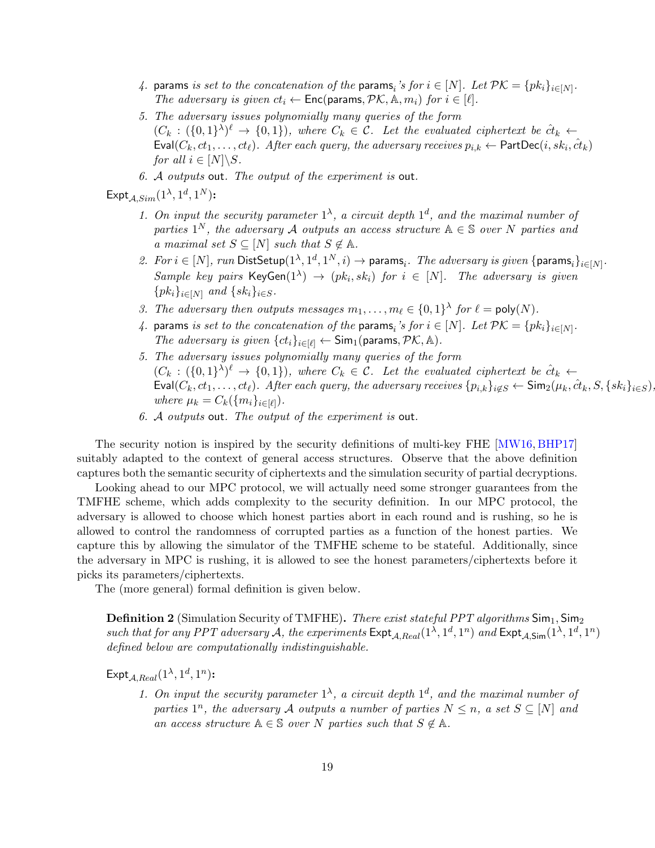- 4. params is set to the concatenation of the params, 's for  $i \in [N]$ . Let  $\mathcal{PK} = \{pk_i\}_{i \in [N]}$ . The adversary is given  $ct_i \leftarrow \mathsf{Enc}(\mathsf{params}, \mathcal{PK}, \mathbb{A}, m_i)$  for  $i \in [\ell].$
- 5. The adversary issues polynomially many queries of the form  $(C_k: (\{0,1\}^{\lambda})^{\ell} \to \{0,1\}),$  where  $C_k \in \mathcal{C}$ . Let the evaluated ciphertext be  $\hat{c}t_k \leftarrow$  $\textsf{Eval}(C_k, ct_1, \ldots, ct_\ell)$ . After each query, the adversary receives  $p_{i,k} \leftarrow \textsf{PartDec}(i, sk_i, \hat{ct}_k)$ for all  $i \in [N] \backslash S$ .
- 6. A outputs out. The output of the experiment is out.

 ${\sf Ext}_{{\cal A},Sim}(1^{\lambda},1^d,1^N)$ :

- 1. On input the security parameter  $1^{\lambda}$ , a circuit depth  $1^d$ , and the maximal number of parties  $1^N$ , the adversary A outputs an access structure  $\mathbb{A} \in \mathbb{S}$  over N parties and a maximal set  $S \subseteq [N]$  such that  $S \notin \mathbb{A}$ .
- 2. For  $i \in [N]$ , run DistSetup $(1^{\lambda}, 1^d, 1^N, i) \rightarrow$  params<sub>i</sub>. The adversary is given  $\{\text{params}_i\}_{i \in [N]}$ . Sample key pairs  $\mathsf{KeyGen}(1^\lambda) \rightarrow (pk_i, sk_i)$  for  $i \in [N]$ . The adversary is given  $\{pk_i\}_{i\in[N]}$  and  $\{sk_i\}_{i\in S}$ .
- 3. The adversary then outputs messages  $m_1, \ldots, m_\ell \in \{0, 1\}^\lambda$  for  $\ell = \text{poly}(N)$ .
- 4. params is set to the concatenation of the params, 's for  $i \in [N]$ . Let  $\mathcal{PK} = \{pk_i\}_{i \in [N]}$ . The adversary is given  $\{ct_i\}_{i\in[\ell]} \leftarrow \textsf{Sim}_1(\textsf{params}, \mathcal{PK}, \mathbb{A}).$
- 5. The adversary issues polynomially many queries of the form  $(C_k: (\{0,1\}^{\lambda})^{\ell} \to \{0,1\}),$  where  $C_k \in \mathcal{C}$ . Let the evaluated ciphertext be  $\hat{ct}_k \leftarrow$ Eval $(C_k, ct_1, \ldots, ct_\ell)$ . After each query, the adversary receives  $\{p_{i,k}\}_{i \notin S} \leftarrow \mathsf{Sim}_2(\mu_k, \hat{ct}_k, S, \{sk_i\}_{i \in S})$ where  $\mu_k = C_k(\{m_i\}_{i \in [\ell]}).$
- 6. A outputs out. The output of the experiment is out.

The security notion is inspired by the security definitions of multi-key FHE [\[MW16,](#page-56-1) [BHP17\]](#page-53-0) suitably adapted to the context of general access structures. Observe that the above definition captures both the semantic security of ciphertexts and the simulation security of partial decryptions.

Looking ahead to our MPC protocol, we will actually need some stronger guarantees from the TMFHE scheme, which adds complexity to the security definition. In our MPC protocol, the adversary is allowed to choose which honest parties abort in each round and is rushing, so he is allowed to control the randomness of corrupted parties as a function of the honest parties. We capture this by allowing the simulator of the TMFHE scheme to be stateful. Additionally, since the adversary in MPC is rushing, it is allowed to see the honest parameters/ciphertexts before it picks its parameters/ciphertexts.

The (more general) formal definition is given below.

**Definition 2** (Simulation Security of TMFHE). There exist stateful PPT algorithms  $Sim<sub>1</sub>$ ,  $Sim<sub>2</sub>$ such that for any PPT adversary A, the experiments  $\textsf{Expt}_{\mathcal{A},Real}(1^{\lambda}, 1^d, 1^n)$  and  $\textsf{Expt}_{\mathcal{A},Sim}(1^{\lambda}, 1^d, 1^n)$ defined below are computationally indistinguishable.

 $\mathsf{Expt}_{\mathcal{A},Real}(1^{\lambda}, 1^d, 1^n)$ :

1. On input the security parameter  $1^{\lambda}$ , a circuit depth  $1^d$ , and the maximal number of parties  $1^n$ , the adversary A outputs a number of parties  $N \leq n$ , a set  $S \subseteq [N]$  and an access structure  $A \in \mathbb{S}$  over N parties such that  $S \notin A$ .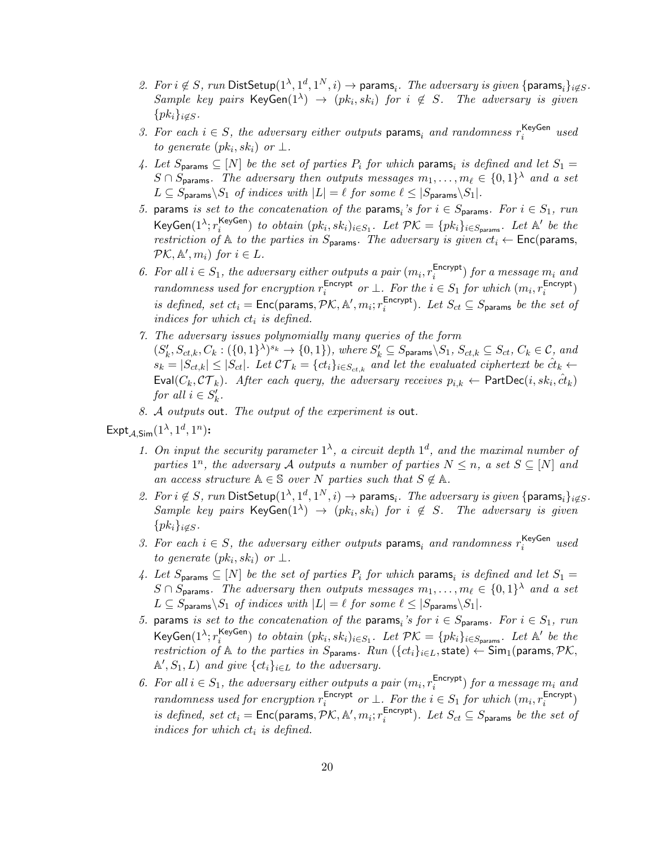- 2. For  $i \notin S$ , run DistSetup $(1^{\lambda}, 1^d, 1^N, i) \rightarrow$  params<sub>i</sub>. The adversary is given {params<sub>i</sub>}<sub>i</sub> $_{\notin S}$ . Sample key pairs  $\mathsf{KeyGen}(1^\lambda) \rightarrow (pk_i, sk_i)$  for  $i \notin S$ . The adversary is given  $\{pk_i\}_{i\notin S}$ .
- 3. For each  $i \in S$ , the adversary either outputs params<sub>i</sub> and randomness  $r_i^{\text{KeyGen}}$  $i$ <sup>ney</sup>used to generate  $(pk_i, sk_i)$  or  $\perp$ .
- 4. Let  $S_{\text{params}} \subseteq [N]$  be the set of parties  $P_i$  for which params<sub>i</sub> is defined and let  $S_1 =$  $S \cap S_{\text{params}}$ . The adversary then outputs messages  $m_1, \ldots, m_\ell \in \{0, 1\}^\lambda$  and a set  $L \subseteq S_{\text{params}}\backslash S_1$  of indices with  $|L| = \ell$  for some  $\ell \leq |S_{\text{params}}\backslash S_1|.$
- 5. params is set to the concatenation of the params<sub>i</sub>'s for  $i \in S_{\text{params}}$ . For  $i \in S_1$ , run  $\mathsf{KeyGen}(1^{\lambda}; r_i^{\mathsf{KeyGen}})$ <sup>KeyGen</sup>) to obtain  $(pk_i, sk_i)_{i \in S_1}$ . Let  $\mathcal{PK} = \{pk_i\}_{i \in S_{\text{params}}}$ . Let  $\mathbb{A}'$  be the restriction of A to the parties in S<sub>params</sub>. The adversary is given  $ct_i \leftarrow \text{Enc}(\text{params},$  $\mathcal{PK}, \mathbb{A}', m_i)$  for  $i \in L$ .
- 6. For all  $i \in S_1$ , the adversary either outputs a pair  $(m_i, r_i^{\text{Encrypt}})$  $\binom{energypt}{i}$  for a message  $m_i$  and randomness used for encryption  $r_i^{\text{Energy}}$ Encrypt or  $\perp$ . For the  $i \in S_1$  for which  $(m_i, r_i^{\text{Encrypt}})$  $\frac{\text{energy}}{i}$ is defined, set  $ct_i = \mathsf{Enc}(\mathsf{params}, \mathcal{PK}, \mathbb{A}', m_i; r_i^{\mathsf{Encrypt}}$  $i_i^{\text{energypt}}$ ). Let  $S_{ct} \subseteq S_{\text{params}}$  be the set of indices for which  $ct_i$  is defined.
- 7. The adversary issues polynomially many queries of the form  $(S'_k, S_{ct,k}, C_k: (\{0,1\}^{\lambda})^{s_k} \to \{0,1\}),$  where  $S'_k \subseteq S_{\text{params}} \backslash S_1$ ,  $S_{ct,k} \subseteq S_{ct}, C_k \in \mathcal{C}$ , and  $s_k = |S_{ct,k}| \leq |S_{ct}|$ . Let  $\mathcal{CT}_k = \{ct_i\}_{i \in S_{ct,k}}$  and let the evaluated ciphertext be  $\hat{ct}_k \leftarrow$ Eval $(C_k, \mathcal{CT}_k)$ . After each query, the adversary receives  $p_{i,k} \leftarrow \textsf{PartDec}(i, sk_i, \hat{ct}_k)$ for all  $i \in S'_k$ .
- 8. A outputs out. The output of the experiment is out.

 $\mathsf{Expt}_{\mathcal{A},\mathsf{Sim}}(1^{\lambda},1^d,1^n)$ :

- 1. On input the security parameter  $1^{\lambda}$ , a circuit depth  $1^d$ , and the maximal number of parties  $1^n$ , the adversary A outputs a number of parties  $N \leq n$ , a set  $S \subseteq [N]$  and an access structure  $A \in \mathbb{S}$  over N parties such that  $S \notin A$ .
- 2. For  $i \notin S$ , run DistSetup $(1^{\lambda}, 1^d, 1^N, i) \rightarrow$  params<sub>i</sub>. The adversary is given {params<sub>i</sub>}<sub>i</sub> $_{\notin S}$ . Sample key pairs  $\mathsf{KeyGen}(1^\lambda) \rightarrow (pk_i, sk_i)$  for  $i \notin S$ . The adversary is given  $\{pk_i\}_{i\not\in S}$ .
- 3. For each  $i \in S$ , the adversary either outputs params<sub>i</sub> and randomness  $r_i^{\text{KeyGen}}$  $i$ <sup>neyGen</sup> used to generate  $(pk_i, sk_i)$  or  $\perp$ .
- 4. Let  $S_{\text{params}} \subseteq [N]$  be the set of parties  $P_i$  for which params<sub>i</sub> is defined and let  $S_1 =$  $S \cap S_{\text{params}}$ . The adversary then outputs messages  $m_1, \ldots, m_\ell \in \{0, 1\}^\lambda$  and a set  $L \subseteq S_{\text{params}} \backslash S_1$  of indices with  $|L| = \ell$  for some  $\ell \leq |S_{\text{params}} \backslash S_1|$ .
- 5. params is set to the concatenation of the params<sub>i</sub>'s for  $i \in S_{\text{params}}$ . For  $i \in S_1$ , run KeyGen $(1^{\lambda};r_{i}^{\mathsf{KeyGen}})$ <sup>KeyGen</sup>) to obtain  $(pk_i, sk_i)_{i \in S_1}$ . Let  $\mathcal{PK} = \{pk_i\}_{i \in S_{\text{params}}}$ . Let  $\mathbb{A}'$  be the restriction of  $A$  to the parties in  $S_{\text{params}}$ .  $Run (\{ct_i\}_{i \in L}, \text{state}) \leftarrow \text{Sim}_1(\text{params}, \mathcal{PK},$  $\mathbb{A}', S_1, L$  and give  $\{ct_i\}_{i \in L}$  to the adversary.
- 6. For all  $i \in S_1$ , the adversary either outputs a pair  $(m_i, r_i^{\text{Encrypt}})$  $\binom{energypt}{i}$  for a message  $m_i$  and randomness used for encryption  $r_i^{\text{Energy}}$ Encrypt or  $\perp$ . For the  $i \in S_1$  for which  $(m_i, r_i^{\text{Encrypt}})$  $i^{\text{ncrypt}}$ is defined, set  $ct_i = \mathsf{Enc}(\mathsf{params}, \mathcal{PK}, \mathbb{A}', m_i; r_i^{\mathsf{Encrypt}}$  $i_i^{\text{energypt}}$ ). Let  $S_{ct} \subseteq S_{\text{params}}$  be the set of indices for which  $ct_i$  is defined.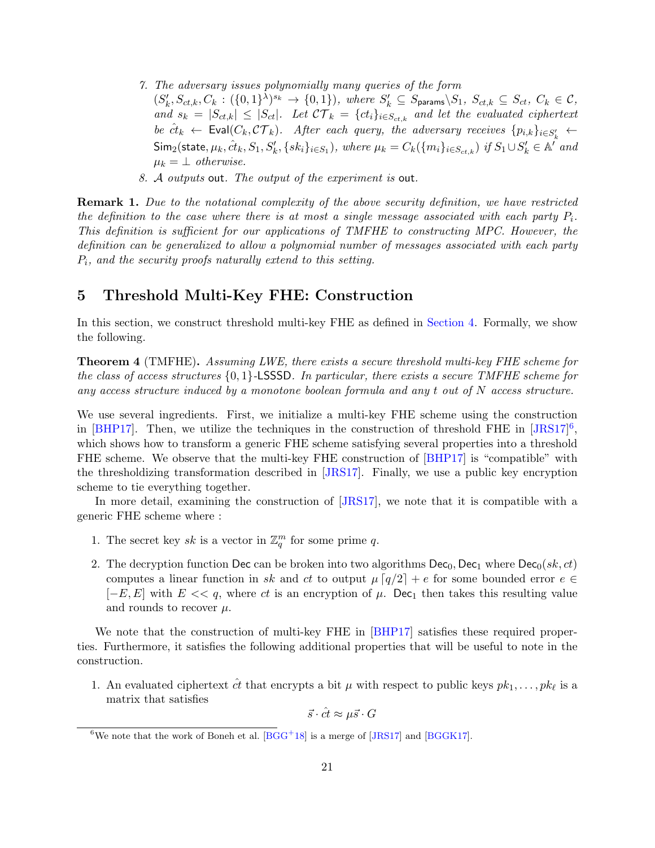7. The adversary issues polynomially many queries of the form

 $(S'_k, S_{ct,k}, C_k: (\{0,1\}^{\lambda})^{s_k} \to \{0,1\}),$  where  $S'_k \subseteq S_{\text{params}} \backslash S_1, S_{ct,k} \subseteq S_{ct}, C_k \in \mathcal{C},$ and  $s_k = |S_{ct,k}| \leq |S_{ct}|$ . Let  $\mathcal{CT}_k = \{ct_i\}_{i \in S_{ct,k}}$  and let the evaluated ciphertext be  $\hat{ct}_k \leftarrow$  Eval $(C_k, \mathcal{CT}_k)$ . After each query, the adversary receives  $\{p_{i,k}\}_{i\in S'_k}$   $\leftarrow$  $\mathsf{Sim}_2(\mathsf{state},\mu_k,\hat{ct}_k,S_1,S'_k,\{sk_i\}_{i\in S_1}), \ where \ \mu_k=C_k(\{m_i\}_{i\in S_{ct,k}}) \ \emph{if } S_1\cup S'_k\in \mathbb{A}^r \ and$  $\mu_k = \perp$  otherwise.

8. A outputs out. The output of the experiment is out.

Remark 1. Due to the notational complexity of the above security definition, we have restricted the definition to the case where there is at most a single message associated with each party  $P_i$ . This definition is sufficient for our applications of TMFHE to constructing MPC. However, the definition can be generalized to allow a polynomial number of messages associated with each party  $P_i$ , and the security proofs naturally extend to this setting.

### <span id="page-20-0"></span>5 Threshold Multi-Key FHE: Construction

In this section, we construct threshold multi-key FHE as defined in [Section 4.](#page-16-1) Formally, we show the following.

Theorem 4 (TMFHE). Assuming LWE, there exists a secure threshold multi-key FHE scheme for the class of access structures  $\{0, 1\}$ -LSSSD. In particular, there exists a secure TMFHE scheme for any access structure induced by a monotone boolean formula and any t out of N access structure.

We use several ingredients. First, we initialize a multi-key FHE scheme using the construction in [\[BHP17\]](#page-53-0). Then, we utilize the techniques in the construction of threshold FHE in  $[JRS17]^{6}$  $[JRS17]^{6}$  $[JRS17]^{6}$  $[JRS17]^{6}$ , which shows how to transform a generic FHE scheme satisfying several properties into a threshold FHE scheme. We observe that the multi-key FHE construction of  $[BHP17]$  is "compatible" with the thresholdizing transformation described in [\[JRS17\]](#page-56-14). Finally, we use a public key encryption scheme to tie everything together.

In more detail, examining the construction of [\[JRS17\]](#page-56-14), we note that it is compatible with a generic FHE scheme where :

- 1. The secret key sk is a vector in  $\mathbb{Z}_q^m$  for some prime q.
- 2. The decryption function Dec can be broken into two algorithms  $\textsf{Dec}_0, \textsf{Dec}_1$  where  $\textsf{Dec}_0(sk, ct)$ computes a linear function in sk and ct to output  $\mu\left[q/2\right]+e$  for some bounded error  $e \in$  $[-E, E]$  with  $E \ll q$ , where ct is an encryption of  $\mu$ . Dec<sub>1</sub> then takes this resulting value and rounds to recover  $\mu$ .

We note that the construction of multi-key FHE in [\[BHP17\]](#page-53-0) satisfies these required properties. Furthermore, it satisfies the following additional properties that will be useful to note in the construction.

1. An evaluated ciphertext  $\hat{c}t$  that encrypts a bit  $\mu$  with respect to public keys  $pk_1, \ldots, pk_\ell$  is a matrix that satisfies

 $\vec{s} \cdot \hat{ct} \approx u\vec{s} \cdot G$ 

<sup>&</sup>lt;sup>6</sup>We note that the work of Boneh et al.  $[BGG^+18]$  $[BGG^+18]$  is a merge of [\[JRS17\]](#page-56-14) and [\[BGGK17\]](#page-53-13).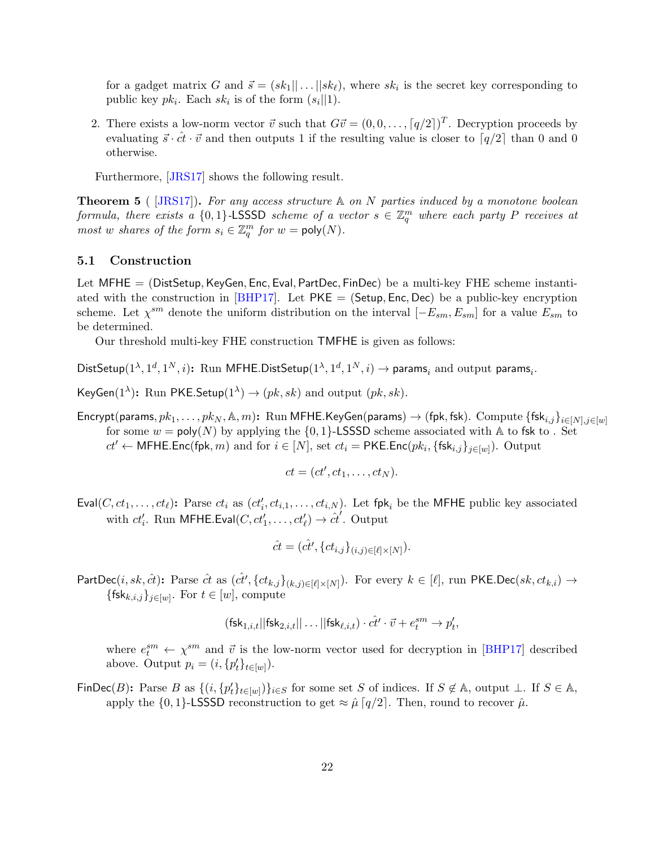for a gadget matrix G and  $\vec{s} = (sk_1|| \dots || sk_\ell)$ , where  $sk_i$  is the secret key corresponding to public key  $pk_i$ . Each  $sk_i$  is of the form  $(s_i||1)$ .

2. There exists a low-norm vector  $\vec{v}$  such that  $G\vec{v} = (0, 0, \ldots, \lceil q/2 \rceil)^T$ . Decryption proceeds by evaluating  $\vec{s} \cdot \hat{ct} \cdot \vec{v}$  and then outputs 1 if the resulting value is closer to  $\lceil q/2 \rceil$  than 0 and 0 otherwise.

Furthermore, [\[JRS17\]](#page-56-14) shows the following result.

**Theorem 5** (  $[JRS17]$ ). For any access structure A on N parties induced by a monotone boolean formula, there exists a  $\{0,1\}$ -LSSSD scheme of a vector  $s \in \mathbb{Z}_q^m$  where each party P receives at most w shares of the form  $s_i \in \mathbb{Z}_q^m$  for  $w = \text{poly}(N)$ .

### <span id="page-21-0"></span>5.1 Construction

Let MFHE = (DistSetup, KeyGen, Enc, Eval, PartDec, FinDec) be a multi-key FHE scheme instantiated with the construction in  $[BHP17]$ . Let  $PKE = (Setup, Enc, Dec)$  be a public-key encryption scheme. Let  $\chi^{sm}$  denote the uniform distribution on the interval  $[-E_{sm}, E_{sm}]$  for a value  $E_{sm}$  to be determined.

Our threshold multi-key FHE construction TMFHE is given as follows:

DistSetup $(1^{\lambda}, 1^d, 1^N, i)$ : Run MFHE.DistSetup $(1^{\lambda}, 1^d, 1^N, i) \rightarrow$  params<sub>i</sub> and output params<sub>i</sub>.

KeyGen(1<sup> $\lambda$ </sup>): Run PKE.Setup(1<sup> $\lambda$ </sup>)  $\rightarrow$  (*pk*, *sk*) and output (*pk*, *sk*).

Encrypt(params,  $pk_1, \ldots, pk_N, \mathbb{A}, m$ ): Run MFHE.KeyGen(params)  $\to$  (fpk, fsk). Compute {fsk $_{i,j}$ }<sub>i∈[N],j∈[w]</sub> for some  $w = \text{poly}(N)$  by applying the  $\{0, 1\}$ -LSSSD scheme associated with A to fsk to. Set  $ct' \leftarrow \mathsf{MFHE}.\mathsf{Enc}(\mathsf{fpk}, m)$  and for  $i \in [N]$ , set  $ct_i = \mathsf{PKE}.\mathsf{Enc}(pk_i, \{\mathsf{fsk}_{i,j}\}_{j \in [w]})$ . Output

$$
ct = (ct', ct_1, \ldots, ct_N).
$$

 $Eval(C, ct_1, \ldots, ct_\ell)$ : Parse  $ct_i$  as  $(ct'_i, ct_{i,1}, \ldots, ct_{i,N})$ . Let fpk<sub>i</sub> be the MFHE public key associated with  $ct_i'$ . Run MFHE.Eval $(C, ct_1', \ldots, ct_\ell') \rightarrow \hat{ct}^{\prime}$ . Output

$$
\hat{ct} = (\hat{ct}', \{ct_{i,j}\}_{(i,j) \in [\ell] \times [N]}).
$$

 $\textsf{PartDec}(i, sk, \hat{ct})$ : Parse  $\hat{ct}$  as  $(\hat{ct}', \{ct_{k,j}\}_{(k,j)\in[\ell]\times[N]}).$  For every  $k \in [\ell],$  run PKE.Dec $(sk, ct_{k,i}) \rightarrow$  $\{\mathsf{fsk}_{k,i,j}\}_{j\in[w]}$ . For  $t\in[w]$ , compute

$$
(\mathsf{fsk}_{1,i,t} || \mathsf{fsk}_{2,i,t} || \ldots || \mathsf{fsk}_{\ell,i,t}) \cdot c\mathring{\mathcal{t}}' \cdot \mathring{\mathcal{v}} + e^{sm}_t \rightarrow p'_t,
$$

where  $e_i^{sm} \leftarrow \chi^{sm}$  and  $\vec{v}$  is the low-norm vector used for decryption in [\[BHP17\]](#page-53-0) described above. Output  $p_i = (i, \{p'_t\}_{t \in [w]})$ .

FinDec(B): Parse B as  $\{(i, \{p'_t\}_{t\in [w]})\}_{i\in S}$  for some set S of indices. If  $S \notin A$ , output  $\bot$ . If  $S \in A$ , apply the  $\{0,1\}$ -LSSSD reconstruction to get  $\approx \hat{\mu}$  [q/2]. Then, round to recover  $\hat{\mu}$ .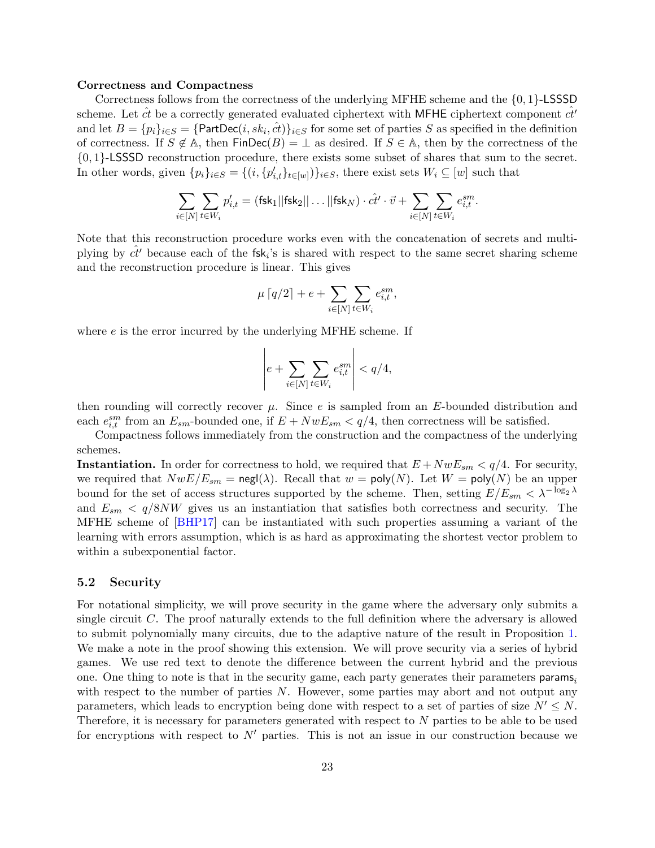#### Correctness and Compactness

Correctness follows from the correctness of the underlying MFHE scheme and the {0, 1}-LSSSD scheme. Let  $\hat{ct}$  be a correctly generated evaluated ciphertext with MFHE ciphertext component  $ct'$ and let  $B = \{p_i\}_{i \in S} = \{\textsf{PartDec}(i, sk_i, \hat{ct})\}_{i \in S}$  for some set of parties S as specified in the definition of correctness. If  $S \notin A$ , then  $\text{FinDec}(B) = \perp$  as desired. If  $S \in A$ , then by the correctness of the {0, 1}-LSSSD reconstruction procedure, there exists some subset of shares that sum to the secret. In other words, given  $\{p_i\}_{i\in S} = \{(i, \{p'_{i,t}\}_{t\in [w]})\}_{i\in S}$ , there exist sets  $W_i \subseteq [w]$  such that

$$
\sum_{i\in[N]}\sum_{t\in W_i}p'_{i,t}=(\mathsf{fsk}_1||\mathsf{fsk}_2||\ldots||\mathsf{fsk}_N)\cdot c\mathring{\boldsymbol{t}}'\cdot\vec{v}+\sum_{i\in[N]}\sum_{t\in W_i}e_{i,t}^{sm}.
$$

Note that this reconstruction procedure works even with the concatenation of secrets and multiplying by  $c\hat{t}'$  because each of the fsk<sub>i</sub>'s is shared with respect to the same secret sharing scheme and the reconstruction procedure is linear. This gives

$$
\mu\left\lceil q/2\right\rceil+e+\sum_{i\in[N]}\sum_{t\in W_i}e_{i,t}^{sm},
$$

where  $e$  is the error incurred by the underlying MFHE scheme. If

$$
\left| e + \sum_{i \in [N]} \sum_{t \in W_i} e_{i,t}^{sm} \right| < q/4,
$$

then rounding will correctly recover  $\mu$ . Since e is sampled from an E-bounded distribution and each  $e_{i,t}^{sm}$  from an  $E_{sm}$ -bounded one, if  $E + NwE_{sm} < q/4$ , then correctness will be satisfied.

Compactness follows immediately from the construction and the compactness of the underlying schemes.

**Instantiation.** In order for correctness to hold, we required that  $E + NwE_{sm} < q/4$ . For security, we required that  $NwE/E_{sm} = \text{negl}(\lambda)$ . Recall that  $w = \text{poly}(N)$ . Let  $W = \text{poly}(N)$  be an upper bound for the set of access structures supported by the scheme. Then, setting  $E/E_{sm} < \lambda^{-\log_2 \lambda}$ and  $E_{sm} < q/8NW$  gives us an instantiation that satisfies both correctness and security. The MFHE scheme of [\[BHP17\]](#page-53-0) can be instantiated with such properties assuming a variant of the learning with errors assumption, which is as hard as approximating the shortest vector problem to within a subexponential factor.

### <span id="page-22-0"></span>5.2 Security

For notational simplicity, we will prove security in the game where the adversary only submits a single circuit  $C$ . The proof naturally extends to the full definition where the adversary is allowed to submit polynomially many circuits, due to the adaptive nature of the result in Proposition [1.](#page-60-1) We make a note in the proof showing this extension. We will prove security via a series of hybrid games. We use red text to denote the difference between the current hybrid and the previous one. One thing to note is that in the security game, each party generates their parameters params, with respect to the number of parties  $N$ . However, some parties may abort and not output any parameters, which leads to encryption being done with respect to a set of parties of size  $N' \leq N$ . Therefore, it is necessary for parameters generated with respect to N parties to be able to be used for encryptions with respect to  $N'$  parties. This is not an issue in our construction because we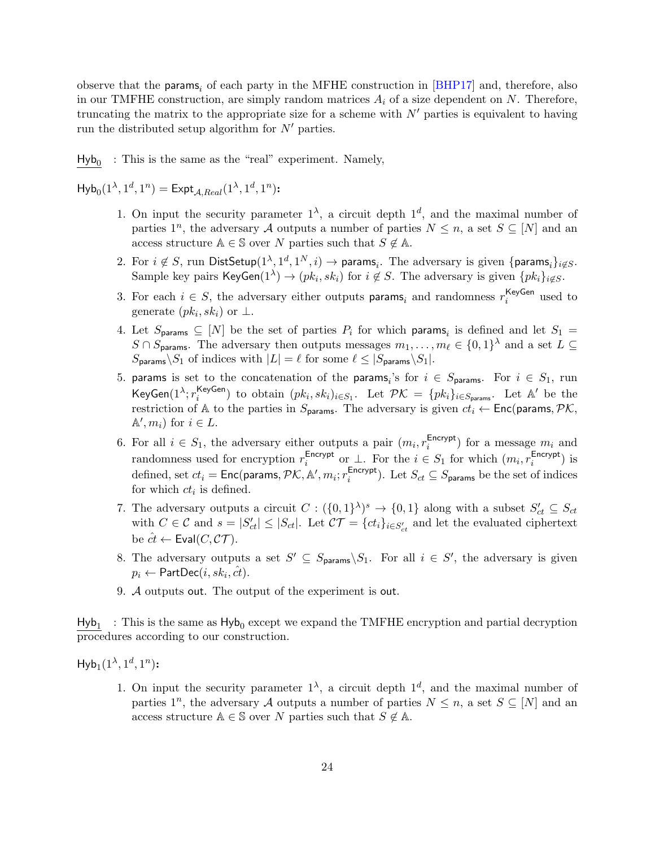observe that the params, of each party in the MFHE construction in  $[BHP17]$  and, therefore, also in our TMFHE construction, are simply random matrices  $A_i$  of a size dependent on N. Therefore, truncating the matrix to the appropriate size for a scheme with  $N'$  parties is equivalent to having run the distributed setup algorithm for  $N'$  parties.

 $H_yb_0$ : This is the same as the "real" experiment. Namely,

 $\mathsf{Hyb}_0(1^\lambda,1^d,1^n)=\mathsf{Expt}_{\mathcal{A},Real}(1^\lambda,1^d,1^n)$ :

- 1. On input the security parameter  $1^{\lambda}$ , a circuit depth  $1^d$ , and the maximal number of parties  $1^n$ , the adversary A outputs a number of parties  $N \leq n$ , a set  $S \subseteq [N]$  and an access structure  $A \in \mathbb{S}$  over N parties such that  $S \notin A$ .
- 2. For  $i \notin S$ , run DistSetup $(1^{\lambda}, 1^d, 1^N, i) \rightarrow$  params<sub>i</sub>. The adversary is given  $\{\mathsf{params}_i\}_{i \notin S}$ . Sample key pairs KeyGen $(1^{\lambda}) \rightarrow (pk_i, sk_i)$  for  $i \notin S$ . The adversary is given  $\{pk_i\}_{i \notin S}$ .
- 3. For each  $i \in S$ , the adversary either outputs params<sub>i</sub> and randomness  $r_i^{\text{KeyGen}}$  $i$ <sup>neyGen</sup> used to generate  $(pk_i, sk_i)$  or  $\perp$ .
- 4. Let  $S_{\text{params}} \subseteq [N]$  be the set of parties  $P_i$  for which params<sub>i</sub> is defined and let  $S_1 =$  $S \cap S_{\text{params}}$ . The adversary then outputs messages  $m_1, \ldots, m_\ell \in \{0, 1\}^{\lambda}$  and a set  $L \subseteq$  $S_{\text{params}}\setminus S_1$  of indices with  $|L| = \ell$  for some  $\ell \leq |S_{\text{params}}\setminus S_1|$ .
- 5. params is set to the concatenation of the params<sub>i</sub>'s for  $i \in S_{\text{params}}$ . For  $i \in S_1$ , run KeyGen $(1^{\lambda}; r_i^{\text{KeyGen}})$ <sup>KeyGen</sup>) to obtain  $(pk_i, sk_i)_{i \in S_1}$ . Let  $\mathcal{PK} = \{pk_i\}_{i \in S_{\text{params}}}$ . Let A' be the restriction of A to the parties in  $S_{\text{params}}$ . The adversary is given  $ct_i \leftarrow \text{Enc}(\text{params}, \mathcal{PK},$  $\mathbb{A}', m_i$  for  $i \in L$ .
- 6. For all  $i \in S_1$ , the adversary either outputs a pair  $(m_i, r_i^{\text{Encrypt}})$  $\binom{\text{energy}}{i}$  for a message  $m_i$  and randomness used for encryption  $r_i^{\text{Encrypt}}$ Encrypt or  $\bot$ . For the  $i \in S_1$  for which  $(m_i, r_i^{\text{Encrypt}})$  $i^{\text{ncrypt}}$ ) is defined, set  $ct_i = \mathsf{Enc}(\mathsf{params}, \mathcal{PK}, \mathbb{A}', m_i; r_i^{\mathsf{Encrypt}}$  $i_i^{\text{energypt}}$ ). Let  $S_{ct} \subseteq S_{\text{params}}$  be the set of indices for which  $ct_i$  is defined.
- 7. The adversary outputs a circuit  $C: (\{0,1\}^{\lambda})^s \to \{0,1\}$  along with a subset  $S'_{ct} \subseteq S_{ct}$ with  $C \in \mathcal{C}$  and  $s = |S'_{ct}| \leq |S_{ct}|$ . Let  $\mathcal{CT} = \{ct_i\}_{i \in S'_{ct}}$  and let the evaluated ciphertext be  $\hat{ct} \leftarrow \text{Eval}(C, \mathcal{CT})$ .
- 8. The adversary outputs a set  $S' \subseteq S_{\text{params}} \backslash S_1$ . For all  $i \in S'$ , the adversary is given  $p_i \leftarrow \mathsf{PartDec}(i, sk_i, \hat{ct}).$
- 9. A outputs out. The output of the experiment is out.

 $Hyb_1$ : This is the same as  $Hyb_0$  except we expand the TMFHE encryption and partial decryption procedures according to our construction.

 $\mathsf{Hyb}_1(1^\lambda,1^d,1^n)$ :

1. On input the security parameter  $1^{\lambda}$ , a circuit depth  $1^d$ , and the maximal number of parties  $1^n$ , the adversary A outputs a number of parties  $N \leq n$ , a set  $S \subseteq [N]$  and an access structure  $A \in \mathbb{S}$  over N parties such that  $S \notin A$ .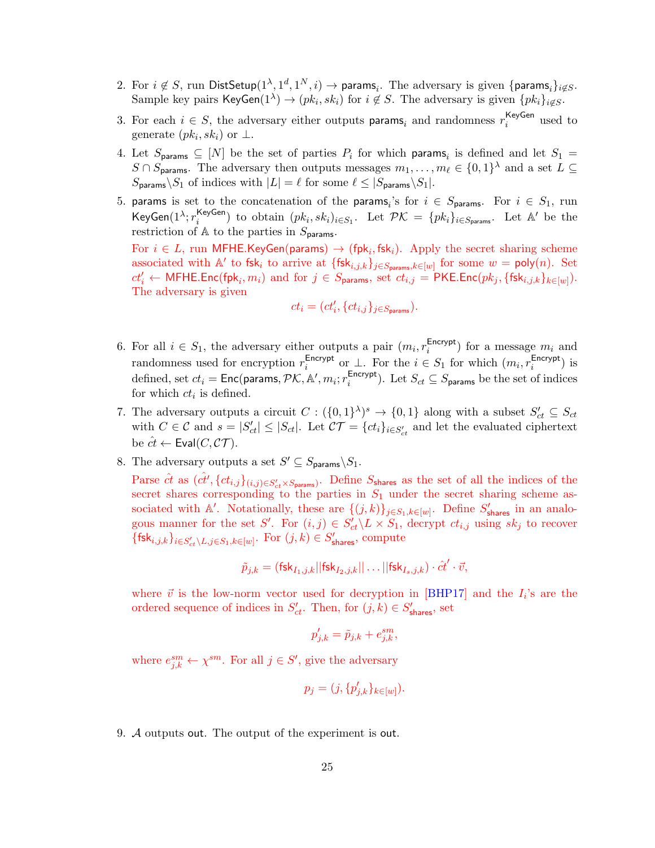- 2. For  $i \notin S$ , run DistSetup $(1^{\lambda}, 1^d, 1^N, i) \rightarrow$  params<sub>i</sub>. The adversary is given  $\{\mathsf{params}_i\}_{i \notin S}$ . Sample key pairs KeyGen $(1^{\lambda}) \rightarrow (pk_i, sk_i)$  for  $i \notin S$ . The adversary is given  $\{pk_i\}_{i \notin S}$ .
- 3. For each  $i \in S$ , the adversary either outputs params<sub>i</sub> and randomness  $r_i^{\text{KeyGen}}$  $i$ <sup>neyGen</sup> used to generate  $(pk_i, sk_i)$  or  $\perp$ .
- 4. Let  $S_{\text{params}} \subseteq [N]$  be the set of parties  $P_i$  for which params<sub>i</sub> is defined and let  $S_1 =$  $S \cap S_{\text{params}}$ . The adversary then outputs messages  $m_1, \ldots, m_\ell \in \{0, 1\}^{\lambda}$  and a set  $L \subseteq$  $S_{\text{params}}\S_1$  of indices with  $|L| = \ell$  for some  $\ell \leq |S_{\text{params}}\S_1|.$
- 5. params is set to the concatenation of the params<sub>i</sub>'s for  $i \in S_{\text{params}}$ . For  $i \in S_1$ , run KeyGen $(1^{\lambda}; r_i^{\text{KeyGen}})$ <sup>KeyGen</sup>) to obtain  $(pk_i, sk_i)_{i \in S_1}$ . Let  $\mathcal{PK} = \{pk_i\}_{i \in S_{\text{params}}}$ . Let A' be the restriction of  $A$  to the parties in  $S_{\text{params}}$ .

For  $i \in L$ , run MFHE.KeyGen(params)  $\rightarrow$  (fpk<sub>i</sub>, fsk<sub>i</sub>). Apply the secret sharing scheme associated with A' to fsk<sub>i</sub> to arrive at  $\{\textsf{fsk}_{i,j,k}\}_{j\in S_{\text{params}},k\in[w]}$  for some  $w = \text{poly}(n)$ . Set  $ct'_{i} \leftarrow \mathsf{MFHE}.\mathsf{Enc}(\mathsf{fpk}_{i}, m_{i})$  and for  $j \in S_{\mathsf{params}}$ , set  $ct_{i,j} = \mathsf{PKE}.\mathsf{Enc}(pk_{j}, \{\mathsf{fsk}_{i,j,k}\}_{k \in [w]})$ . The adversary is given

$$
ct_i = (ct_i', \{ct_{i,j}\}_{j \in S_{\text{params}}}).
$$

- 6. For all  $i \in S_1$ , the adversary either outputs a pair  $(m_i, r_i^{\text{Encrypt}})$  $\binom{\text{energypt}}{i}$  for a message  $m_i$  and randomness used for encryption  $r_i^{\text{Encrypt}}$ Encrypt or  $\bot$ . For the  $i \in S_1$  for which  $(m_i, r_i^{\text{Encrypt}})$  $i^{\text{ncrypt}}$ ) is  $\mathrm{defined,}\ \mathrm{set}\; ct_i = \mathsf{Enc}(\mathsf{params}, \mathcal{PK}, \mathbb{A}', m_i; r_i^{\mathsf{Encrypt}}$  $i_i^{\text{energypt}}$ ). Let  $S_{ct} \subseteq S_{\text{params}}$  be the set of indices for which  $ct_i$  is defined.
- 7. The adversary outputs a circuit  $C: (\{0,1\}^{\lambda})^s \to \{0,1\}$  along with a subset  $S'_{ct} \subseteq S_{ct}$ with  $C \in \mathcal{C}$  and  $s = |S'_{ct}| \leq |S_{ct}|$ . Let  $\mathcal{CT} = \{ct_i\}_{i \in S'_{ct}}$  and let the evaluated ciphertext be  $\hat{ct} \leftarrow \text{Eval}(C, \mathcal{CT})$ .
- 8. The adversary outputs a set  $S' \subseteq S_{\text{params}} \backslash S_1$ .

Parse  $\hat{ct}$  as  $(\hat{ct}', \{ct_{i,j}\}_{(i,j)\in S'_{ct}\times S_{\text{params}}})$ . Define  $S_{\text{shares}}$  as the set of all the indices of the secret shares corresponding to the parties in  $S_1$  under the secret sharing scheme associated with A'. Notationally, these are  $\{(j,k)\}_{j\in S_1,k\in[w]}$ . Define  $S'_{\text{shares}}$  in an analogous manner for the set S'. For  $(i, j) \in S'_{ct}\backslash L \times S_1$ , decrypt  $ct_{i,j}$  using  $sk_j$  to recover  $\{\mathsf{fsk}_{i,j,k}\}_{i \in S'_{ct} \setminus L, j \in S_1, k \in [w]}$ . For  $(j, k) \in S'_{\mathsf{shares}}$ , compute

$$
\tilde{p}_{j,k} = (\mathsf{fsk}_{I_1,j,k} || \mathsf{fsk}_{I_2,j,k} || \ldots || \mathsf{fsk}_{I_s,j,k}) \cdot \hat{ct}' \cdot \vec{v},
$$

where  $\vec{v}$  is the low-norm vector used for decryption in [\[BHP17\]](#page-53-0) and the  $I_i$ 's are the ordered sequence of indices in  $S'_{ct}$ . Then, for  $(j, k) \in S'_{\text{shares}}$ , set

$$
p'_{j,k} = \tilde{p}_{j,k} + e^{sm}_{j,k},
$$

where  $e_{j,k}^{sm} \leftarrow \chi^{sm}$ . For all  $j \in S'$ , give the adversary

$$
p_j = (j, \{p'_{j,k}\}_{k \in [w]}).
$$

9. A outputs out. The output of the experiment is out.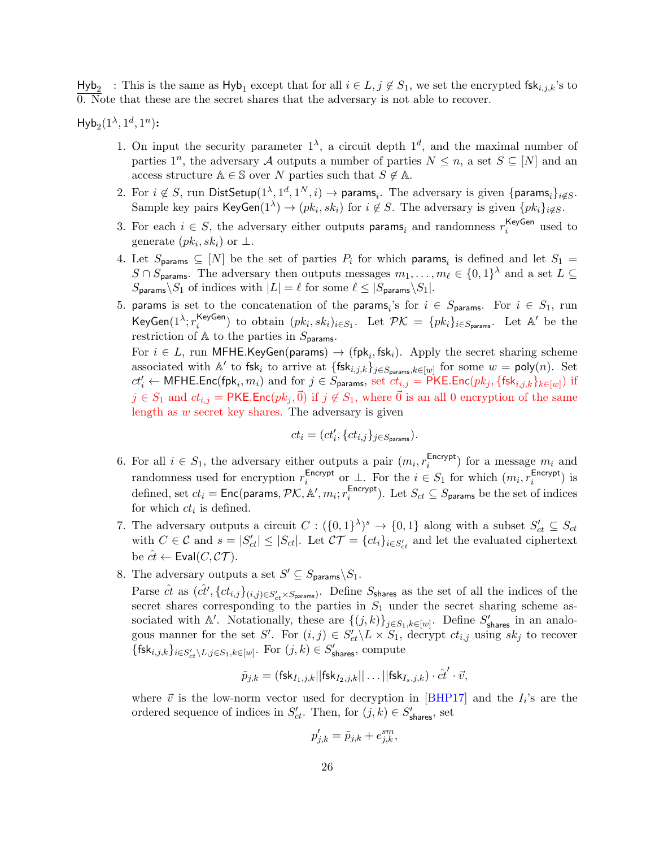$\text{Hyb}_2$ : This is the same as  $\text{Hyb}_1$  except that for all  $i \in L, j \notin S_1$ , we set the encrypted  $\textsf{fsk}_{i,j,k}$ 's to 0. Note that these are the secret shares that the adversary is not able to recover.

 $\mathsf{Hyb}_2(1^\lambda,1^d,1^n)$ :

- 1. On input the security parameter  $1^{\lambda}$ , a circuit depth  $1^d$ , and the maximal number of parties  $1^n$ , the adversary A outputs a number of parties  $N \leq n$ , a set  $S \subseteq [N]$  and an access structure  $A \in \mathbb{S}$  over N parties such that  $S \notin A$ .
- 2. For  $i \notin S$ , run DistSetup $(1^{\lambda}, 1^d, 1^N, i) \rightarrow$  params<sub>i</sub>. The adversary is given  $\{\mathsf{params}_i\}_{i \notin S}$ . Sample key pairs KeyGen $(1^{\lambda}) \rightarrow (pk_i, sk_i)$  for  $i \notin S$ . The adversary is given  $\{pk_i\}_{i \notin S}$ .
- 3. For each  $i \in S$ , the adversary either outputs params<sub>i</sub> and randomness  $r_i^{\text{KeyGen}}$  $i$ <sup>neyGen</sup> used to generate  $(pk_i, sk_i)$  or  $\perp$ .
- 4. Let  $S_{\text{params}} \subseteq [N]$  be the set of parties  $P_i$  for which params<sub>i</sub> is defined and let  $S_1 =$ S ∩ S<sub>params</sub>. The adversary then outputs messages  $m_1, \ldots, m_\ell \in \{0, 1\}^{\lambda}$  and a set  $L \subseteq$  $S_{\text{params}}\S_1$  of indices with  $|L| = \ell$  for some  $\ell \leq |S_{\text{params}}\S_1|.$
- 5. params is set to the concatenation of the params<sub>i</sub>'s for  $i \in S_{\text{params}}$ . For  $i \in S_1$ , run KeyGen $(1^{\lambda}; r_i^{\text{KeyGen}})$ <sup>KeyGen</sup>) to obtain  $(pk_i, sk_i)_{i \in S_1}$ . Let  $\mathcal{PK} = \{pk_i\}_{i \in S_{\text{params}}}$ . Let A' be the restriction of  $A$  to the parties in  $S_{\text{params}}$ .

For  $i \in L$ , run MFHE.KeyGen(params)  $\rightarrow$  (fpk<sub>i</sub>, fsk<sub>i</sub>). Apply the secret sharing scheme associated with A' to fsk<sub>i</sub> to arrive at  $\{\textsf{fsk}_{i,j,k}\}_{j\in S_{\textsf{params}},k\in[w]}$  for some  $w = \textsf{poly}(n)$ . Set  $ct'_i \leftarrow \mathsf{MFHE}.\mathsf{Enc}(\mathsf{fpk}_i, m_i)$  and for  $j \in S_{\mathsf{params}}$ , set  $ct_{i,j} = \mathsf{PKE}.\mathsf{Enc}(pk_j, \{\mathsf{fsk}_{i,j,k}\}_{k \in [w]})$  if  $j \in S_1$  and  $ct_{i,j} = \text{PKE}$ . Enc $(pk_j, 0)$  if  $j \notin S_1$ , where 0 is an all 0 encryption of the same length as w secret key shares. The adversary is given

$$
ct_i = (ct_i', \{ct_{i,j}\}_{j \in S_{\text{params}}}).
$$

- 6. For all  $i \in S_1$ , the adversary either outputs a pair  $(m_i, r_i^{\text{Energy}})$  for a message  $m_i$  and i randomness used for encryption  $r_i^{\text{Encrypt}}$ Encrypt or  $\bot$ . For the  $i \in S_1$  for which  $(m_i, r_i^{\text{Encrypt}})$  $i^{\text{ncrypt}}$ ) is defined, set  $ct_i = \mathsf{Enc}(\mathsf{params}, \mathcal{PK}, \mathbb{A}', m_i; r_i^{\mathsf{Encrypt}}$  $i_i^{\text{energypt}}$ ). Let  $S_{ct} \subseteq S_{\text{params}}$  be the set of indices for which  $ct_i$  is defined.
- 7. The adversary outputs a circuit  $C: (\{0,1\}^{\lambda})^s \to \{0,1\}$  along with a subset  $S'_{ct} \subseteq S_{ct}$ with  $C \in \mathcal{C}$  and  $s = |S'_{ct}| \leq |S_{ct}|$ . Let  $\mathcal{CT} = \{ct_i\}_{i \in S'_{ct}}$  and let the evaluated ciphertext be  $ct \leftarrow \text{Eval}(C, \mathcal{CT})$ .
- 8. The adversary outputs a set  $S' \subseteq S_{\text{params}} \backslash S_1$ .

Parse  $\hat{ct}$  as  $(\hat{ct}', \{ct_{i,j}\}_{(i,j)\in S'_{ct}\times S_{\text{params}}})$ . Define  $S_{\text{shares}}$  as the set of all the indices of the secret shares corresponding to the parties in  $S_1$  under the secret sharing scheme associated with A'. Notationally, these are  $\{(j,k)\}_{j\in S_1,k\in[w]}$ . Define  $S'_{\text{shares}}$  in an analogous manner for the set S'. For  $(i, j) \in S'_{ct} \backslash L \times S_1$ , decrypt  $ct_{i,j}$  using  $sk_j$  to recover  $\{\mathsf{fsk}_{i,j,k}\}_{i \in S'_ct \setminus L, j \in S_1, k \in [w]}$ . For  $(j, k) \in S'_\mathsf{shares}$ , compute

$$
\tilde{p}_{j,k} = (\mathsf{fsk}_{I_1,j,k} || \mathsf{fsk}_{I_2,j,k} || \ldots || \mathsf{fsk}_{I_s,j,k}) \cdot \hat{ct}' \cdot \vec{v},
$$

where  $\vec{v}$  is the low-norm vector used for decryption in [\[BHP17\]](#page-53-0) and the  $I_i$ 's are the ordered sequence of indices in  $S'_{ct}$ . Then, for  $(j, k) \in S'_{\text{shares}}$ , set

$$
p'_{j,k} = \tilde{p}_{j,k} + e^{sm}_{j,k},
$$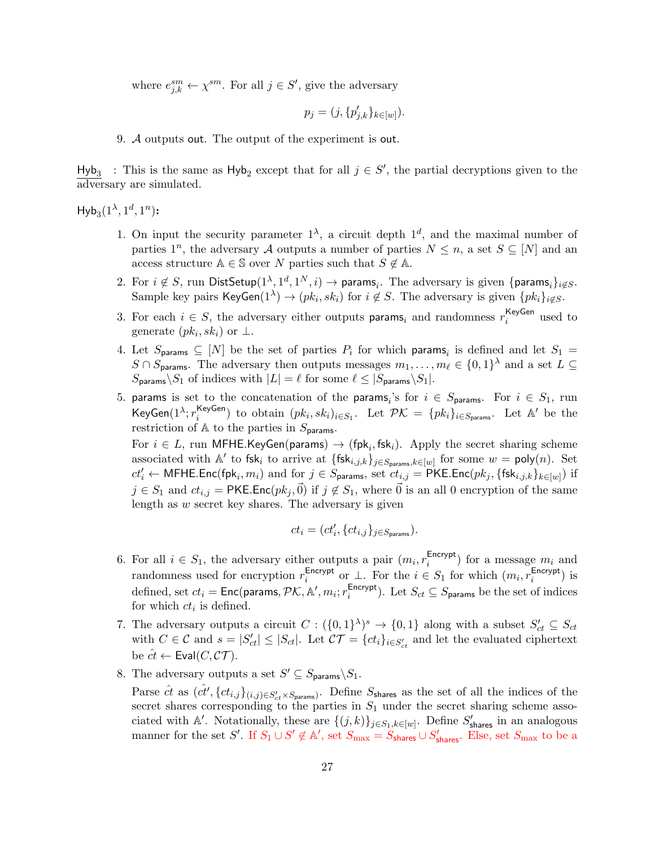where  $e_{j,k}^{sm} \leftarrow \chi^{sm}$ . For all  $j \in S'$ , give the adversary

$$
p_j = (j, \{p'_{j,k}\}_{k \in [w]}).
$$

9. A outputs out. The output of the experiment is out.

Hyb<sub>3</sub>: This is the same as Hyb<sub>2</sub> except that for all  $j \in S'$ , the partial decryptions given to the adversary are simulated.

 $\mathsf{Hyb}_3(1^\lambda,1^d,1^n)$ :

- 1. On input the security parameter  $1^{\lambda}$ , a circuit depth  $1^d$ , and the maximal number of parties  $1^n$ , the adversary A outputs a number of parties  $N \leq n$ , a set  $S \subseteq [N]$  and an access structure  $A \in \mathbb{S}$  over N parties such that  $S \notin A$ .
- 2. For  $i \notin S$ , run DistSetup $(1^{\lambda}, 1^d, 1^N, i) \rightarrow$  params<sub>i</sub>. The adversary is given  $\{\mathsf{params}_i\}_{i \notin S}$ . Sample key pairs KeyGen $(1^{\lambda}) \rightarrow (pk_i, sk_i)$  for  $i \notin S$ . The adversary is given  $\{pk_i\}_{i \notin S}$ .
- 3. For each  $i \in S$ , the adversary either outputs params<sub>i</sub> and randomness  $r_i^{\text{KeyGen}}$  $i$ <sup>neyGen</sup> used to generate  $(pk_i, sk_i)$  or  $\perp$ .
- 4. Let  $S_{\text{params}} \subseteq [N]$  be the set of parties  $P_i$  for which params<sub>i</sub> is defined and let  $S_1 =$ S ∩ S<sub>params</sub>. The adversary then outputs messages  $m_1, \ldots, m_\ell \in \{0, 1\}^{\lambda}$  and a set  $L \subseteq$  $S_{\text{params}}\S_1$  of indices with  $|L| = \ell$  for some  $\ell \leq |S_{\text{params}}\S_1|.$
- 5. params is set to the concatenation of the params<sub>i</sub>'s for  $i \in S_{\text{params}}$ . For  $i \in S_1$ , run KeyGen $(1^{\lambda}; r_i^{\text{KeyGen}})$ <sup>KeyGen</sup>) to obtain  $(pk_i, sk_i)_{i \in S_1}$ . Let  $\mathcal{PK} = \{pk_i\}_{i \in S_{\text{params}}}$ . Let A' be the restriction of  $A$  to the parties in  $S_{\text{params}}$ .

For  $i \in L$ , run MFHE.KeyGen(params)  $\rightarrow$  (fpk<sub>i</sub>, fsk<sub>i</sub>). Apply the secret sharing scheme associated with A' to fsk<sub>i</sub> to arrive at  $\{\textsf{fsk}_{i,j,k}\}_{j\in S_{\textsf{params}},k\in[w]}$  for some  $w = \textsf{poly}(n)$ . Set  $ct'_i \leftarrow \mathsf{MFHE}.\mathsf{Enc}(\mathsf{fpk}_i, m_i)$  and for  $j \in S_{\mathsf{params}}$ , set  $ct_{i,j} = \mathsf{PKE}.\mathsf{Enc}(pk_j, \{\mathsf{fsk}_{i,j,k}\}_{k \in [w]})$  if  $j \in S_1$  and  $ct_{i,j} = \text{PKE}$ . Enc $(pk_j, \vec{0})$  if  $j \notin S_1$ , where  $\vec{0}$  is an all 0 encryption of the same length as  $w$  secret key shares. The adversary is given

$$
ct_i = (ct'_i, \{ct_{i,j}\}_{j \in S_{\text{params}}}).
$$

- 6. For all  $i \in S_1$ , the adversary either outputs a pair  $(m_i, r_i^{\text{Encrypt}})$  $\binom{\text{energy}}{i}$  for a message  $m_i$  and randomness used for encryption  $r_i^{\text{Encrypt}}$ Encrypt or  $\perp$ . For the  $i \in S_1$  for which  $(m_i, r_i^{\text{Encrypt}})$  $i^{\text{ncrypt}}$ ) is defined, set  $ct_i = \mathsf{Enc}(\mathsf{params}, \mathcal{PK}, \mathbb{A}', m_i; r_i^{\mathsf{Encrypt}}$  $i_i^{\text{energypt}}$ ). Let  $S_{ct} \subseteq S_{\text{params}}$  be the set of indices for which  $ct_i$  is defined.
- 7. The adversary outputs a circuit  $C: (\{0,1\}^{\lambda})^s \to \{0,1\}$  along with a subset  $S'_{ct} \subseteq S_{ct}$ with  $C \in \mathcal{C}$  and  $s = |S'_{ct}| \leq |S_{ct}|$ . Let  $\mathcal{CT} = \{ct_i\}_{i \in S'_{ct}}$  and let the evaluated ciphertext be  $\hat{ct} \leftarrow \text{Eval}(C, \mathcal{CT})$ .
- 8. The adversary outputs a set  $S' \subseteq S_{\text{params}} \backslash S_1$ .

Parse  $\hat{ct}$  as  $(\hat{ct}', \{ct_{i,j}\}_{(i,j)\in S'_{ct}\times S_{\text{params}}})$ . Define  $S_{\text{shares}}$  as the set of all the indices of the secret shares corresponding to the parties in  $S_1$  under the secret sharing scheme associated with A'. Notationally, these are  $\{(j,k)\}_{j\in S_1,k\in [w]}$ . Define  $S'_{\text{shares}}$  in an analogous manner for the set S'. If  $S_1 \cup S' \notin A'$ , set  $S_{\text{max}} = S_{\text{shares}} \cup S'_{\text{shares}}$ . Else, set  $S_{\text{max}}$  to be a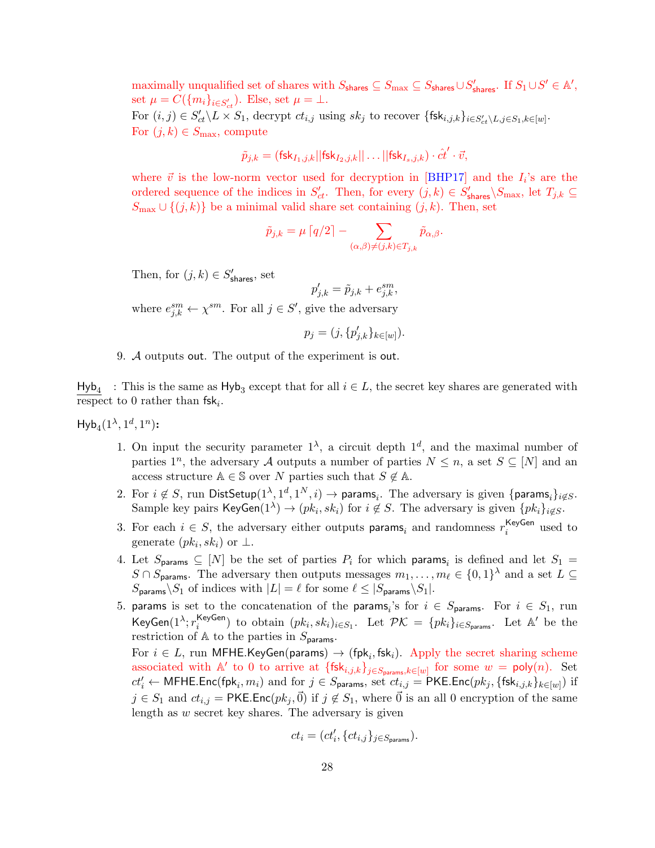maximally unqualified set of shares with  $S_{\text{shareS}} \subseteq S_{\text{max}} \subseteq S_{\text{shareS}} \cup S'_{\text{shares}}$ . If  $S_1 \cup S' \in \mathbb{A}'$ , set  $\mu = C(\{m_i\}_{i \in S'_{ct}})$ . Else, set  $\mu = \perp$ .

For  $(i, j) \in S'_{ct}\backslash L \times S_1$ , decrypt  $ct_{i,j}$  using  $sk_j$  to recover  $\{\textsf{fsk}_{i,j,k}\}_{i \in S'_{ct}\backslash L, j \in S_1, k \in [w]}$ . For  $(j, k) \in S_{\text{max}}$ , compute

$$
\tilde{p}_{j,k} = (\mathsf{fsk}_{I_1,j,k} || \mathsf{fsk}_{I_2,j,k} || \dots || \mathsf{fsk}_{I_s,j,k}) \cdot \hat{ct}' \cdot \vec{v},
$$

where  $\vec{v}$  is the low-norm vector used for decryption in [\[BHP17\]](#page-53-0) and the  $I_i$ 's are the ordered sequence of the indices in  $S'_{ct}$ . Then, for every  $(j, k) \in S'_{\text{shares}} \backslash S_{\text{max}}$ , let  $T_{j,k} \subseteq$  $S_{\text{max}} \cup \{(j,k)\}\$ be a minimal valid share set containing  $(j,k)$ . Then, set

$$
\tilde{p}_{j,k} = \mu \left[ q/2 \right] - \sum_{(\alpha,\beta) \neq (j,k) \in T_{j,k}} \tilde{p}_{\alpha,\beta}.
$$

Then, for  $(j, k) \in S'_{\text{shares}}$ , set

$$
p'_{j,k} = \tilde{p}_{j,k} + e^{sm}_{j,k},
$$

where  $e_{j,k}^{sm} \leftarrow \chi^{sm}$ . For all  $j \in S'$ , give the adversary

$$
p_j = (j, \{p'_{j,k}\}_{k \in [w]}).
$$

9. A outputs out. The output of the experiment is out.

 $H_yb_4$ : This is the same as  $H_yb_3$  except that for all  $i \in L$ , the secret key shares are generated with respect to 0 rather than  $fsk_i$ .

 ${\sf Hyb}_4(1^\lambda,1^d,1^n)$ :

- 1. On input the security parameter  $1^{\lambda}$ , a circuit depth  $1^d$ , and the maximal number of parties  $1^n$ , the adversary A outputs a number of parties  $N \leq n$ , a set  $S \subseteq [N]$  and an access structure  $A \in \mathbb{S}$  over N parties such that  $S \notin A$ .
- 2. For  $i \notin S$ , run DistSetup $(1^{\lambda}, 1^d, 1^N, i) \rightarrow$  params<sub>i</sub>. The adversary is given  $\{\mathsf{params}_i\}_{i \notin S}$ . Sample key pairs KeyGen $(1^{\lambda}) \rightarrow (pk_i, sk_i)$  for  $i \notin S$ . The adversary is given  $\{pk_i\}_{i \notin S}$ .
- 3. For each  $i \in S$ , the adversary either outputs params<sub>i</sub> and randomness  $r_i^{\text{KeyGen}}$  $i$ <sup>neyGen</sup> used to generate  $(pk_i, sk_i)$  or  $\perp$ .
- 4. Let  $S_{\text{params}} \subseteq [N]$  be the set of parties  $P_i$  for which params<sub>i</sub> is defined and let  $S_1 =$  $S \cap S_{\text{params}}$ . The adversary then outputs messages  $m_1, \ldots, m_\ell \in \{0, 1\}^{\lambda}$  and a set  $L \subseteq$  $S_{\text{params}}\backslash S_1$  of indices with  $|L| = \ell$  for some  $\ell \leq |S_{\text{params}}\backslash S_1|.$
- 5. params is set to the concatenation of the params<sub>i</sub>'s for  $i \in S_{\text{params}}$ . For  $i \in S_1$ , run KeyGen $(1^{\lambda}; r_i^{\text{KeyGen}})$ <sup>KeyGen</sup>) to obtain  $(pk_i, sk_i)_{i \in S_1}$ . Let  $\mathcal{PK} = \{pk_i\}_{i \in S_{\text{params}}}$ . Let A' be the restriction of  $A$  to the parties in  $S_{\text{params}}$ .

For  $i \in L$ , run MFHE.KeyGen(params)  $\rightarrow$  (fpk<sub>i</sub>, fsk<sub>i</sub>). Apply the secret sharing scheme associated with A' to 0 to arrive at  $\{\mathsf{fsk}_{i,j,k}\}_{j\in S_{\text{params}},k\in[w]}$  for some  $w = \text{poly}(n)$ . Set  $ct'_{i} \leftarrow \mathsf{MFHE}.\mathsf{Enc}(\mathsf{fpk}_{i},m_{i})$  and for  $j \in S_{\mathsf{params}}$ , set  $ct_{i,j} = \mathsf{PKE}.\mathsf{Enc}(pk_{j}, \{\mathsf{fsk}_{i,j,k}\}_{k \in [w]})$  if  $j \in S_1$  and  $ct_{i,j} = \text{PKE}$ . Enc $(pk_j, 0)$  if  $j \notin S_1$ , where 0 is an all 0 encryption of the same length as  $w$  secret key shares. The adversary is given

$$
ct_i = (ct_i', \{ct_{i,j}\}_{j \in S_{\text{params}}}).
$$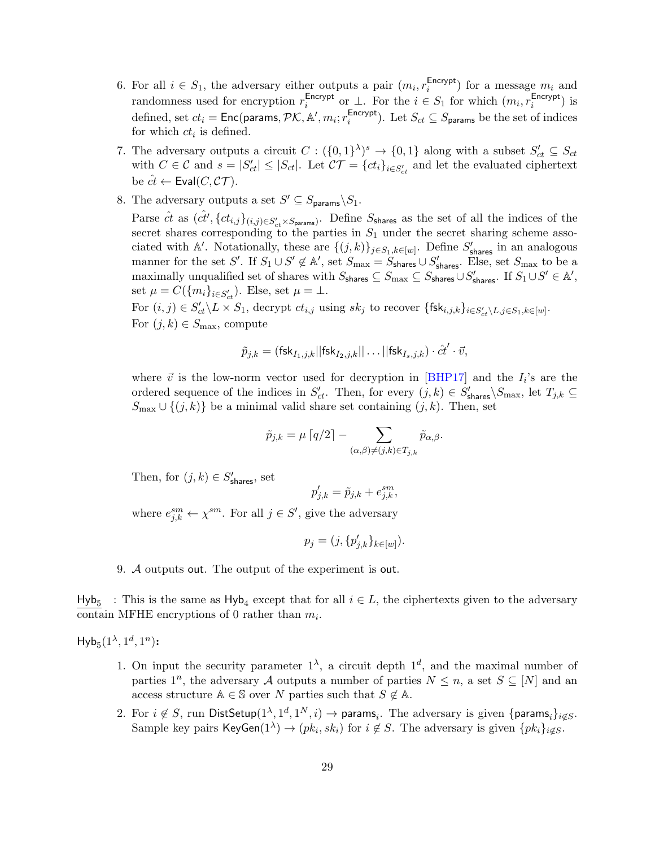- 6. For all  $i \in S_1$ , the adversary either outputs a pair  $(m_i, r_i^{\text{Encrypt}})$  $\binom{\text{energy}}{i}$  for a message  $m_i$  and randomness used for encryption  $r_i^{\text{Encrypt}}$ Encrypt or  $\bot$ . For the  $i \in S_1$  for which  $(m_i, r_i^{\text{Encrypt}})$  $i^{\text{ncrypt}}$ ) is defined, set  $ct_i = \mathsf{Enc}(\mathsf{params}, \mathcal{PK}, \mathbb{A}', m_i; r_i^{\mathsf{Encrypt}}$  $i_i^{\text{Energy}}$ ). Let  $S_{ct} \subseteq S_{\text{params}}$  be the set of indices for which  $ct_i$  is defined.
- 7. The adversary outputs a circuit  $C: (\{0,1\}^{\lambda})^s \to \{0,1\}$  along with a subset  $S'_{ct} \subseteq S_{ct}$ with  $C \in \mathcal{C}$  and  $s = |S'_{ct}| \leq |S_{ct}|$ . Let  $\mathcal{CT} = \{ct_i\}_{i \in S'_{ct}}$  and let the evaluated ciphertext be  $ct \leftarrow \text{Eval}(C, \mathcal{CT})$ .
- 8. The adversary outputs a set  $S' \subseteq S_{\text{params}} \backslash S_1$ .

Parse  $\hat{ct}$  as  $(\hat{ct}', \{ct_{i,j}\}_{(i,j)\in S'_{ct}\times S_{\text{params}}})$ . Define  $S_{\text{shares}}$  as the set of all the indices of the secret shares corresponding to the parties in  $S_1$  under the secret sharing scheme associated with A'. Notationally, these are  $\{(j,k)\}_{j\in S_1,k\in [w]}$ . Define  $S'_{\text{shares}}$  in an analogous manner for the set S'. If  $S_1 \cup S' \notin A'$ , set  $S_{\text{max}} = S_{\text{share}} \cup S'_{\text{share}}$ . Else, set  $S_{\text{max}}$  to be a maximally unqualified set of shares with  $S_{\text{shareS}} \subseteq S_{\text{max}} \subseteq S_{\text{shareS}} \cup S'_{\text{shares}}$ . If  $S_1 \cup S' \in \mathbb{A}'$ , set  $\mu = C(\{m_i\}_{i \in S'_{ct}})$ . Else, set  $\mu = \perp$ .

For  $(i, j) \in S'_{ct}\backslash L \times S_1$ , decrypt  $ct_{i,j}$  using  $sk_j$  to recover  $\{\textsf{fsk}_{i,j,k}\}_{i \in S'_{ct}\backslash L, j \in S_1, k \in [w]}$ . For  $(j, k) \in S_{\text{max}}$ , compute

$$
\tilde{p}_{j,k} = (\mathsf{fsk}_{I_1,j,k} || \mathsf{fsk}_{I_2,j,k} || \ldots || \mathsf{fsk}_{I_s,j,k}) \cdot \hat{ct}' \cdot \vec{v},
$$

where  $\vec{v}$  is the low-norm vector used for decryption in [\[BHP17\]](#page-53-0) and the  $I_i$ 's are the ordered sequence of the indices in  $S'_{ct}$ . Then, for every  $(j, k) \in S'_{\text{shares}} \backslash S_{\text{max}}$ , let  $T_{j,k} \subseteq$  $S_{\text{max}} \cup \{(j,k)\}\$ be a minimal valid share set containing  $(j,k)$ . Then, set

$$
\tilde{p}_{j,k} = \mu \left[ q/2 \right] - \sum_{(\alpha,\beta) \neq (j,k) \in T_{j,k}} \tilde{p}_{\alpha,\beta}.
$$

Then, for  $(j, k) \in S'_{\text{shares}}$ , set

$$
p'_{j,k} = \tilde{p}_{j,k} + e^{sm}_{j,k},
$$

where  $e_{j,k}^{sm} \leftarrow \chi^{sm}$ . For all  $j \in S'$ , give the adversary

$$
p_j = (j, \{p'_{j,k}\}_{k \in [w]}).
$$

9. A outputs out. The output of the experiment is out.

 $Hyb_5$ : This is the same as  $Hyb_4$  except that for all  $i \in L$ , the ciphertexts given to the adversary contain MFHE encryptions of 0 rather than  $m_i$ .

 $\mathsf{Hyb}_5(1^\lambda,1^d,1^n)$ :

- 1. On input the security parameter  $1^{\lambda}$ , a circuit depth  $1^d$ , and the maximal number of parties  $1^n$ , the adversary A outputs a number of parties  $N \leq n$ , a set  $S \subseteq [N]$  and an access structure  $A \in \mathbb{S}$  over N parties such that  $S \notin A$ .
- 2. For  $i \notin S$ , run DistSetup $(1^{\lambda}, 1^d, 1^N, i) \rightarrow$  params<sub>i</sub>. The adversary is given  $\{\mathsf{params}_i\}_{i \notin S}$ . Sample key pairs KeyGen $(1^{\lambda}) \rightarrow (pk_i, sk_i)$  for  $i \notin S$ . The adversary is given  $\{pk_i\}_{i \notin S}$ .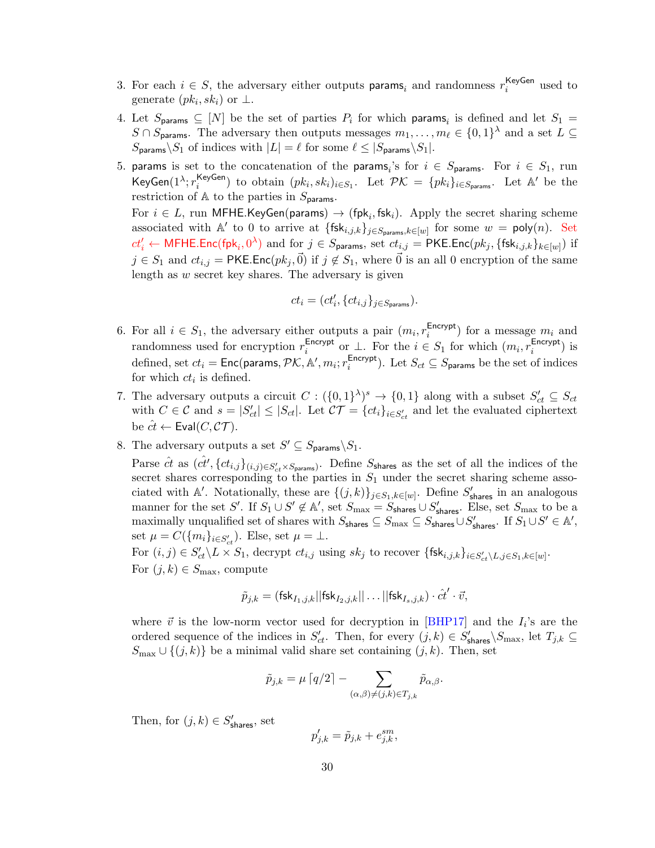- 3. For each  $i \in S$ , the adversary either outputs params<sub>i</sub> and randomness  $r_i^{\text{KeyGen}}$  $i$ <sup>neyGen</sup> used to generate  $(pk_i, sk_i)$  or  $\perp$ .
- 4. Let  $S_{\text{params}} \subseteq [N]$  be the set of parties  $P_i$  for which params<sub>i</sub> is defined and let  $S_1 =$ S ∩ S<sub>params</sub>. The adversary then outputs messages  $m_1, \ldots, m_\ell \in \{0, 1\}^\lambda$  and a set  $L \subseteq$  $S_{\text{params}}\S_1$  of indices with  $|L| = \ell$  for some  $\ell \leq |S_{\text{params}}\S_1|.$
- 5. params is set to the concatenation of the params<sub>i</sub>'s for  $i \in S_{\text{params}}$ . For  $i \in S_1$ , run KeyGen $(1^{\lambda}; r_i^{\text{KeyGen}})$ <sup>KeyGen</sup>) to obtain  $(pk_i, sk_i)_{i \in S_1}$ . Let  $\mathcal{PK} = \{pk_i\}_{i \in S_{\text{params}}}$ . Let A' be the restriction of  $A$  to the parties in  $S_{\text{params}}$ .

For  $i \in L$ , run MFHE.KeyGen(params)  $\rightarrow$  (fpk<sub>i</sub>, fsk<sub>i</sub>). Apply the secret sharing scheme associated with A' to 0 to arrive at  $\{\mathsf{fsk}_{i,j,k}\}_{j\in S_{\text{params}},k\in[w]}$  for some  $w = \mathsf{poly}(n)$ . Set  $ct'_i \leftarrow \mathsf{MFHE}.\mathsf{Enc}(\mathsf{fpk}_i, 0^\lambda)$  and for  $j \in S_{\mathsf{params}}$ , set  $ct_{i,j} = \mathsf{PKE}.\mathsf{Enc}(pk_j, \{\mathsf{fsk}_{i,j,k}\}_{k \in [w]})$  if  $j \in S_1$  and  $ct_{i,j} = \text{PKE}$ . Enc $(pk_j, \vec{0})$  if  $j \notin S_1$ , where  $\vec{0}$  is an all 0 encryption of the same length as  $w$  secret key shares. The adversary is given

$$
ct_i = (ct_i', \{ct_{i,j}\}_{j \in S_{\text{params}}}).
$$

- 6. For all  $i \in S_1$ , the adversary either outputs a pair  $(m_i, r_i^{\text{Encrypt}})$  $\binom{energypt}{i}$  for a message  $m_i$  and randomness used for encryption  $r_i^{\text{Encrypt}}$ Encrypt or  $\bot$ . For the  $i \in S_1$  for which  $(m_i, r_i^{\text{Encrypt}})$  $i^{\text{ncrypt}}$ ) is  $\mathrm{defined,}\ \mathrm{set}\; ct_i = \mathsf{Enc}(\mathsf{params}, \mathcal{PK}, \mathbb{A}', m_i; r_i^{\mathsf{Encrypt}}$  $i_i^{\text{energypt}}$ ). Let  $S_{ct} \subseteq S_{\text{params}}$  be the set of indices for which  $ct_i$  is defined.
- 7. The adversary outputs a circuit  $C: (\{0,1\}^{\lambda})^s \to \{0,1\}$  along with a subset  $S'_{ct} \subseteq S_{ct}$ with  $C \in \mathcal{C}$  and  $s = |S'_{ct}| \leq |S_{ct}|$ . Let  $\mathcal{CT} = \{ct_i\}_{i \in S'_{ct}}$  and let the evaluated ciphertext be  $ct \leftarrow \text{Eval}(C, \mathcal{CT})$ .
- 8. The adversary outputs a set  $S' \subseteq S_{\text{params}} \backslash S_1$ .

Parse  $\hat{ct}$  as  $(\hat{ct}', \{ct_{i,j}\}_{(i,j)\in S'_{ct}\times S_{\text{params}}})$ . Define  $S_{\text{shares}}$  as the set of all the indices of the secret shares corresponding to the parties in  $S_1$  under the secret sharing scheme associated with A'. Notationally, these are  $\{(j,k)\}_{j\in S_1,k\in [w]}$ . Define  $S'_{\text{shares}}$  in an analogous manner for the set S'. If  $S_1 \cup S' \notin A'$ , set  $S_{\text{max}} = S_{\text{share}} \cup S'_{\text{share}}$ . Else, set  $S_{\text{max}}$  to be a maximally unqualified set of shares with  $S_{\text{shareS}} \subseteq S_{\text{max}} \subseteq S_{\text{shareS}} \cup S'_{\text{shares}}$ . If  $S_1 \cup S' \in \mathbb{A}'$ , set  $\mu = C(\{m_i\}_{i \in S'_{ct}})$ . Else, set  $\mu = \perp$ .

For  $(i, j) \in S'_{ct}\backslash L \times S_1$ , decrypt  $ct_{i,j}$  using  $sk_j$  to recover  $\{\textsf{fsk}_{i,j,k}\}_{i \in S'_{ct}\backslash L, j \in S_1, k \in [w]}$ . For  $(j, k) \in S_{\text{max}}$ , compute

$$
\tilde{p}_{j,k} = (\mathsf{fsk}_{I_1,j,k} || \mathsf{fsk}_{I_2,j,k} || \ldots || \mathsf{fsk}_{I_s,j,k}) \cdot \hat{ct}' \cdot \vec{v},
$$

where  $\vec{v}$  is the low-norm vector used for decryption in [\[BHP17\]](#page-53-0) and the  $I_i$ 's are the ordered sequence of the indices in  $S'_{ct}$ . Then, for every  $(j, k) \in S'_{\text{shares}} \backslash S_{\text{max}}$ , let  $T_{j,k} \subseteq$  $S_{\text{max}} \cup \{(j,k)\}\$ be a minimal valid share set containing  $(j,k)$ . Then, set

$$
\tilde{p}_{j,k} = \mu \left\lceil q/2 \right\rceil - \sum_{(\alpha,\beta) \neq (j,k) \in T_{j,k}} \tilde{p}_{\alpha,\beta}.
$$

Then, for  $(j, k) \in S'_{\text{shares}}$ , set

$$
p'_{j,k} = \tilde{p}_{j,k} + e^{sm}_{j,k},
$$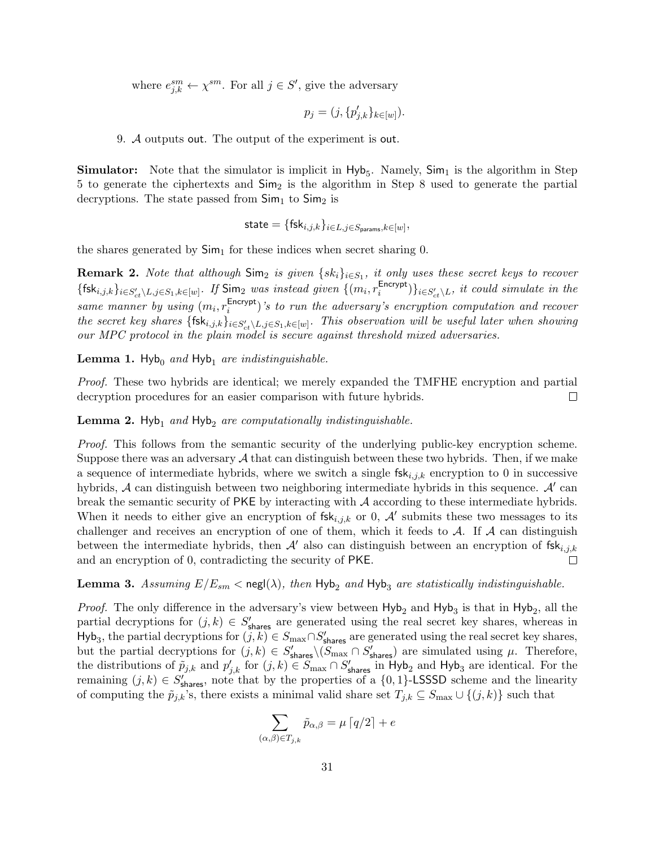where  $e_{j,k}^{sm} \leftarrow \chi^{sm}$ . For all  $j \in S'$ , give the adversary

$$
p_j = (j, \{p'_{j,k}\}_{k \in [w]}).
$$

9. A outputs out. The output of the experiment is out.

**Simulator:** Note that the simulator is implicit in  $Hyb_5$ . Namely,  $Sim_1$  is the algorithm in Step 5 to generate the ciphertexts and Sim<sup>2</sup> is the algorithm in Step 8 used to generate the partial decryptions. The state passed from  $\textsf{Sim}_1$  to  $\textsf{Sim}_2$  is

$$
\mathsf{state} = \{\mathsf{fsk}_{i,j,k}\}_{i \in L, j \in S_{\mathsf{params}}, k \in [w]},
$$

the shares generated by  $\textsf{Sim}_1$  for these indices when secret sharing 0.

**Remark 2.** Note that although  $\mathsf{Sim}_2$  is given  $\{sk_i\}_{i \in S_1}$ , it only uses these secret keys to recover  $\{\mathsf{fsk}_{i,j,k}\}_{i \in S'_{ct} \setminus L, j \in S_1, k \in [w]}$ . If  $\mathsf{Sim}_2$  was instead given  $\{(m_i, r_i^{\mathsf{Encrypt}}\})$  $\{e_i^{\text{incrypt}}\}\}_{i\in S'_{ct}\backslash L}$ , it could simulate in the same manner by using  $(m_i, r_i^{\text{Encrypt}})$  $\binom{energy}{i}$ 's to run the adversary's encryption computation and recover the secret key shares  $\{\textsf{fsk}_{i,j,k}\}_{i\in S'_ct\setminus L,j\in S_1,k\in[w]}$ . This observation will be useful later when showing our MPC protocol in the plain model is secure against threshold mixed adversaries.

### **Lemma 1.** Hyb<sub>0</sub> and Hyb<sub>1</sub> are indistinguishable.

Proof. These two hybrids are identical; we merely expanded the TMFHE encryption and partial decryption procedures for an easier comparison with future hybrids. □

**Lemma 2.** Hyb<sub>1</sub> and Hyb<sub>2</sub> are computationally indistinguishable.

Proof. This follows from the semantic security of the underlying public-key encryption scheme. Suppose there was an adversary  $A$  that can distinguish between these two hybrids. Then, if we make a sequence of intermediate hybrids, where we switch a single  $fsk_{i,j,k}$  encryption to 0 in successive hybrids,  $A$  can distinguish between two neighboring intermediate hybrids in this sequence.  $A'$  can break the semantic security of PKE by interacting with  $A$  according to these intermediate hybrids. When it needs to either give an encryption of  $fsk_{i,j,k}$  or 0, A' submits these two messages to its challenger and receives an encryption of one of them, which it feeds to  $A$ . If  $A$  can distinguish between the intermediate hybrids, then  $\mathcal{A}'$  also can distinguish between an encryption of  $fsk_{i,j,k}$ and an encryption of 0, contradicting the security of PKE.  $\Box$ 

**Lemma 3.** Assuming  $E/E_{sm} <$  negl( $\lambda$ ), then Hyb<sub>2</sub> and Hyb<sub>3</sub> are statistically indistinguishable.

*Proof.* The only difference in the adversary's view between  $Hyb_2$  and  $Hyb_3$  is that in  $Hyb_2$ , all the partial decryptions for  $(j, k) \in S'_{\text{sharp}}$  are generated using the real secret key shares, whereas in  $\text{Hyb}_3$ , the partial decryptions for  $(j, k) \in S_{\text{max}} \cap S'_{\text{shares}}$  are generated using the real secret key shares, but the partial decryptions for  $(j, k) \in S'_{\text{shares}} \setminus (S_{\text{max}} \cap S'_{\text{shares}})$  are simulated using  $\mu$ . Therefore, the distributions of  $\tilde{p}_{j,k}$  and  $p'_{j,k}$  for  $(j,k) \in S_{\text{max}} \cap S'_{\text{shares}}$  in  $Hyb_2$  and  $Hyb_3$  are identical. For the remaining  $(j, k) \in S'_{\text{sharpes}}$ , note that by the properties of a  $\{0, 1\}$ -LSSSD scheme and the linearity of computing the  $\tilde{p}_{j,k}$ 's, there exists a minimal valid share set  $T_{j,k} \subseteq S_{\max} \cup \{(j,k)\}\$  such that

$$
\sum_{(\alpha,\beta)\in T_{j,k}} \tilde{p}_{\alpha,\beta} = \mu \left\lceil q/2 \right\rceil + e
$$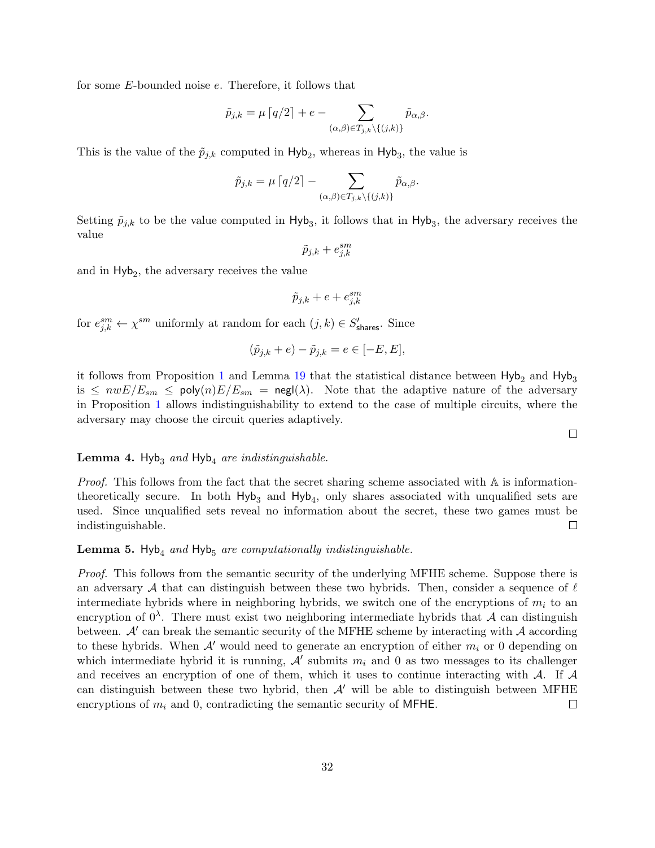for some E-bounded noise e. Therefore, it follows that

$$
\tilde{p}_{j,k} = \mu \left\lceil q/2 \right\rceil + e - \sum_{(\alpha,\beta) \in T_{j,k} \backslash \{(j,k)\}} \tilde{p}_{\alpha,\beta}.
$$

This is the value of the  $\tilde{p}_{j,k}$  computed in  $Hyb_2$ , whereas in  $Hyb_3$ , the value is

$$
\tilde{p}_{j,k} = \mu \left[ q/2 \right] - \sum_{(\alpha,\beta) \in T_{j,k} \setminus \{(j,k)\}} \tilde{p}_{\alpha,\beta}.
$$

Setting  $\tilde{p}_{j,k}$  to be the value computed in  $Hyb_3$ , it follows that in  $Hyb_3$ , the adversary receives the value

$$
\tilde{p}_{j,k} + e^{sm}_{j,k}
$$

and in  $Hyb<sub>2</sub>$ , the adversary receives the value

$$
\tilde{p}_{j,k} + e + e^{sm}_{j,k}
$$

for  $e_{j,k}^{sm} \leftarrow \chi^{sm}$  uniformly at random for each  $(j,k) \in S'_{\text{share}}$ . Since

$$
(\tilde{p}_{j,k} + e) - \tilde{p}_{j,k} = e \in [-E, E],
$$

it follows from Proposition [1](#page-60-1) and Lemma [19](#page-60-2) that the statistical distance between  $Hyb_2$  and  $Hyb_3$ is  $\leq n w E/E_{sm} \leq \text{poly}(n) E/E_{sm} = \text{negl}(\lambda)$ . Note that the adaptive nature of the adversary in Proposition [1](#page-60-1) allows indistinguishability to extend to the case of multiple circuits, where the adversary may choose the circuit queries adaptively.

### Lemma 4. Hyb<sub>3</sub> and Hyb<sub>4</sub> are indistinguishable.

*Proof.* This follows from the fact that the secret sharing scheme associated with  $A$  is informationtheoretically secure. In both  $Hyb_3$  and  $Hyb_4$ , only shares associated with unqualified sets are used. Since unqualified sets reveal no information about the secret, these two games must be indistinguishable.  $\Box$ 

### **Lemma 5.** Hyb<sub>4</sub> and Hyb<sub>5</sub> are computationally indistinguishable.

Proof. This follows from the semantic security of the underlying MFHE scheme. Suppose there is an adversary A that can distinguish between these two hybrids. Then, consider a sequence of  $\ell$ intermediate hybrids where in neighboring hybrids, we switch one of the encryptions of  $m_i$  to an encryption of  $0^{\lambda}$ . There must exist two neighboring intermediate hybrids that A can distinguish between.  $A'$  can break the semantic security of the MFHE scheme by interacting with  $A$  according to these hybrids. When  $A'$  would need to generate an encryption of either  $m_i$  or 0 depending on which intermediate hybrid it is running,  $A'$  submits  $m_i$  and 0 as two messages to its challenger and receives an encryption of one of them, which it uses to continue interacting with  $\mathcal{A}$ . If  $\mathcal{A}$ can distinguish between these two hybrid, then  $\mathcal{A}'$  will be able to distinguish between MFHE encryptions of  $m_i$  and 0, contradicting the semantic security of MFHE.  $\Box$ 

 $\Box$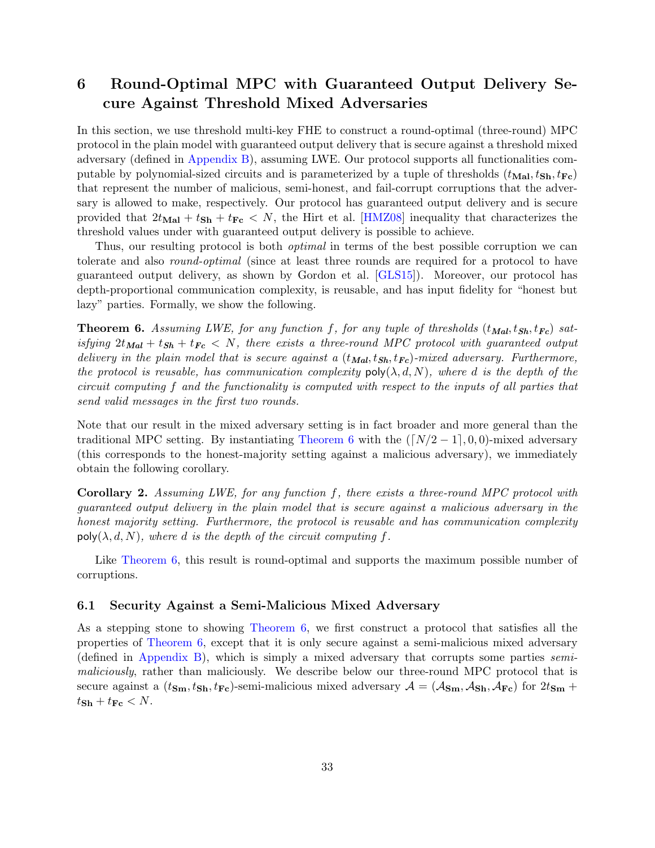## <span id="page-32-0"></span>6 Round-Optimal MPC with Guaranteed Output Delivery Secure Against Threshold Mixed Adversaries

In this section, we use threshold multi-key FHE to construct a round-optimal (three-round) MPC protocol in the plain model with guaranteed output delivery that is secure against a threshold mixed adversary (defined in [Appendix B\)](#page-66-0), assuming LWE. Our protocol supports all functionalities computable by polynomial-sized circuits and is parameterized by a tuple of thresholds  $(t_{\text{Mal}}, t_{\text{Sh}}, t_{\text{Fc}})$ that represent the number of malicious, semi-honest, and fail-corrupt corruptions that the adversary is allowed to make, respectively. Our protocol has guaranteed output delivery and is secure provided that  $2t_{\text{Mal}} + t_{\text{Sh}} + t_{\text{Fc}} < N$ , the Hirt et al. [\[HMZ08\]](#page-56-2) inequality that characterizes the threshold values under with guaranteed output delivery is possible to achieve.

Thus, our resulting protocol is both *optimal* in terms of the best possible corruption we can tolerate and also round-optimal (since at least three rounds are required for a protocol to have guaranteed output delivery, as shown by Gordon et al. [\[GLS15\]](#page-55-4)). Moreover, our protocol has depth-proportional communication complexity, is reusable, and has input fidelity for "honest but lazy" parties. Formally, we show the following.

<span id="page-32-2"></span>**Theorem 6.** Assuming LWE, for any function f, for any tuple of thresholds  $(t_{\text{Mal}}, t_{\text{Sh}}, t_{\text{Fc}})$  satisfying  $2t_{\text{Mal}} + t_{\text{Sh}} + t_{\text{Fc}} < N$ , there exists a three-round MPC protocol with guaranteed output delivery in the plain model that is secure against a  $(t_{\text{Mal}}, t_{\text{Sh}}, t_{\text{Fe}})$ -mixed adversary. Furthermore, the protocol is reusable, has communication complexity  $\mathsf{poly}(\lambda, d, N)$ , where d is the depth of the circuit computing f and the functionality is computed with respect to the inputs of all parties that send valid messages in the first two rounds.

Note that our result in the mixed adversary setting is in fact broader and more general than the traditional MPC setting. By instantiating [Theorem 6](#page-32-2) with the  $([N/2 - 1], 0, 0)$ -mixed adversary (this corresponds to the honest-majority setting against a malicious adversary), we immediately obtain the following corollary.

Corollary 2. Assuming LWE, for any function f, there exists a three-round MPC protocol with guaranteed output delivery in the plain model that is secure against a malicious adversary in the honest majority setting. Furthermore, the protocol is reusable and has communication complexity  $\mathsf{poly}(\lambda, d, N)$ , where d is the depth of the circuit computing f.

Like [Theorem 6,](#page-32-2) this result is round-optimal and supports the maximum possible number of corruptions.

### <span id="page-32-1"></span>6.1 Security Against a Semi-Malicious Mixed Adversary

As a stepping stone to showing [Theorem 6,](#page-32-2) we first construct a protocol that satisfies all the properties of [Theorem 6,](#page-32-2) except that it is only secure against a semi-malicious mixed adversary (defined in [Appendix B\)](#page-66-0), which is simply a mixed adversary that corrupts some parties semimaliciously, rather than maliciously. We describe below our three-round MPC protocol that is secure against a  $(t_{\rm Sm}, t_{\rm Sh}, t_{\rm Fe})$ -semi-malicious mixed adversary  $A = (A_{\rm Sm}, A_{\rm Sh}, A_{\rm Fe})$  for  $2t_{\rm Sm}$  +  $t_{\text{Sh}} + t_{\text{Fc}} < N$ .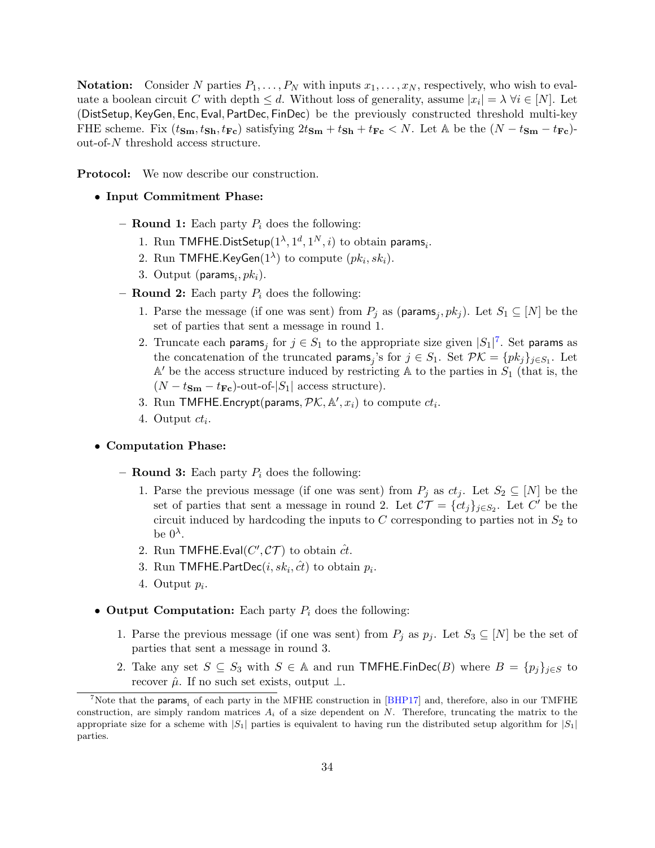**Notation:** Consider N parties  $P_1, \ldots, P_N$  with inputs  $x_1, \ldots, x_N$ , respectively, who wish to evaluate a boolean circuit C with depth  $\leq d$ . Without loss of generality, assume  $|x_i| = \lambda \forall i \in [N]$ . Let (DistSetup,KeyGen, Enc, Eval, PartDec, FinDec) be the previously constructed threshold multi-key FHE scheme. Fix  $(t_{\rm Sm}, t_{\rm Sh}, t_{\rm Fe})$  satisfying  $2t_{\rm Sm} + t_{\rm Sh} + t_{\rm Fe} < N$ . Let A be the  $(N - t_{\rm Sm} - t_{\rm Fe})$ out-of- $N$  threshold access structure.

Protocol: We now describe our construction.

- Input Commitment Phase:
	- **Round 1:** Each party  $P_i$  does the following:
		- 1. Run TMFHE.DistSetup $(1^{\lambda}, 1^d, 1^N, i)$  to obtain params<sub>i</sub>.
		- 2. Run TMFHE.KeyGen $(1^{\lambda})$  to compute  $(pk_i, sk_i)$ .
		- 3. Output ( $\mathsf{params}_i, \allowbreak pk_i$ ).
	- **Round 2:** Each party  $P_i$  does the following:
		- 1. Parse the message (if one was sent) from  $P_j$  as (params<sub>j</sub>,  $pk_j$ ). Let  $S_1 \subseteq [N]$  be the set of parties that sent a message in round 1.
		- 2. Truncate each params<sub>j</sub> for  $j \in S_1$  to the appropriate size given  $|S_1|^7$  $|S_1|^7$ . Set params as the concatenation of the truncated params<sub>j</sub>'s for  $j \in S_1$ . Set  $\mathcal{PK} = \{pk_j\}_{j \in S_1}$ . Let  $\mathbb{A}'$  be the access structure induced by restricting  $\mathbb A$  to the parties in  $S_1$  (that is, the  $(N - t<sub>Sm</sub> - t<sub>Fc</sub>)$ -out-of- $|S_1|$  access structure).
		- 3. Run TMFHE.Encrypt (params,  $\mathcal{PK}, \mathbb{A}', x_i$ ) to compute  $ct_i$ .
		- 4. Output  $ct_i$ .
- Computation Phase:
	- **Round 3:** Each party  $P_i$  does the following:
		- 1. Parse the previous message (if one was sent) from  $P_j$  as  $ct_j$ . Let  $S_2 \subseteq [N]$  be the set of parties that sent a message in round 2. Let  $\mathcal{CT} = \{ct_j\}_{j \in S_2}$ . Let C' be the circuit induced by hardcoding the inputs to  $C$  corresponding to parties not in  $S_2$  to be  $0^{\lambda}$ .
		- 2. Run TMFHE.Eval $(C',\mathcal{CT})$  to obtain  $\hat{c}t$ .
		- 3. Run TMFHE.PartDec $(i, sk_i, \hat{ct})$  to obtain  $p_i$ .
		- 4. Output  $p_i$ .
- Output Computation: Each party  $P_i$  does the following:
	- 1. Parse the previous message (if one was sent) from  $P_j$  as  $p_j$ . Let  $S_3 \subseteq [N]$  be the set of parties that sent a message in round 3.
	- 2. Take any set  $S \subseteq S_3$  with  $S \in A$  and run TMFHE.FinDec(B) where  $B = \{p_j\}_{j \in S}$  to recover  $\hat{\mu}$ . If no such set exists, output  $\perp$ .

<sup>&</sup>lt;sup>7</sup>Note that the params, of each party in the MFHE construction in  $[BHP17]$  and, therefore, also in our TMFHE construction, are simply random matrices  $A_i$  of a size dependent on N. Therefore, truncating the matrix to the appropriate size for a scheme with  $|S_1|$  parties is equivalent to having run the distributed setup algorithm for  $|S_1|$ parties.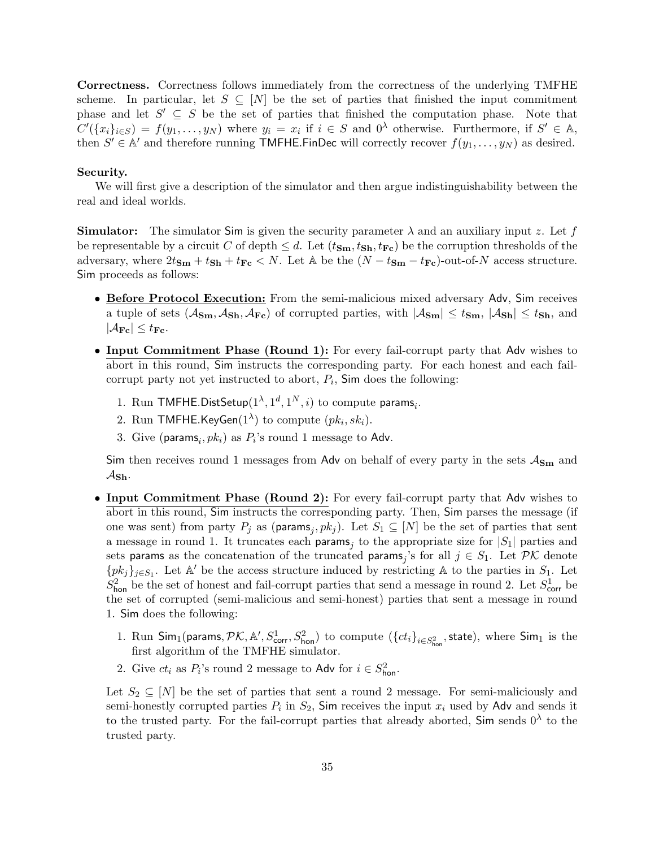Correctness. Correctness follows immediately from the correctness of the underlying TMFHE scheme. In particular, let  $S \subseteq [N]$  be the set of parties that finished the input commitment phase and let  $S' \subseteq S$  be the set of parties that finished the computation phase. Note that  $C'(\{x_i\}_{i\in S}) = f(y_1,\ldots,y_N)$  where  $y_i = x_i$  if  $i \in S$  and  $0^{\lambda}$  otherwise. Furthermore, if  $S' \in \mathbb{A}$ , then  $S' \in A'$  and therefore running TMFHE. FinDec will correctly recover  $f(y_1, \ldots, y_N)$  as desired.

### Security.

We will first give a description of the simulator and then argue indistinguishability between the real and ideal worlds.

**Simulator:** The simulator Sim is given the security parameter  $\lambda$  and an auxiliary input z. Let f be representable by a circuit C of depth  $\leq d$ . Let  $(t_{\mathbf{Sm}}, t_{\mathbf{Sh}}, t_{\mathbf{Fc}})$  be the corruption thresholds of the adversary, where  $2t_{\rm Sm} + t_{\rm Sh} + t_{\rm Fe} < N$ . Let A be the  $(N - t_{\rm Sm} - t_{\rm Fe})$ -out-of-N access structure. Sim proceeds as follows:

- Before Protocol Execution: From the semi-malicious mixed adversary Adv, Sim receives a tuple of sets  $(A_{\rm Sm}, A_{\rm Sh}, A_{\rm Fe})$  of corrupted parties, with  $|A_{\rm Sm}| \le t_{\rm Sm}$ ,  $|A_{\rm Sh}| \le t_{\rm Sh}$ , and  $|\mathcal{A}_{\mathbf{Fc}}| \leq t_{\mathbf{Fc}}.$
- Input Commitment Phase (Round 1): For every fail-corrupt party that Adv wishes to abort in this round, Sim instructs the corresponding party. For each honest and each failcorrupt party not yet instructed to abort,  $P_i$ , Sim does the following:
	- 1. Run TMFHE.DistSetup $(1^{\lambda}, 1^d, 1^N, i)$  to compute params<sub>i</sub>.
	- 2. Run TMFHE.KeyGen $(1^{\lambda})$  to compute  $(pk_i, sk_i)$ .
	- 3. Give ( $\mathsf{params}_i, \mathsf{pk}_i)$  as  $P_i$ 's round 1 message to Adv.

Sim then receives round 1 messages from Adv on behalf of every party in the sets  $A_{\text{Sm}}$  and  $\mathcal{A}_{\mathbf{Sh}}$ .

- Input Commitment Phase (Round 2): For every fail-corrupt party that Adv wishes to abort in this round, Sim instructs the corresponding party. Then, Sim parses the message (if one was sent) from party  $P_j$  as (params<sub>j</sub>,  $pk_j$ ). Let  $S_1 \subseteq [N]$  be the set of parties that sent a message in round 1. It truncates each params<sub>j</sub> to the appropriate size for  $|S_1|$  parties and sets params as the concatenation of the truncated params<sub>j</sub>'s for all  $j \in S_1$ . Let  $\mathcal{PK}$  denote  $\{pk_j\}_{j\in S_1}$ . Let A' be the access structure induced by restricting A to the parties in  $S_1$ . Let  $S<sub>hon</sub><sup>2</sup>$  be the set of honest and fail-corrupt parties that send a message in round 2. Let  $S<sub>corr</sub><sup>1</sup>$  be the set of corrupted (semi-malicious and semi-honest) parties that sent a message in round 1. Sim does the following:
	- 1. Run  $\text{Sim}_1(\text{params}, \mathcal{PK}, \mathbb{A}', S^1_{\text{corr}}, S^2_{\text{hon}})$  to compute  $(\{ct_i\}_{i \in S^2_{\text{hon}}}, \text{state})$ , where  $\text{Sim}_1$  is the first algorithm of the TMFHE simulator.
	- 2. Give  $ct_i$  as  $P_i$ 's round 2 message to Adv for  $i \in S^2_{\text{hon}}$ .

Let  $S_2 \subseteq [N]$  be the set of parties that sent a round 2 message. For semi-maliciously and semi-honestly corrupted parties  $P_i$  in  $S_2$ , Sim receives the input  $x_i$  used by Adv and sends it to the trusted party. For the fail-corrupt parties that already aborted, Sim sends  $0^{\lambda}$  to the trusted party.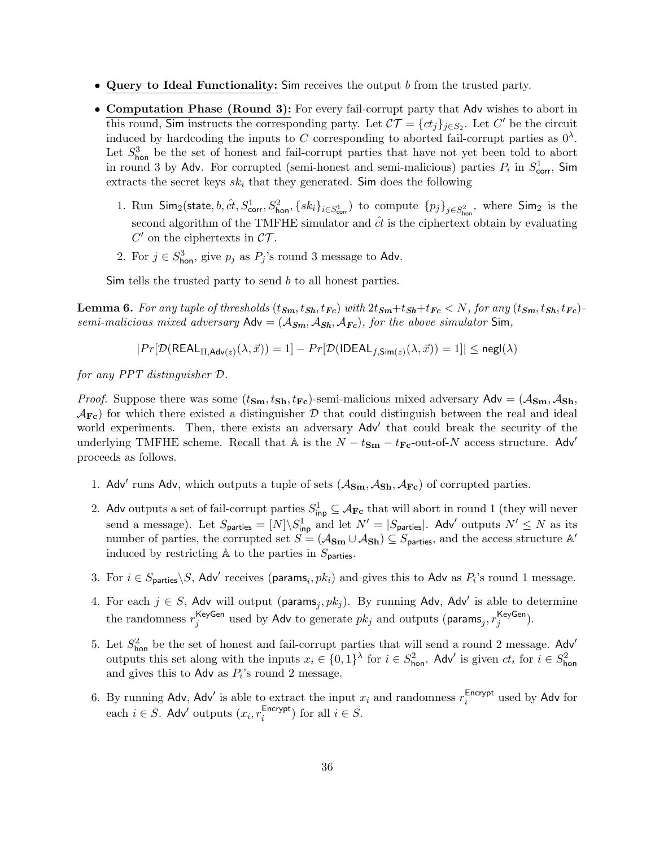- Query to Ideal Functionality: Sim receives the output b from the trusted party.
- Computation Phase (Round 3): For every fail-corrupt party that Adv wishes to abort in this round, Sim instructs the corresponding party. Let  $\mathcal{CT} = \{ct_j\}_{j \in S_2}$ . Let C' be the circuit induced by hardcoding the inputs to C corresponding to aborted fail-corrupt parties as  $0^{\lambda}$ . Let  $S_{\text{hon}}^3$  be the set of honest and fail-corrupt parties that have not yet been told to abort in round 3 by Adv. For corrupted (semi-honest and semi-malicious) parties  $P_i$  in  $S^1_{\text{corr}}$ , Sim extracts the secret keys  $sk_i$  that they generated. Sim does the following
	- 1. Run  $\textsf{Sim}_2(\textsf{state}, b, \hat{ct}, S_{\textsf{corr}}^1, S_{\textsf{hon}}^2, \{sk_i\}_{i \in S_{\textsf{corr}}^1})$  to compute  $\{p_j\}_{j \in S_{\textsf{hon}}^2}$ , where  $\textsf{Sim}_2$  is the second algorithm of the TMFHE simulator and  $\hat{ct}$  is the ciphertext obtain by evaluating  $C'$  on the ciphertexts in  $\mathcal{CT}$ .
	- 2. For  $j \in S^3_{\text{hon}}$ , give  $p_j$  as  $P_j$ 's round 3 message to Adv.

Sim tells the trusted party to send b to all honest parties.

**Lemma 6.** For any tuple of thresholds  $(t_{Sm}, t_{Sn}, t_{Fc})$  with  $2t_{Sm}+t_{Sh}+t_{Fc} < N$ , for any  $(t_{Sm}, t_{Sh}, t_{Fc})$ semi-malicious mixed adversary  $\mathsf{Adv} = (\mathcal{A}_{Sm}, \mathcal{A}_{Sh}, \mathcal{A}_{Fc})$ , for the above simulator  $\mathsf{Sim}$ ,

$$
|Pr[\mathcal{D}(\mathsf{REAL}_{\Pi,\mathsf{Adv}(z)}(\lambda,\vec{x})) = 1] - Pr[\mathcal{D}(\mathsf{IDEAL}_{f,\mathsf{Sim}(z)}(\lambda,\vec{x})) = 1]| \leq \mathsf{negl}(\lambda)
$$

for any PPT distinguisher D.

*Proof.* Suppose there was some  $(t_{\rm Sm}, t_{\rm Sh}, t_{\rm Fe})$ -semi-malicious mixed adversary  $\mathsf{Adv} = (\mathcal{A}_{\rm Sm}, \mathcal{A}_{\rm Sh},$  $\mathcal{A}_{\text{Fc}}$ ) for which there existed a distinguisher  $\mathcal D$  that could distinguish between the real and ideal world experiments. Then, there exists an adversary Adv' that could break the security of the underlying TMFHE scheme. Recall that A is the  $N - t_{Sm} - t_{Fc}$ -out-of-N access structure. Adv proceeds as follows.

- 1. Adv' runs Adv, which outputs a tuple of sets  $(A_{\rm Sm}, A_{\rm Sh}, A_{\rm FC})$  of corrupted parties.
- 2. Adv outputs a set of fail-corrupt parties  $S_{\text{inp}}^1 \subseteq A_{\text{Fc}}$  that will abort in round 1 (they will never send a message). Let  $S_{\text{parties}} = [N] \setminus S_{\text{inp}}^1$  and let  $N' = |S_{\text{parties}}|$ . Adv' outputs  $N' \leq N$  as its number of parties, the corrupted set  $S = (\mathcal{A}_{Sm} \cup \mathcal{A}_{Sh}) \subseteq S_{parties}$ , and the access structure A' induced by restricting  $A$  to the parties in  $S_{\text{particles}}$ .
- 3. For  $i \in S_{\text{particles}} \backslash S$ , Adv' receives (params<sub>i</sub>,  $pk_i$ ) and gives this to Adv as  $P_i$ 's round 1 message.
- 4. For each  $j \in S$ , Adv will output (params<sub>j</sub>,  $pk_j$ ). By running Adv, Adv' is able to determine the randomness  $r_i^{\text{KeyGen}}$ <sup>KeyGen</sup> used by **Adv** to generate  $pk_j$  and outputs ( $\textsf{params}_j, r_j^{\textsf{KeyGen}}$ neyuen $\big) .$
- 5. Let  $S<sub>hon</sub><sup>2</sup>$  be the set of honest and fail-corrupt parties that will send a round 2 message. Adv' outputs this set along with the inputs  $x_i \in \{0,1\}^{\lambda}$  for  $i \in S^2_{\text{hon}}$ . Adv' is given  $ct_i$  for  $i \in S^2_{\text{hon}}$ and gives this to Adv as  $P_i$ 's round 2 message.
- 6. By running Adv, Adv' is able to extract the input  $x_i$  and randomness  $r_i^{\text{Encrypt}}$  $i$ <sup>Encrypt</sup> used by Adv for each  $i \in S$ . Adv' outputs  $(x_i, r_i^{\text{Encrypt}})$  $i^{energypt}$  for all  $i \in S$ .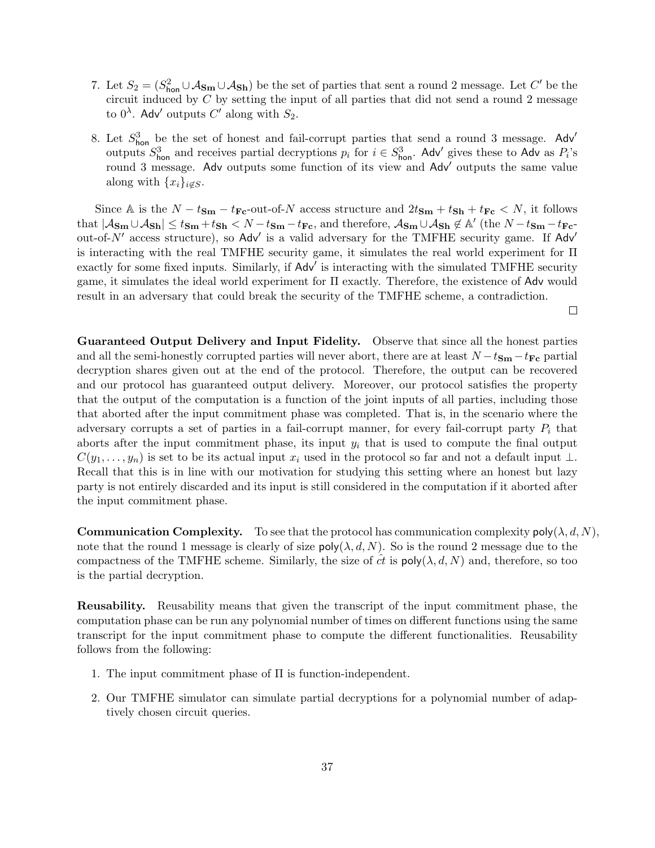- 7. Let  $S_2 = (S_{\text{hon}}^2 \cup A_{\text{Sm}} \cup A_{\text{Sh}})$  be the set of parties that sent a round 2 message. Let C' be the circuit induced by  $C$  by setting the input of all parties that did not send a round 2 message to  $0^{\lambda}$ . Adv' outputs C' along with  $S_2$ .
- 8. Let  $S^3_{\text{hon}}$  be the set of honest and fail-corrupt parties that send a round 3 message. Adv outputs  $S_{\text{hon}}^3$  and receives partial decryptions  $p_i$  for  $i \in S_{\text{hon}}^3$ . Adv' gives these to Adv as  $P_i$ 's round 3 message. Adv outputs some function of its view and Adv' outputs the same value along with  $\{x_i\}_{i \notin S}$ .

Since A is the  $N - t_{\rm Sm} - t_{\rm Fe}$ -out-of-N access structure and  $2t_{\rm Sm} + t_{\rm Sh} + t_{\rm Fe} < N$ , it follows that  $|\mathcal{A}_{\mathbf{Sm}} \cup \mathcal{A}_{\mathbf{Sh}}| \leq t_{\mathbf{Sm}} + t_{\mathbf{Sh}} < N - t_{\mathbf{Sm}} - t_{\mathbf{Fc}}$ , and therefore,  $\mathcal{A}_{\mathbf{Sm}} \cup \mathcal{A}_{\mathbf{Sh}} \notin \mathbb{A}'$  (the  $N - t_{\mathbf{Sm}} - t_{\mathbf{Fc}}$ out-of-N' access structure), so  $\mathsf{Adv}'$  is a valid adversary for the TMFHE security game. If  $\mathsf{Adv}'$ is interacting with the real TMFHE security game, it simulates the real world experiment for Π exactly for some fixed inputs. Similarly, if  $Adv'$  is interacting with the simulated TMFHE security game, it simulates the ideal world experiment for Π exactly. Therefore, the existence of Adv would result in an adversary that could break the security of the TMFHE scheme, a contradiction.

 $\Box$ 

Guaranteed Output Delivery and Input Fidelity. Observe that since all the honest parties and all the semi-honestly corrupted parties will never abort, there are at least  $N - t_{\rm Sm} - t_{\rm Fe}$  partial decryption shares given out at the end of the protocol. Therefore, the output can be recovered and our protocol has guaranteed output delivery. Moreover, our protocol satisfies the property that the output of the computation is a function of the joint inputs of all parties, including those that aborted after the input commitment phase was completed. That is, in the scenario where the adversary corrupts a set of parties in a fail-corrupt manner, for every fail-corrupt party  $P_i$  that aborts after the input commitment phase, its input  $y_i$  that is used to compute the final output  $C(y_1, \ldots, y_n)$  is set to be its actual input  $x_i$  used in the protocol so far and not a default input  $\perp$ . Recall that this is in line with our motivation for studying this setting where an honest but lazy party is not entirely discarded and its input is still considered in the computation if it aborted after the input commitment phase.

**Communication Complexity.** To see that the protocol has communication complexity  $\text{poly}(\lambda, d, N)$ , note that the round 1 message is clearly of size  $poly(\lambda, d, N)$ . So is the round 2 message due to the compactness of the TMFHE scheme. Similarly, the size of  $\hat{ct}$  is  $\mathsf{poly}(\lambda, d, N)$  and, therefore, so too is the partial decryption.

Reusability. Reusability means that given the transcript of the input commitment phase, the computation phase can be run any polynomial number of times on different functions using the same transcript for the input commitment phase to compute the different functionalities. Reusability follows from the following:

- 1. The input commitment phase of Π is function-independent.
- 2. Our TMFHE simulator can simulate partial decryptions for a polynomial number of adaptively chosen circuit queries.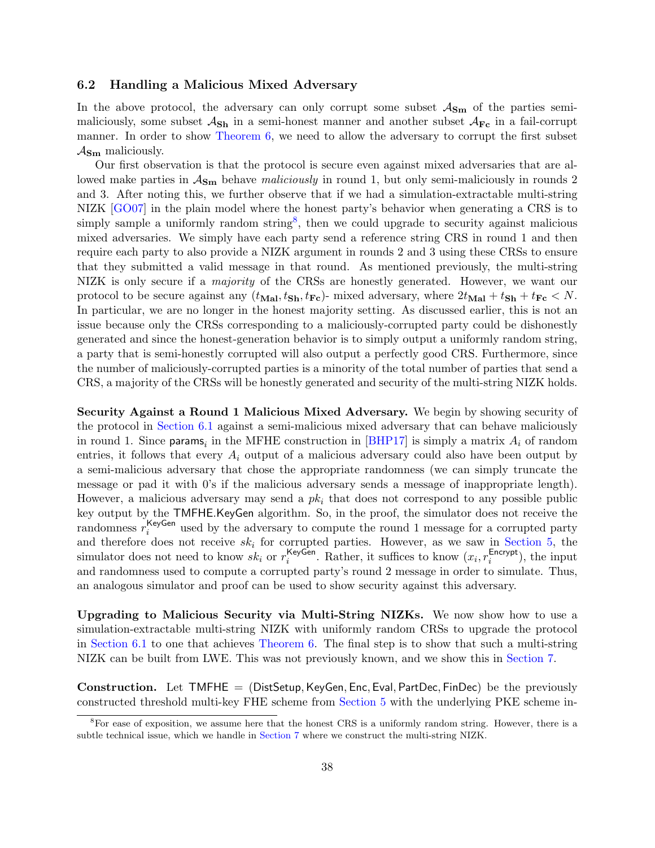### 6.2 Handling a Malicious Mixed Adversary

In the above protocol, the adversary can only corrupt some subset  $A_{\rm Sm}$  of the parties semimaliciously, some subset  $\mathcal{A}_{\text{Sh}}$  in a semi-honest manner and another subset  $\mathcal{A}_{\text{Fc}}$  in a fail-corrupt manner. In order to show [Theorem 6,](#page-32-0) we need to allow the adversary to corrupt the first subset  $\mathcal{A}_{\mathbf{Sm}}$  maliciously.

Our first observation is that the protocol is secure even against mixed adversaries that are allowed make parties in  $A_{\text{Sm}}$  behave maliciously in round 1, but only semi-maliciously in rounds 2 and 3. After noting this, we further observe that if we had a simulation-extractable multi-string NIZK [\[GO07\]](#page-55-0) in the plain model where the honest party's behavior when generating a CRS is to simply sample a uniformly random string<sup>[8](#page-0-0)</sup>, then we could upgrade to security against malicious mixed adversaries. We simply have each party send a reference string CRS in round 1 and then require each party to also provide a NIZK argument in rounds 2 and 3 using these CRSs to ensure that they submitted a valid message in that round. As mentioned previously, the multi-string NIZK is only secure if a majority of the CRSs are honestly generated. However, we want our protocol to be secure against any  $(t_{\text{Mal}}, t_{\text{Sh}}, t_{\text{Fc}})$ - mixed adversary, where  $2t_{\text{Mal}} + t_{\text{Sh}} + t_{\text{Fc}} < N$ . In particular, we are no longer in the honest majority setting. As discussed earlier, this is not an issue because only the CRSs corresponding to a maliciously-corrupted party could be dishonestly generated and since the honest-generation behavior is to simply output a uniformly random string, a party that is semi-honestly corrupted will also output a perfectly good CRS. Furthermore, since the number of maliciously-corrupted parties is a minority of the total number of parties that send a CRS, a majority of the CRSs will be honestly generated and security of the multi-string NIZK holds.

Security Against a Round 1 Malicious Mixed Adversary. We begin by showing security of the protocol in [Section 6.1](#page-32-1) against a semi-malicious mixed adversary that can behave maliciously in round 1. Since params<sub>i</sub> in the MFHE construction in [\[BHP17\]](#page-53-0) is simply a matrix  $A_i$  of random entries, it follows that every  $A_i$  output of a malicious adversary could also have been output by a semi-malicious adversary that chose the appropriate randomness (we can simply truncate the message or pad it with 0's if the malicious adversary sends a message of inappropriate length). However, a malicious adversary may send a  $pk<sub>i</sub>$  that does not correspond to any possible public key output by the TMFHE.KeyGen algorithm. So, in the proof, the simulator does not receive the randomness  $r_i^{\text{KeyGen}}$  $i<sub>i</sub>$  used by the adversary to compute the round 1 message for a corrupted party and therefore does not receive  $sk_i$  for corrupted parties. However, as we saw in [Section 5,](#page-20-0) the simulator does not need to know  $sk_i$  or  $r_i^{\text{KeyGen}}$ <sup>KeyGen</sup>. Rather, it suffices to know  $(x_i, r_i^{\text{Encrypt}})$  $i^{\text{energy}}$ , the input and randomness used to compute a corrupted party's round 2 message in order to simulate. Thus, an analogous simulator and proof can be used to show security against this adversary.

Upgrading to Malicious Security via Multi-String NIZKs. We now show how to use a simulation-extractable multi-string NIZK with uniformly random CRSs to upgrade the protocol in [Section 6.1](#page-32-1) to one that achieves [Theorem 6.](#page-32-0) The final step is to show that such a multi-string NIZK can be built from LWE. This was not previously known, and we show this in [Section 7.](#page-41-0)

**Construction.** Let  $TMFHE = (DistSetup, KeyGen, Enc, Eva, PartDec, FinDec)$  be the previously constructed threshold multi-key FHE scheme from [Section 5](#page-20-0) with the underlying PKE scheme in-

<sup>&</sup>lt;sup>8</sup>For ease of exposition, we assume here that the honest CRS is a uniformly random string. However, there is a subtle technical issue, which we handle in [Section 7](#page-41-0) where we construct the multi-string NIZK.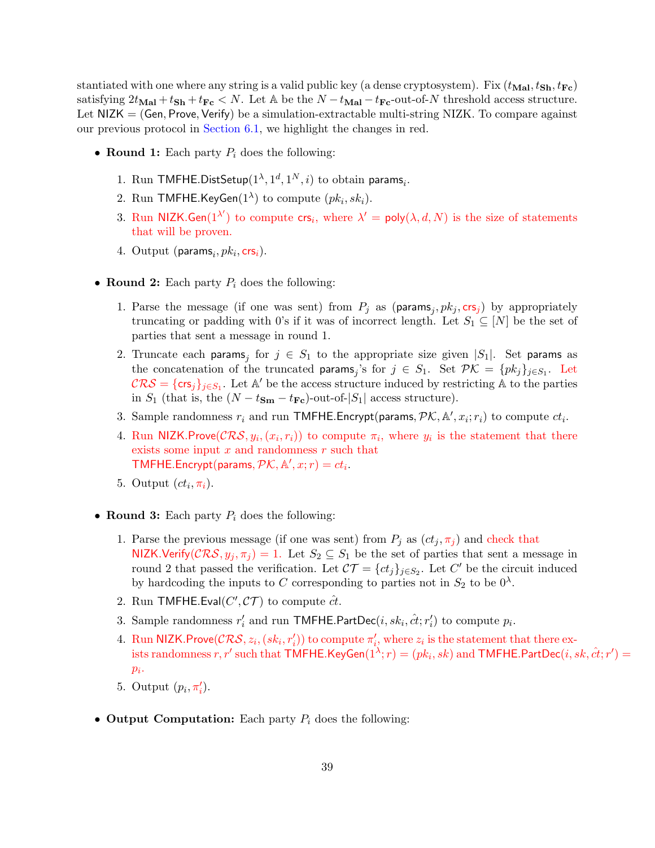stantiated with one where any string is a valid public key (a dense cryptosystem). Fix  $(t_{\text{Mal}}, t_{\text{Sh}}, t_{\text{Fc}})$ satisfying  $2t_{\text{Mal}} + t_{\text{Sh}} + t_{\text{Fc}} < N$ . Let A be the  $N - t_{\text{Mal}} - t_{\text{Fc}}$ -out-of-N threshold access structure. Let  $NIZK = (Gen, Prove, Verify)$  be a simulation-extractable multi-string NIZK. To compare against our previous protocol in [Section 6.1,](#page-32-1) we highlight the changes in red.

- Round 1: Each party  $P_i$  does the following:
	- 1. Run TMFHE.DistSetup $(1^{\lambda}, 1^d, 1^N, i)$  to obtain params<sub>i</sub>.
	- 2. Run TMFHE.KeyGen $(1^{\lambda})$  to compute  $(pk_i, sk_i)$ .
	- 3. Run NIZK.Gen(1<sup> $\lambda'$ </sup>) to compute crs<sub>i</sub>, where  $\lambda' = \text{poly}(\lambda, d, N)$  is the size of statements that will be proven.
	- 4. Output (params $_i, pk_i, crs_i$ ).
- Round 2: Each party  $P_i$  does the following:
	- 1. Parse the message (if one was sent) from  $P_j$  as (params<sub>j</sub>,  $pk_j$ ,  $crs_j$ ) by appropriately truncating or padding with 0's if it was of incorrect length. Let  $S_1 \subseteq [N]$  be the set of parties that sent a message in round 1.
	- 2. Truncate each params<sub>j</sub> for  $j \in S_1$  to the appropriate size given  $|S_1|$ . Set params as the concatenation of the truncated params<sub>j</sub>'s for  $j \in S_1$ . Set  $\mathcal{PK} = \{pk_j\}_{j\in S_1}$ . Let  $CRS = {crs_j}_{j \in S_1}$ . Let A' be the access structure induced by restricting A to the parties in  $S_1$  (that is, the  $(N - t_{Sm} - t_{Fc})$ -out-of- $|S_1|$  access structure).
	- 3. Sample randomness  $r_i$  and run TMFHE. Encrypt (params,  $\mathcal{PK}, \mathbb{A}', x_i; r_i)$  to compute  $ct_i$ .
	- 4. Run NIZK.Prove $(\mathcal{CRS}, y_i, (x_i, r_i))$  to compute  $\pi_i$ , where  $y_i$  is the statement that there exists some input  $x$  and randomness  $r$  such that TMFHE. Encrypt (params,  $\mathcal{PK}, \mathbb{A}', x; r) = ct_i$ .
	- 5. Output  $(ct_i, \pi_i)$ .
- Round 3: Each party  $P_i$  does the following:
	- 1. Parse the previous message (if one was sent) from  $P_j$  as  $(ct_j, \pi_j)$  and check that NIZK.Verify( $\mathcal{CRS}, y_j, \pi_j$ ) = 1. Let  $S_2 \subseteq S_1$  be the set of parties that sent a message in round 2 that passed the verification. Let  $\mathcal{CT} = \{ct_j\}_{j \in S_2}$ . Let C' be the circuit induced by hardcoding the inputs to C corresponding to parties not in  $S_2$  to be  $0^{\lambda}$ .
	- 2. Run TMFHE.Eval $(C',\mathcal{CT})$  to compute  $\hat{ct}$ .
	- 3. Sample randomness  $r'_i$  and run TMFHE.PartDec $(i, sk_i, \hat{ct}; r'_i)$  to compute  $p_i$ .
	- 4. Run NIZK.Prove $(\mathcal{CRS}, z_i, (sk_i, r'_i))$  to compute  $\pi'_{i_2}$  where  $z_i$  is the statement that there exists randomness  $r, r'$  such that <code>TMFHE.KeyGen( $1^{\lambda}; r) = (pk_i, sk)$ </code> and <code>TMFHE.PartDec( $i, sk, \hat{ct}; r') =$ </code>  $\overline{p_i}$ .
	- 5. Output  $(p_i, \pi'_i)$ .
- Output Computation: Each party  $P_i$  does the following: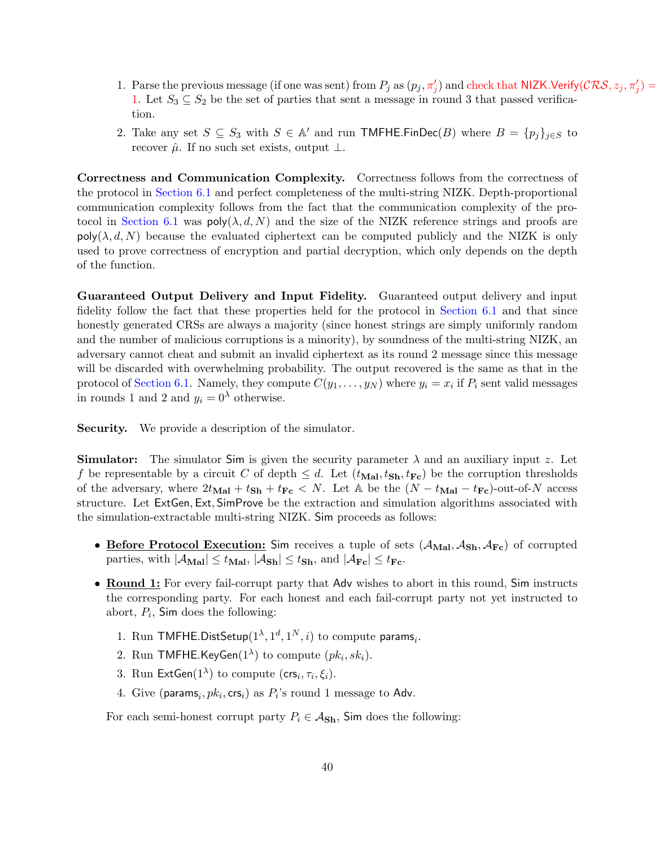- 1. Parse the previous message (if one was sent) from  $P_j$  as  $(p_j, \pi'_j)$  and check that NIZK.Verify( $\mathcal{CRS}, z_j, \pi'_j$ ) = 1. Let  $S_3 \subseteq S_2$  be the set of parties that sent a message in round 3 that passed verification.
- 2. Take any set  $S \subseteq S_3$  with  $S \in A'$  and run TMFHE. FinDec(B) where  $B = \{p_j\}_{j \in S}$  to recover  $\hat{\mu}$ . If no such set exists, output  $\perp$ .

Correctness and Communication Complexity. Correctness follows from the correctness of the protocol in [Section 6.1](#page-32-1) and perfect completeness of the multi-string NIZK. Depth-proportional communication complexity follows from the fact that the communication complexity of the pro-tocol in [Section 6.1](#page-32-1) was  $poly(\lambda, d, N)$  and the size of the NIZK reference strings and proofs are  $\text{poly}(\lambda, d, N)$  because the evaluated ciphertext can be computed publicly and the NIZK is only used to prove correctness of encryption and partial decryption, which only depends on the depth of the function.

Guaranteed Output Delivery and Input Fidelity. Guaranteed output delivery and input fidelity follow the fact that these properties held for the protocol in [Section 6.1](#page-32-1) and that since honestly generated CRSs are always a majority (since honest strings are simply uniformly random and the number of malicious corruptions is a minority), by soundness of the multi-string NIZK, an adversary cannot cheat and submit an invalid ciphertext as its round 2 message since this message will be discarded with overwhelming probability. The output recovered is the same as that in the protocol of [Section 6.1.](#page-32-1) Namely, they compute  $C(y_1, \ldots, y_N)$  where  $y_i = x_i$  if  $P_i$  sent valid messages in rounds 1 and 2 and  $y_i = 0^{\lambda}$  otherwise.

Security. We provide a description of the simulator.

**Simulator:** The simulator Sim is given the security parameter  $\lambda$  and an auxiliary input z. Let f be representable by a circuit C of depth  $\leq d$ . Let  $(t_{\text{Mal}}, t_{\text{Sh}}, t_{\text{Fc}})$  be the corruption thresholds of the adversary, where  $2t_{\text{Mal}} + t_{\text{Sh}} + t_{\text{Fc}} < N$ . Let A be the  $(N - t_{\text{Mal}} - t_{\text{Fc}})$ -out-of-N access structure. Let ExtGen, Ext, SimProve be the extraction and simulation algorithms associated with the simulation-extractable multi-string NIZK. Sim proceeds as follows:

- Before Protocol Execution: Sim receives a tuple of sets  $(A_{\text{Mal}}, A_{\text{Sh}}, A_{\text{Fc}})$  of corrupted parties, with  $|\mathcal{A}_{\text{Mal}}| \le t_{\text{Mal}}$ ,  $|\mathcal{A}_{\text{Sh}}| \le t_{\text{Sh}}$ , and  $|\mathcal{A}_{\text{Fc}}| \le t_{\text{Fc}}$ .
- Round 1: For every fail-corrupt party that Adv wishes to abort in this round, Sim instructs the corresponding party. For each honest and each fail-corrupt party not yet instructed to abort,  $P_i$ , Sim does the following:
	- 1. Run TMFHE.DistSetup $(1^{\lambda}, 1^d, 1^N, i)$  to compute params<sub>i</sub>.
	- 2. Run TMFHE.KeyGen $(1^{\lambda})$  to compute  $(pk_i, sk_i)$ .
	- 3. Run ExtGen( $1^{\lambda}$ ) to compute (crs<sub>i</sub>,  $\tau_i, \xi_i$ ).
	- 4. Give  $(\mathsf{params}_i, \allowbreak \mathit{pk}_i, \allowbreak \mathsf{crs}_i)$  as  $\mathit{P_i}$ 's round 1 message to Adv.

For each semi-honest corrupt party  $P_i \in A_{\rm Sh}$ , Sim does the following: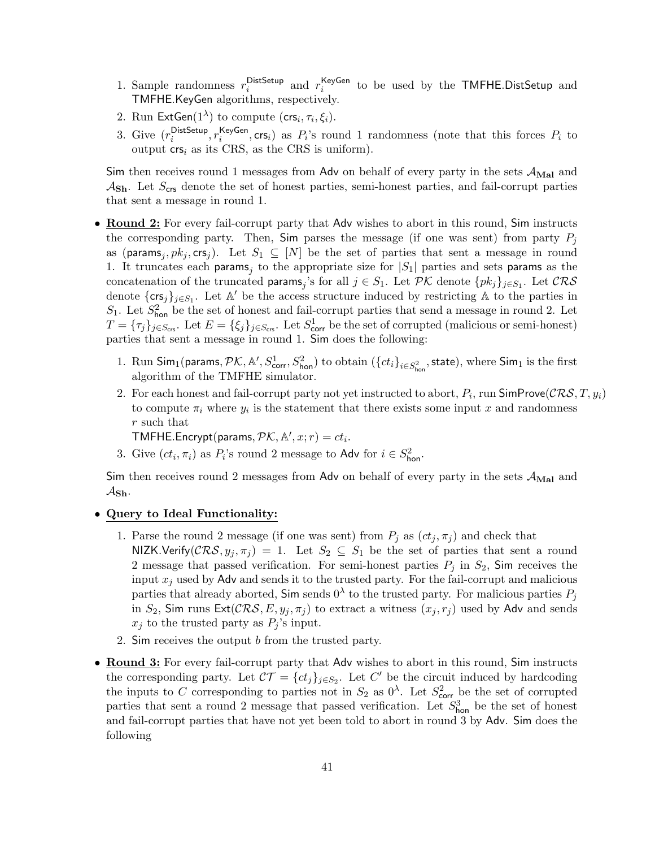- 1. Sample randomness  $r_i^{\text{DistSetup}}$ DistSetup and  $r_i^{\text{KeyGen}}$  $i<sub>i</sub>$  be used by the TMFHE.DistSetup and TMFHE.KeyGen algorithms, respectively.
- 2. Run ExtGen $(1^{\lambda})$  to compute  $(\textsf{crs}_i, \tau_i, \xi_i)$ .
- 3. Give  $(r_i^{\text{DistSetup}})$  $\frac{1}{i}$ DistSetup<sub>,  $r_i^{\text{KeyGen}}$ </sub> heyden,  $\text{crs}_i$ ) as  $P_i$ 's round 1 randomness (note that this forces  $P_i$  to output  $crs_i$  as its CRS, as the CRS is uniform).

Sim then receives round 1 messages from Adv on behalf of every party in the sets  $\mathcal{A}_{\text{Mal}}$  and  $\mathcal{A}_{\mathbf{Sh}}$ . Let  $S_{\mathsf{crs}}$  denote the set of honest parties, semi-honest parties, and fail-corrupt parties that sent a message in round 1.

- Round 2: For every fail-corrupt party that Adv wishes to abort in this round, Sim instructs the corresponding party. Then, Sim parses the message (if one was sent) from party  $P_i$ as (params<sub>j</sub>,  $pk_j$ , crs<sub>j</sub>). Let  $S_1 \subseteq [N]$  be the set of parties that sent a message in round 1. It truncates each params<sub>j</sub> to the appropriate size for  $|S_1|$  parties and sets params as the concatenation of the truncated  $\mathsf{params}_j$ 's for all  $j \in S_1$ . Let  $\mathcal{PK}$  denote  $\{pk_j\}_{j \in S_1}$ . Let  $\mathcal{CRS}$ denote  $\{\mathsf{crs}_j\}_{j\in S_1}$ . Let A' be the access structure induced by restricting A to the parties in  $S_1$ . Let  $S_{\text{hon}}^2$  be the set of honest and fail-corrupt parties that send a message in round 2. Let  $T = {\{\tau_j\}}_{j \in S_{\text{crs}}}$ . Let  $E = {\{\xi_j\}}_{j \in S_{\text{crs}}}$ . Let  $S^1_{\text{corr}}$  be the set of corrupted (malicious or semi-honest) parties that sent a message in round 1. Sim does the following:
	- 1. Run Sim<sub>1</sub>(params,  $\mathcal{PK}, \mathbb{A}', S^1_{\text{corr}}, S^2_{\text{hon}}$ ) to obtain ( $\{ct_i\}_{i\in S^2_{\text{hon}}}$ , state), where Sim<sub>1</sub> is the first algorithm of the TMFHE simulator.
	- 2. For each honest and fail-corrupt party not yet instructed to abort,  $P_i$ , run  $\mathsf{SimProve}(\mathcal{CRS},T,y_i)$ to compute  $\pi_i$  where  $y_i$  is the statement that there exists some input x and randomness r such that

TMFHE. Encrypt (params,  $\mathcal{PK}, \mathbb{A}', x; r) = ct_i$ .

3. Give  $(ct_i, \pi_i)$  as  $P_i$ 's round 2 message to Adv for  $i \in S^2_{\text{hon}}$ .

Sim then receives round 2 messages from Adv on behalf of every party in the sets  $\mathcal{A}_{\text{Mal}}$  and  $\mathcal{A}_{\mathbf{Sh}}$ .

- Query to Ideal Functionality:
	- 1. Parse the round 2 message (if one was sent) from  $P_i$  as  $(ct_i, \pi_i)$  and check that NIZK. Verify( $\mathcal{CRS}, y_j, \pi_j$ ) = 1. Let  $S_2 \subseteq S_1$  be the set of parties that sent a round 2 message that passed verification. For semi-honest parties  $P_i$  in  $S_2$ , Sim receives the input  $x_j$  used by Adv and sends it to the trusted party. For the fail-corrupt and malicious parties that already aborted, Sim sends  $0^{\lambda}$  to the trusted party. For malicious parties  $P_j$ in  $S_2$ , Sim runs Ext( $\mathcal{CRS}, E, y_i, \pi_i$ ) to extract a witness  $(x_i, r_i)$  used by Adv and sends  $x_j$  to the trusted party as  $P_j$ 's input.
	- 2. Sim receives the output b from the trusted party.
- Round 3: For every fail-corrupt party that Adv wishes to abort in this round, Sim instructs the corresponding party. Let  $\mathcal{CT} = \{ct_j\}_{j \in S_2}$ . Let C' be the circuit induced by hardcoding the inputs to C corresponding to parties not in  $S_2$  as  $0^{\lambda}$ . Let  $S^2_{\text{corr}}$  be the set of corrupted parties that sent a round 2 message that passed verification. Let  $S^3_{\text{hon}}$  be the set of honest and fail-corrupt parties that have not yet been told to abort in round 3 by Adv. Sim does the following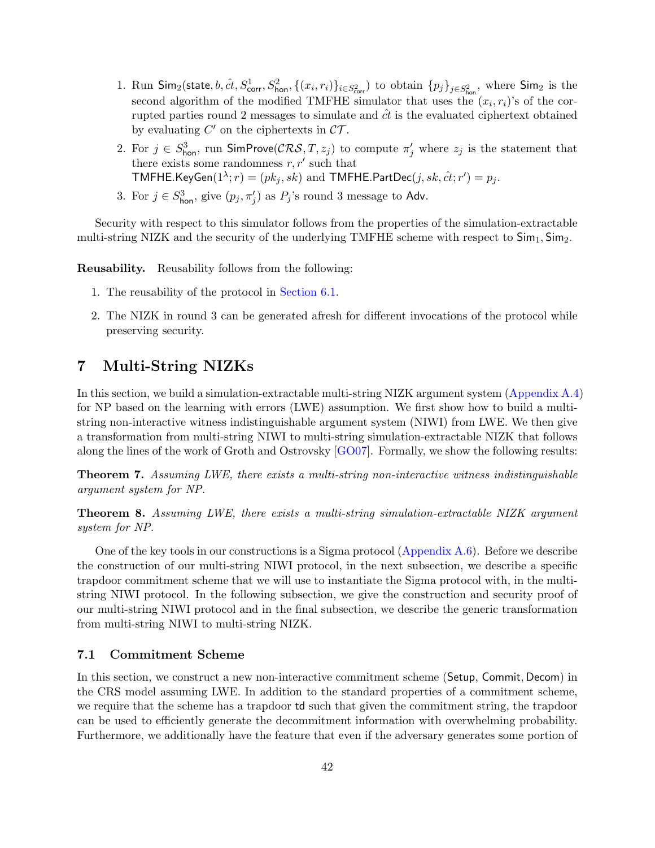- 1. Run  $\mathsf{Sim}_2(\mathsf{state}, b, \hat{ct}, S^1_{\mathsf{corr}}, S^2_{\mathsf{hon}}, \{(x_i, r_i)\}_{i \in S^2_{\mathsf{corr}}})$  to obtain  $\{p_j\}_{j \in S^2_{\mathsf{hon}}},$  where  $\mathsf{Sim}_2$  is the second algorithm of the modified TMFHE simulator that uses the  $(x_i, r_i)$ 's of the corrupted parties round 2 messages to simulate and  $\hat{ct}$  is the evaluated ciphertext obtained by evaluating  $C'$  on the ciphertexts in  $\mathcal{CT}$ .
- 2. For  $j \in S^3_{\text{hon}}$ , run SimProve $(\mathcal{CRS}, T, z_j)$  to compute  $\pi'_j$  where  $z_j$  is the statement that there exists some randomness  $r, r'$  such that TMFHE.KeyGen $(1^{\lambda};r)=(pk_j,sk)$  and TMFHE.PartDec $(j,sk,\hat{ct};r')=p_j.$
- 3. For  $j \in S^3_{\text{hon}},$  give  $(p_j, \pi'_j)$  as  $P_j$ 's round 3 message to Adv.

Security with respect to this simulator follows from the properties of the simulation-extractable multi-string NIZK and the security of the underlying TMFHE scheme with respect to  $Sim_1, Sim_2$ .

Reusability. Reusability follows from the following:

- 1. The reusability of the protocol in [Section 6.1.](#page-32-1)
- 2. The NIZK in round 3 can be generated afresh for different invocations of the protocol while preserving security.

# <span id="page-41-0"></span>7 Multi-String NIZKs

In this section, we build a simulation-extractable multi-string NIZK argument system [\(Appendix A.4\)](#page-63-0) for NP based on the learning with errors (LWE) assumption. We first show how to build a multistring non-interactive witness indistinguishable argument system (NIWI) from LWE. We then give a transformation from multi-string NIWI to multi-string simulation-extractable NIZK that follows along the lines of the work of Groth and Ostrovsky [\[GO07\]](#page-55-0). Formally, we show the following results:

Theorem 7. Assuming LWE, there exists a multi-string non-interactive witness indistinguishable argument system for NP.

Theorem 8. Assuming LWE, there exists a multi-string simulation-extractable NIZK argument system for NP.

One of the key tools in our constructions is a Sigma protocol [\(Appendix A.6\)](#page-65-0). Before we describe the construction of our multi-string NIWI protocol, in the next subsection, we describe a specific trapdoor commitment scheme that we will use to instantiate the Sigma protocol with, in the multistring NIWI protocol. In the following subsection, we give the construction and security proof of our multi-string NIWI protocol and in the final subsection, we describe the generic transformation from multi-string NIWI to multi-string NIZK.

### 7.1 Commitment Scheme

In this section, we construct a new non-interactive commitment scheme (Setup, Commit, Decom) in the CRS model assuming LWE. In addition to the standard properties of a commitment scheme, we require that the scheme has a trapdoor td such that given the commitment string, the trapdoor can be used to efficiently generate the decommitment information with overwhelming probability. Furthermore, we additionally have the feature that even if the adversary generates some portion of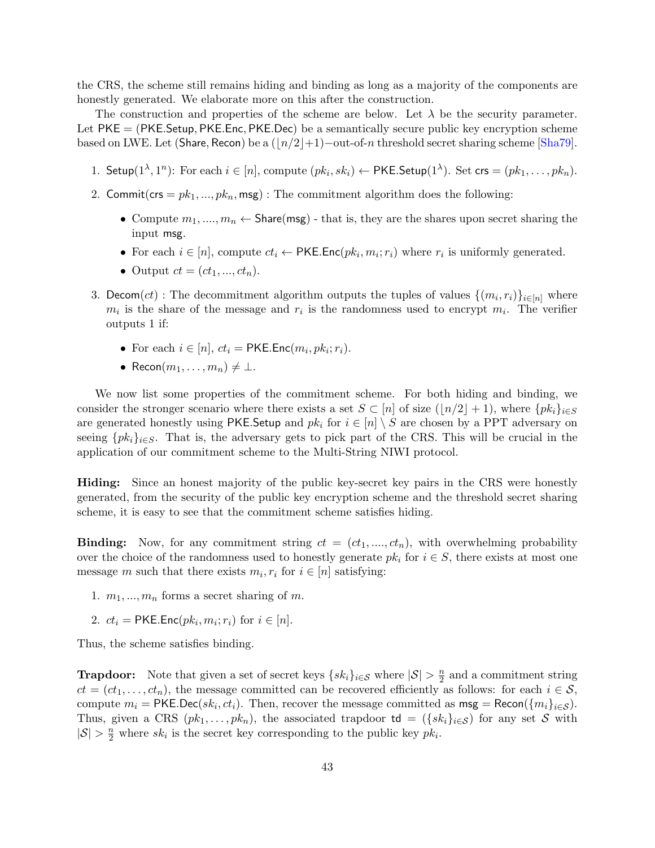the CRS, the scheme still remains hiding and binding as long as a majority of the components are honestly generated. We elaborate more on this after the construction.

The construction and properties of the scheme are below. Let  $\lambda$  be the security parameter. Let PKE = (PKE.Setup, PKE.Enc, PKE.Dec) be a semantically secure public key encryption scheme based on LWE. Let (Share, Recon) be a  $(\lfloor n/2\rfloor+1)$ −out-of-n threshold secret sharing scheme [\[Sha79\]](#page-57-0).

- 1. Setup $(1^{\lambda}, 1^n)$ : For each  $i \in [n]$ , compute  $(pk_i, sk_i) \leftarrow \mathsf{PKE}$ . Setup $(1^{\lambda})$ . Set crs =  $(pk_1, \ldots, pk_n)$ .
- 2. Commit(crs =  $pk_1, ..., pk_n$ , msg): The commitment algorithm does the following:
	- Compute  $m_1, ..., m_n \leftarrow$  Share(msg) that is, they are the shares upon secret sharing the input msg.
	- For each  $i \in [n]$ , compute  $ct_i \leftarrow \textsf{PKE}.\textsf{Enc}(pk_i, m_i; r_i)$  where  $r_i$  is uniformly generated.
	- Output  $ct = (ct_1, ..., ct_n)$ .
- 3. Decom $(ct)$ : The decommitment algorithm outputs the tuples of values  $\{(m_i,r_i)\}_{i\in[n]}$  where  $m_i$  is the share of the message and  $r_i$  is the randomness used to encrypt  $m_i$ . The verifier outputs 1 if:
	- For each  $i \in [n]$ ,  $ct_i = \textsf{PKE}.\textsf{Enc}(m_i, pk_i; r_i)$ .
	- Recon $(m_1, \ldots, m_n) \neq \perp$ .

We now list some properties of the commitment scheme. For both hiding and binding, we consider the stronger scenario where there exists a set  $S \subset [n]$  of size  $(|n/2|+1)$ , where  $\{pk_i\}_{i\in S}$ are generated honestly using PKE.Setup and  $pk_i$  for  $i \in [n] \setminus S$  are chosen by a PPT adversary on seeing  $\{pk_i\}_{i\in S}$ . That is, the adversary gets to pick part of the CRS. This will be crucial in the application of our commitment scheme to the Multi-String NIWI protocol.

Hiding: Since an honest majority of the public key-secret key pairs in the CRS were honestly generated, from the security of the public key encryption scheme and the threshold secret sharing scheme, it is easy to see that the commitment scheme satisfies hiding.

**Binding:** Now, for any commitment string  $ct = (ct_1, ..., ct_n)$ , with overwhelming probability over the choice of the randomness used to honestly generate  $pk_i$  for  $i \in S$ , there exists at most one message m such that there exists  $m_i, r_i$  for  $i \in [n]$  satisfying:

- 1.  $m_1, ..., m_n$  forms a secret sharing of m.
- 2.  $ct_i = \textsf{PKE}.\textsf{Enc}(pk_i, m_i; r_i)$  for  $i \in [n].$

Thus, the scheme satisfies binding.

**Trapdoor:** Note that given a set of secret keys  $\{sk_i\}_{i\in\mathcal{S}}$  where  $|\mathcal{S}| > \frac{n}{2}$  $\frac{n}{2}$  and a commitment string  $ct = (ct_1, \ldots, ct_n)$ , the message committed can be recovered efficiently as follows: for each  $i \in \mathcal{S}$ , compute  $m_i = \textsf{PKE.Dec}(sk_i, ct_i)$ . Then, recover the message committed as  $\textsf{msg} = \textsf{Recon}(\{m_i\}_{i \in S})$ . Thus, given a CRS  $(pk_1, \ldots, pk_n)$ , the associated trapdoor  $td = (\{sk_i\}_{i \in S})$  for any set S with  $|S| > \frac{n}{2}$  where  $sk_i$  is the secret key corresponding to the public key  $pk_i$ .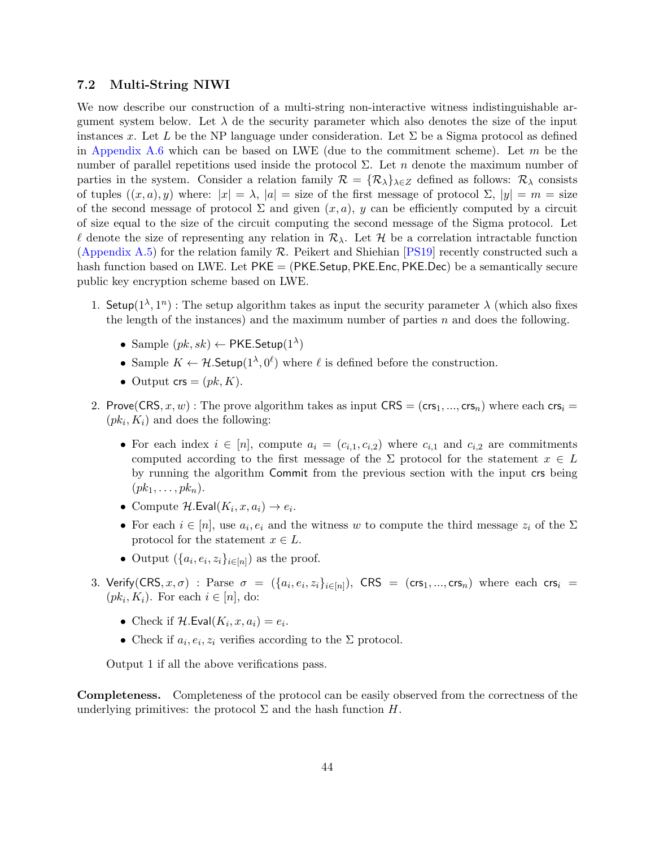### 7.2 Multi-String NIWI

We now describe our construction of a multi-string non-interactive witness indistinguishable argument system below. Let  $\lambda$  de the security parameter which also denotes the size of the input instances x. Let L be the NP language under consideration. Let  $\Sigma$  be a Sigma protocol as defined in [Appendix A.6](#page-65-0) which can be based on LWE (due to the commitment scheme). Let  $m$  be the number of parallel repetitions used inside the protocol  $\Sigma$ . Let n denote the maximum number of parties in the system. Consider a relation family  $\mathcal{R} = {\mathcal{R}_{\lambda}}_{\lambda \in Z}$  defined as follows:  $\mathcal{R}_{\lambda}$  consists of tuples  $((x, a), y)$  where:  $|x| = \lambda$ ,  $|a| =$  size of the first message of protocol  $\Sigma$ ,  $|y| = m =$  size of the second message of protocol  $\Sigma$  and given  $(x, a)$ , y can be efficiently computed by a circuit of size equal to the size of the circuit computing the second message of the Sigma protocol. Let  $\ell$  denote the size of representing any relation in  $\mathcal{R}_{\lambda}$ . Let H be a correlation intractable function [\(Appendix A.5\)](#page-65-1) for the relation family R. Peikert and Shiehian [\[PS19\]](#page-57-1) recently constructed such a hash function based on LWE. Let  $PKE = (PKE \cdot Setup, PKE \cdot Enc, PKE \cdot Dec)$  be a semantically secure public key encryption scheme based on LWE.

- 1. Setup( $1^{\lambda}, 1^{n}$ ) : The setup algorithm takes as input the security parameter  $\lambda$  (which also fixes the length of the instances) and the maximum number of parties  $n$  and does the following.
	- Sample  $(pk, sk) \leftarrow \mathsf{PKE}$ . Setup $(1^{\lambda})$
	- Sample  $K \leftarrow \mathcal{H}$ . Setup $(1^{\lambda}, 0^{\ell})$  where  $\ell$  is defined before the construction.
	- Output  $\textsf{crs} = (pk, K)$ .
- 2. Prove(CRS,  $x, w$ ) : The prove algorithm takes as input CRS = (crs<sub>1</sub>, ..., crs<sub>n</sub>) where each crs<sub>i</sub> =  $(pk_i, K_i)$  and does the following:
	- For each index  $i \in [n]$ , compute  $a_i = (c_{i,1}, c_{i,2})$  where  $c_{i,1}$  and  $c_{i,2}$  are commitments computed according to the first message of the  $\Sigma$  protocol for the statement  $x \in L$ by running the algorithm Commit from the previous section with the input crs being  $(pk_1, \ldots, pk_n).$
	- Compute  $\mathcal{H}.\mathsf{Eval}(K_i, x, a_i) \to e_i.$
	- For each  $i \in [n]$ , use  $a_i, e_i$  and the witness w to compute the third message  $z_i$  of the  $\Sigma$ protocol for the statement  $x \in L$ .
	- Output  $(\{a_i, e_i, z_i\}_{i \in [n]})$  as the proof.
- 3. Verify $(\mathsf{CRS}, x, \sigma)$  : Parse  $\sigma = (\{a_i, e_i, z_i\}_{i \in [n]})$ ,  $\mathsf{CRS} = (\mathsf{crs}_1, ..., \mathsf{crs}_n)$  where each  $\mathsf{crs}_i$  =  $(pk_i, K_i)$ . For each  $i \in [n]$ , do:
	- Check if  $H.Eval(K_i, x, a_i) = e_i$ .
	- Check if  $a_i, e_i, z_i$  verifies according to the  $\Sigma$  protocol.

Output 1 if all the above verifications pass.

Completeness. Completeness of the protocol can be easily observed from the correctness of the underlying primitives: the protocol  $\Sigma$  and the hash function H.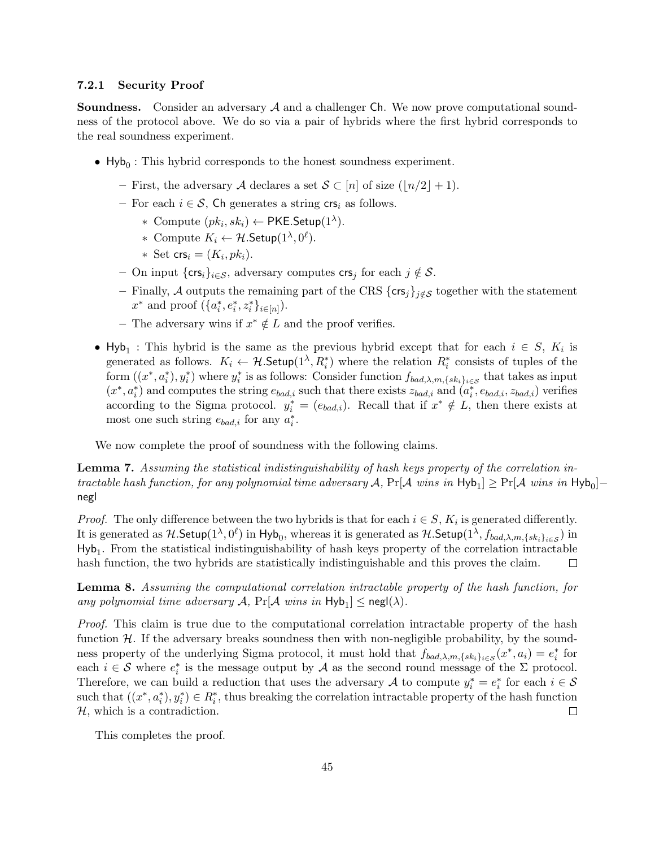#### 7.2.1 Security Proof

**Soundness.** Consider an adversary  $A$  and a challenger Ch. We now prove computational soundness of the protocol above. We do so via a pair of hybrids where the first hybrid corresponds to the real soundness experiment.

- $Hyb_0:$  This hybrid corresponds to the honest soundness experiment.
	- First, the adversary A declares a set  $S \subset [n]$  of size  $(|n/2|+1)$ .
	- For each  $i \in \mathcal{S}$ , Ch generates a string crs<sub>i</sub> as follows.
		- ∗ Compute  $(pk_i, sk_i)$  ← PKE.Setup(1<sup> $\lambda$ </sup>).
		- \* Compute  $K_i \leftarrow \mathcal{H}.\mathsf{Setup}(1^{\lambda},0^{\ell}).$
		- \* Set  $\textsf{crs}_i = (K_i, pk_i).$
	- On input {crs<sub>i</sub>}<sub>i∈S</sub>, adversary computes crs<sub>i</sub> for each  $j \notin S$ .
	- Finally, A outputs the remaining part of the CRS  $\{\mathsf{crs}_j\}_{j \notin \mathcal{S}}$  together with the statement  $x^*$  and proof  $({a_i^*, e_i^*, z_i^*}_{i \in [n]})$ .
	- The adversary wins if  $x^* \notin L$  and the proof verifies.
- Hyb<sub>1</sub>: This hybrid is the same as the previous hybrid except that for each  $i \in S$ ,  $K_i$  is generated as follows.  $K_i \leftarrow H$ . Setup $(1^{\lambda}, R_i^*)$  where the relation  $R_i^*$  consists of tuples of the form  $((x^*, a_i^*), y_i^*)$  where  $y_i^*$  is as follows: Consider function  $f_{bad,\lambda,m,\{sk_i\}_{i\in\mathcal{S}}}$  that takes as input  $(x^*, a_i^*)$  and computes the string  $e_{bad,i}$  such that there exists  $z_{bad,i}$  and  $(a_i^*, e_{bad,i}, z_{bad,i})$  verifies according to the Sigma protocol.  $y_i^* = (e_{bad,i})$ . Recall that if  $x^* \notin L$ , then there exists at most one such string  $e_{bad,i}$  for any  $a_i^*$ .

We now complete the proof of soundness with the following claims.

Lemma 7. Assuming the statistical indistinguishability of hash keys property of the correlation intractable hash function, for any polynomial time adversary  $A$ ,  $Pr[A \text{ wins in Hyb}_1] \geq Pr[A \text{ wins in Hyb}_0]$ negl

*Proof.* The only difference between the two hybrids is that for each  $i \in S$ ,  $K_i$  is generated differently. It is generated as  $\cal H.$ Setup $(1^\lambda,0^\ell)$  in  ${\sf Hyb}_0,$  whereas it is generated as  $\cal H.$ Setup $(1^\lambda,f_{bad,\lambda,m,\{sk_i\}_{i\in S}})$  in  $Hyb<sub>1</sub>$ . From the statistical indistinguishability of hash keys property of the correlation intractable hash function, the two hybrids are statistically indistinguishable and this proves the claim.  $\Box$ 

Lemma 8. Assuming the computational correlation intractable property of the hash function, for any polynomial time adversary  $A$ ,  $Pr[A \text{ wins in Hyb}_1] \leq negl(\lambda)$ .

Proof. This claim is true due to the computational correlation intractable property of the hash function  $H$ . If the adversary breaks soundness then with non-negligible probability, by the soundness property of the underlying Sigma protocol, it must hold that  $f_{bad,\lambda,m,\{sk_i\}_{i\in\mathcal{S}}}(x^*,a_i)=e_i^*$  for each  $i \in S$  where  $e_i^*$  is the message output by A as the second round message of the  $\Sigma$  protocol. Therefore, we can build a reduction that uses the adversary A to compute  $y_i^* = e_i^*$  for each  $i \in \mathcal{S}$ such that  $((x^*, a_i^*), y_i^*) \in R_i^*$ , thus breaking the correlation intractable property of the hash function  $H$ , which is a contradiction.  $\Box$ 

This completes the proof.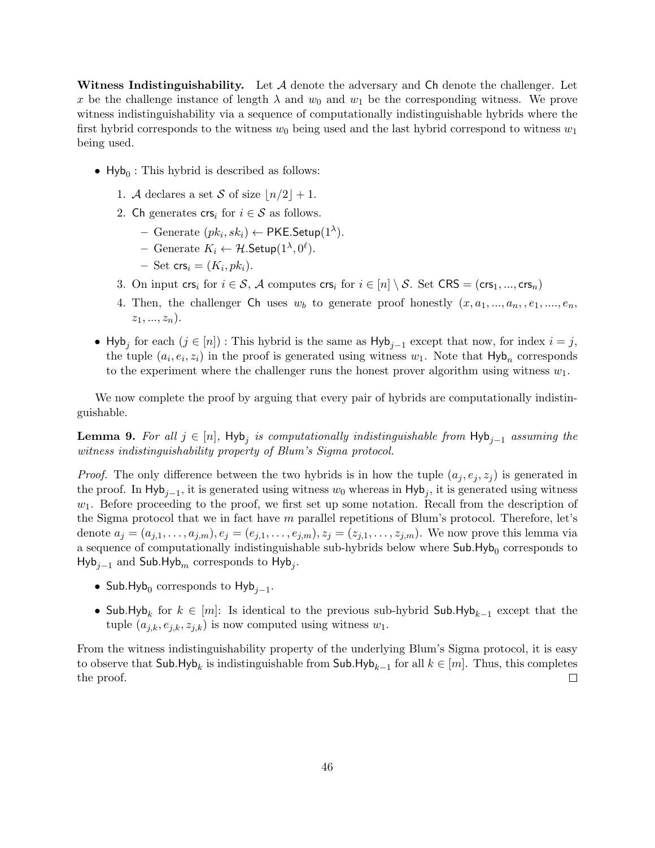**Witness Indistinguishability.** Let  $A$  denote the adversary and  $Ch$  denote the challenger. Let x be the challenge instance of length  $\lambda$  and  $w_0$  and  $w_1$  be the corresponding witness. We prove witness indistinguishability via a sequence of computationally indistinguishable hybrids where the first hybrid corresponds to the witness  $w_0$  being used and the last hybrid correspond to witness  $w_1$ being used.

- $\bullet\,$  Hyb $_0$ : This hybrid is described as follows:
	- 1. A declares a set S of size  $\lfloor n/2 \rfloor + 1$ .
	- 2. Ch generates crs<sub>i</sub> for  $i \in S$  as follows.
		- $-$  Generate  $(pk_i, sk_i) \leftarrow \mathsf{PKE}.\mathsf{Setup}(1^{\lambda}).$
		- Generate  $K_i \leftarrow \mathcal{H}.\mathsf{Setup}(1^{\lambda},0^{\ell}).$
		- $-$  Set  $\textsf{crs}_i = (K_i, pk_i).$
	- 3. On input crs<sub>i</sub> for  $i \in S$ , A computes crs<sub>i</sub> for  $i \in [n] \setminus S$ . Set CRS = (crs<sub>1</sub>, ..., crs<sub>n</sub>)
	- 4. Then, the challenger Ch uses  $w_b$  to generate proof honestly  $(x, a_1, ..., a_n, e_1, ..., e_n,$  $z_1, ..., z_n$ ).
- Hyb<sub>j</sub> for each  $(j \in [n])$ : This hybrid is the same as Hyb<sub>j−1</sub> except that now, for index  $i = j$ , the tuple  $(a_i, e_i, z_i)$  in the proof is generated using witness  $w_1$ . Note that  $\mathsf{Hyb}_n$  corresponds to the experiment where the challenger runs the honest prover algorithm using witness  $w_1$ .

We now complete the proof by arguing that every pair of hybrids are computationally indistinguishable.

**Lemma 9.** For all  $j \in [n]$ , Hyb<sub>j</sub> is computationally indistinguishable from Hyb<sub>j-1</sub> assuming the witness indistinguishability property of Blum's Sigma protocol.

*Proof.* The only difference between the two hybrids is in how the tuple  $(a_j, e_j, z_j)$  is generated in the proof. In Hyb<sub>j−1</sub>, it is generated using witness  $w_0$  whereas in Hyb<sub>j</sub>, it is generated using witness  $w_1$ . Before proceeding to the proof, we first set up some notation. Recall from the description of the Sigma protocol that we in fact have m parallel repetitions of Blum's protocol. Therefore, let's denote  $a_j = (a_{j,1}, \ldots, a_{j,m})$ ,  $e_j = (e_{j,1}, \ldots, e_{j,m})$ ,  $z_j = (z_{j,1}, \ldots, z_{j,m})$ . We now prove this lemma via a sequence of computationally indistinguishable sub-hybrids below where  $\mathsf{Sub}. \mathsf{Hyb}_0$  corresponds to Hyb<sub>j−1</sub> and Sub.Hyb<sub>m</sub> corresponds to Hyb<sub>j</sub>.

- Sub.Hyb<sub>0</sub> corresponds to Hyb<sub>j-1</sub>.
- Sub.Hyb<sub>k</sub> for  $k \in [m]$ : Is identical to the previous sub-hybrid Sub.Hyb<sub>k-1</sub> except that the tuple  $(a_{j,k}, e_{j,k}, z_{j,k})$  is now computed using witness  $w_1$ .

From the witness indistinguishability property of the underlying Blum's Sigma protocol, it is easy to observe that  $\mathsf{Sub}.\mathsf{Hyb}_k$  is indistinguishable from  $\mathsf{Sub}.\mathsf{Hyb}_{k-1}$  for all  $k \in [m]$ . Thus, this completes the proof.  $\Box$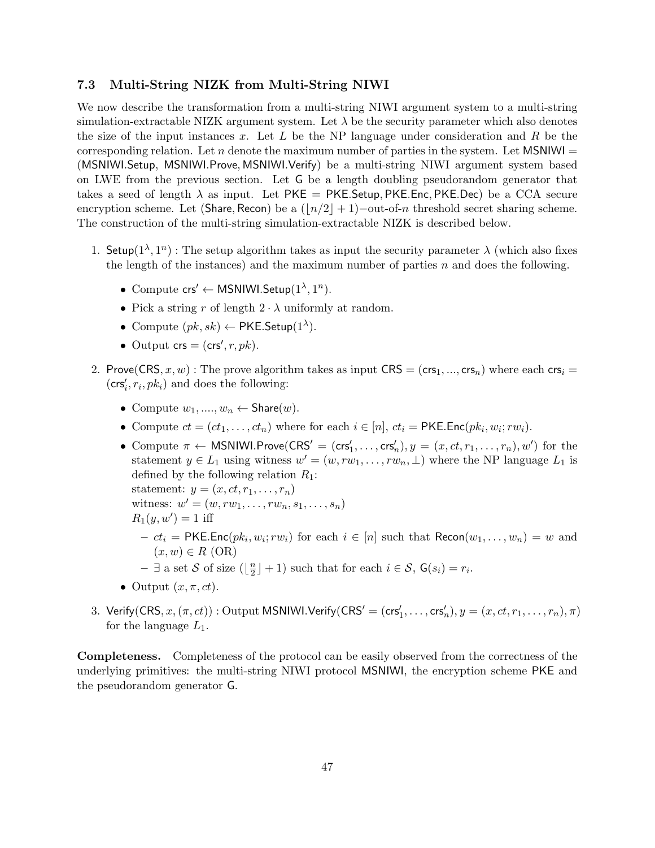### 7.3 Multi-String NIZK from Multi-String NIWI

We now describe the transformation from a multi-string NIWI argument system to a multi-string simulation-extractable NIZK argument system. Let  $\lambda$  be the security parameter which also denotes the size of the input instances x. Let  $L$  be the NP language under consideration and  $R$  be the corresponding relation. Let n denote the maximum number of parties in the system. Let MSNIWI  $=$ (MSNIWI.Setup, MSNIWI.Prove, MSNIWI.Verify) be a multi-string NIWI argument system based on LWE from the previous section. Let G be a length doubling pseudorandom generator that takes a seed of length  $\lambda$  as input. Let PKE = PKE.Setup, PKE.Enc, PKE.Dec) be a CCA secure encryption scheme. Let (Share, Recon) be a  $\lfloor n/2 \rfloor + 1$ )−out-of-n threshold secret sharing scheme. The construction of the multi-string simulation-extractable NIZK is described below.

- 1. Setup( $1^{\lambda}, 1^{n}$ ) : The setup algorithm takes as input the security parameter  $\lambda$  (which also fixes the length of the instances) and the maximum number of parties  $n$  and does the following.
	- Compute  $\mathsf{crs}' \leftarrow \mathsf{MSNIWI}.\mathsf{Setup}(1^{\lambda},1^n).$
	- Pick a string r of length  $2 \cdot \lambda$  uniformly at random.
	- Compute  $(pk, sk) \leftarrow \mathsf{PKE}.\mathsf{Setup}(1^{\lambda}).$
	- Output  $\textsf{crs} = (\textsf{crs}', r, pk).$
- 2. Prove(CRS, x, w) : The prove algorithm takes as input  $CRS = (crs_1, ..., crs_n)$  where each  $crs_i =$  $(\mathsf{crs}'_i, r_i, pk_i)$  and does the following:
	- Compute  $w_1, ..., w_n \leftarrow \text{Share}(w)$ .
	- Compute  $ct = (ct_1, \ldots, ct_n)$  where for each  $i \in [n]$ ,  $ct_i = \textsf{PKE}.\textsf{Enc}(pk_i, w_i; rw_i)$ .
	- Compute  $\pi \leftarrow \text{MSNIWI.Prove(CRS'} = (crs'_1, \ldots, crs'_n), y = (x, ct, r_1, \ldots, r_n), w')$  for the statement  $y \in L_1$  using witness  $w' = (w, rw_1, \ldots, rw_n, \perp)$  where the NP language  $L_1$  is defined by the following relation  $R_1$ : statement:  $y = (x, ct, r_1, \ldots, r_n)$ witness:  $w' = (w, rw_1, \ldots, rw_n, s_1, \ldots, s_n)$  $R_1(y, w') = 1$  iff  $-ct_i = \mathsf{PKE}.\mathsf{Enc}(pk_i, w_i; rw_i)$  for each  $i \in [n]$  such that  $\mathsf{Recon}(w_1, \ldots, w_n) = w$  and  $(x, w) \in R$  (OR)
		- $-$  ∃ a set S of size ( $\frac{n}{2}$ )  $\lfloor \frac{n}{2} \rfloor + 1$ ) such that for each  $i \in S$ ,  $\mathsf{G}(s_i) = r_i$ .
	- Output  $(x, \pi, ct)$ .
- 3. Verify $(\mathsf{CRS}, x, (\pi, ct))$  : Output MSNIWI.Verify $(\mathsf{CRS}' = (\mathsf{crs}'_1, \dots, \mathsf{crs}'_n), y = (x, ct, r_1, \dots, r_n), \pi)$ for the language  $L_1$ .

Completeness. Completeness of the protocol can be easily observed from the correctness of the underlying primitives: the multi-string NIWI protocol MSNIWI, the encryption scheme PKE and the pseudorandom generator G.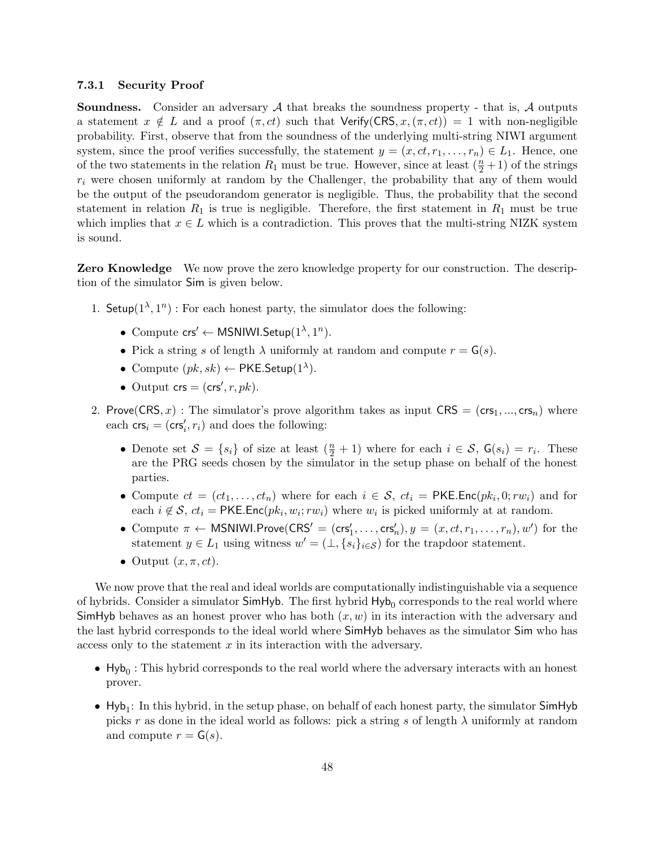#### 7.3.1 Security Proof

**Soundness.** Consider an adversary  $A$  that breaks the soundness property - that is,  $A$  outputs a statement  $x \notin L$  and a proof  $(\pi, ct)$  such that Verify(CRS,  $x, (\pi, ct)) = 1$  with non-negligible probability. First, observe that from the soundness of the underlying multi-string NIWI argument system, since the proof verifies successfully, the statement  $y = (x, ct, r_1, \ldots, r_n) \in L_1$ . Hence, one of the two statements in the relation  $R_1$  must be true. However, since at least  $(\frac{n}{2}+1)$  of the strings  $r_i$  were chosen uniformly at random by the Challenger, the probability that any of them would be the output of the pseudorandom generator is negligible. Thus, the probability that the second statement in relation  $R_1$  is true is negligible. Therefore, the first statement in  $R_1$  must be true which implies that  $x \in L$  which is a contradiction. This proves that the multi-string NIZK system is sound.

Zero Knowledge We now prove the zero knowledge property for our construction. The description of the simulator Sim is given below.

- 1. Setup( $1^{\lambda}, 1^{n}$ ) : For each honest party, the simulator does the following:
	- Compute  $\mathsf{crs}' \leftarrow \mathsf{MSNIWI}.\mathsf{Setup}(1^{\lambda},1^n).$
	- Pick a string s of length  $\lambda$  uniformly at random and compute  $r = G(s)$ .
	- Compute  $(pk, sk) \leftarrow \mathsf{PKE}.\mathsf{Setup}(1^{\lambda}).$
	- Output  $\textsf{crs} = (\textsf{crs}', r, pk).$
- 2. Prove(CRS, x): The simulator's prove algorithm takes as input CRS =  $(crs_1, ..., crs_n)$  where each  $\mathsf{crs}_i = (\mathsf{crs}'_i, r_i)$  and does the following:
	- Denote set  $S = \{s_i\}$  of size at least  $(\frac{n}{2} + 1)$  where for each  $i \in S$ ,  $G(s_i) = r_i$ . These are the PRG seeds chosen by the simulator in the setup phase on behalf of the honest parties.
	- Compute  $ct = (ct_1, \ldots, ct_n)$  where for each  $i \in S$ ,  $ct_i = \text{PKE}$ . Enc $(pk_i, 0; rw_i)$  and for each  $i \notin \mathcal{S}$ ,  $ct_i = \text{PKE}$ . Enc $(pk_i, w_i; rw_i)$  where  $w_i$  is picked uniformly at at random.
	- Compute  $\pi \leftarrow \text{MSNIWI.Prove(CRS'} = (crs'_1, \ldots, crs'_n), y = (x, ct, r_1, \ldots, r_n), w')$  for the statement  $y \in L_1$  using witness  $w' = (\perp, \{s_i\}_{i \in S})$  for the trapdoor statement.
	- Output  $(x, \pi, ct)$ .

We now prove that the real and ideal worlds are computationally indistinguishable via a sequence of hybrids. Consider a simulator  ${\sf SimHyb}$ . The first hybrid  ${\sf Hyb}_0$  corresponds to the real world where SimHyb behaves as an honest prover who has both  $(x, w)$  in its interaction with the adversary and the last hybrid corresponds to the ideal world where SimHyb behaves as the simulator Sim who has access only to the statement  $x$  in its interaction with the adversary.

- $\bullet$  Hyb<sub>0</sub>: This hybrid corresponds to the real world where the adversary interacts with an honest prover.
- $\bullet$  Hyb<sub>1</sub>: In this hybrid, in the setup phase, on behalf of each honest party, the simulator SimHyb picks r as done in the ideal world as follows: pick a string s of length  $\lambda$  uniformly at random and compute  $r = G(s)$ .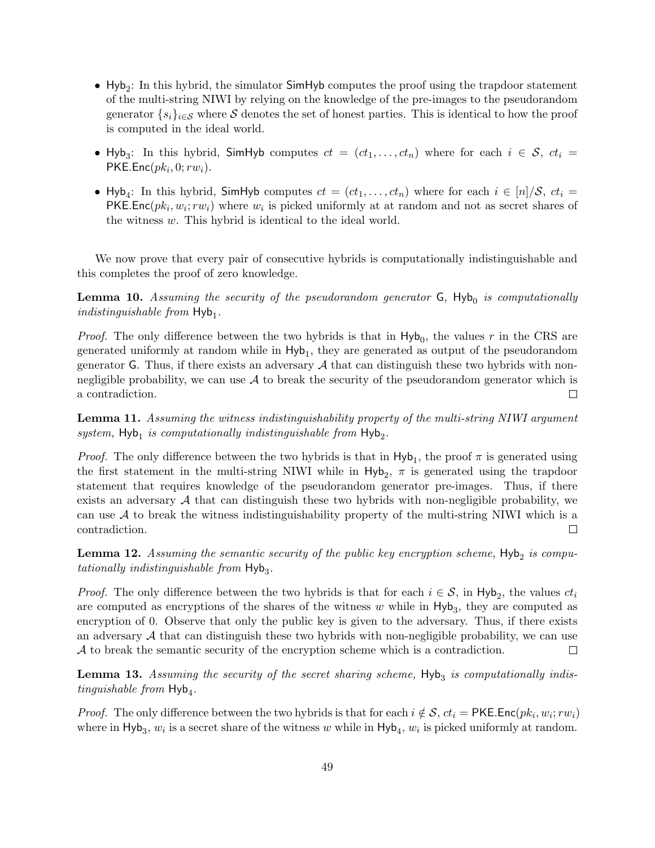- Hyb<sub>2</sub>: In this hybrid, the simulator  $SimHyb$  computes the proof using the trapdoor statement of the multi-string NIWI by relying on the knowledge of the pre-images to the pseudorandom generator  $\{s_i\}_{i\in\mathcal{S}}$  where S denotes the set of honest parties. This is identical to how the proof is computed in the ideal world.
- Hyb<sub>3</sub>: In this hybrid, SimHyb computes  $ct = (ct_1, \ldots, ct_n)$  where for each  $i \in S$ ,  $ct_i =$  $PKEEnc(pk_i, 0; rw_i).$
- Hyb<sub>4</sub>: In this hybrid, SimHyb computes  $ct = (ct_1, \ldots, ct_n)$  where for each  $i \in [n]/\mathcal{S}$ ,  $ct_i =$ **PKE.Enc** $(pk_i, w_i; rw_i)$  where  $w_i$  is picked uniformly at at random and not as secret shares of the witness w. This hybrid is identical to the ideal world.

We now prove that every pair of consecutive hybrids is computationally indistinguishable and this completes the proof of zero knowledge.

<span id="page-48-3"></span>**Lemma 10.** Assuming the security of the pseudorandom generator  $G$ ,  $Hyb_0$  is computationally  $indistinguishable\ from\ \text{Hyb}_1.$ 

*Proof.* The only difference between the two hybrids is that in  $Hyb_0$ , the values r in the CRS are generated uniformly at random while in  $\mathsf{Hyb}_1$ , they are generated as output of the pseudorandom generator G. Thus, if there exists an adversary  $A$  that can distinguish these two hybrids with nonnegligible probability, we can use  $A$  to break the security of the pseudorandom generator which is a contradiction.  $\Box$ 

<span id="page-48-2"></span>**Lemma 11.** Assuming the witness indistinguishability property of the multi-string NIWI argument system,  $\text{Hyb}_1$  is computationally indistinguishable from  $\text{Hyb}_2$ .

*Proof.* The only difference between the two hybrids is that in  $Hyb_1$ , the proof  $\pi$  is generated using the first statement in the multi-string NIWI while in  $Hyb_2$ ,  $\pi$  is generated using the trapdoor statement that requires knowledge of the pseudorandom generator pre-images. Thus, if there exists an adversary  $\mathcal A$  that can distinguish these two hybrids with non-negligible probability, we can use  $A$  to break the witness indistinguishability property of the multi-string NIWI which is a contradiction.  $\Box$ 

<span id="page-48-1"></span>**Lemma 12.** Assuming the semantic security of the public key encryption scheme,  $Hyb_2$  is computationally indistinguishable from  $Hyb<sub>3</sub>$ .

*Proof.* The only difference between the two hybrids is that for each  $i \in S$ , in  $Hyb_2$ , the values  $ct_i$ are computed as encryptions of the shares of the witness  $w$  while in  $Hyb_3$ , they are computed as encryption of 0. Observe that only the public key is given to the adversary. Thus, if there exists an adversary  $A$  that can distinguish these two hybrids with non-negligible probability, we can use A to break the semantic security of the encryption scheme which is a contradiction.  $\Box$ 

<span id="page-48-0"></span>**Lemma 13.** Assuming the security of the secret sharing scheme,  $Hyb<sub>3</sub>$  is computationally indistinguishable from  $Hyb<sub>4</sub>$ .

*Proof.* The only difference between the two hybrids is that for each  $i \notin S$ ,  $ct_i = \text{PKE}$ . Enc $(pk_i, w_i; rw_i)$ where in  $Hyb_3, w_i$  is a secret share of the witness w while in  $Hyb_4, w_i$  is picked uniformly at random.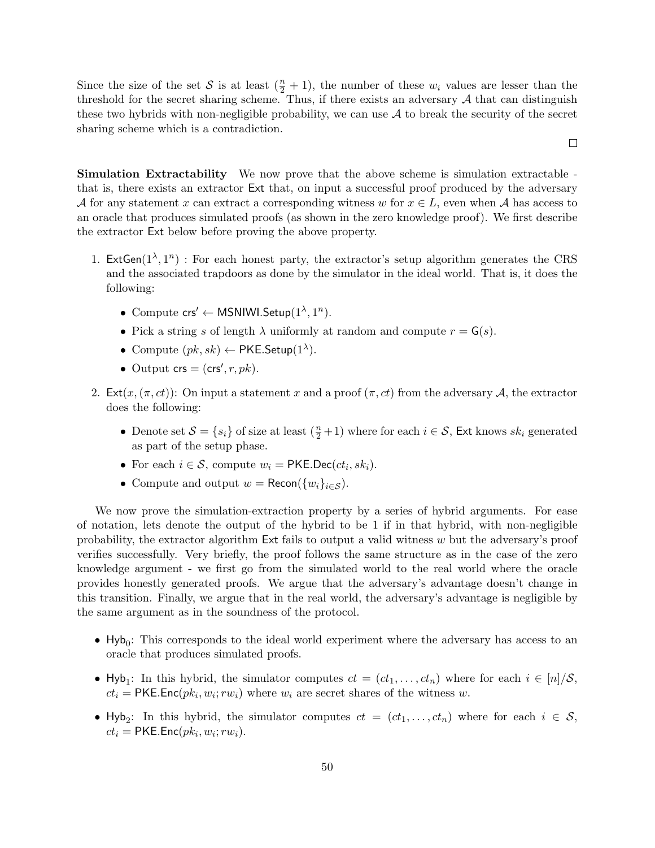Since the size of the set S is at least  $(\frac{n}{2}+1)$ , the number of these  $w_i$  values are lesser than the threshold for the secret sharing scheme. Thus, if there exists an adversary  $A$  that can distinguish these two hybrids with non-negligible probability, we can use  $A$  to break the security of the secret sharing scheme which is a contradiction.

 $\Box$ 

Simulation Extractability We now prove that the above scheme is simulation extractable that is, there exists an extractor Ext that, on input a successful proof produced by the adversary A for any statement x can extract a corresponding witness w for  $x \in L$ , even when A has access to an oracle that produces simulated proofs (as shown in the zero knowledge proof). We first describe the extractor Ext below before proving the above property.

- 1. ExtGen( $1^{\lambda}, 1^{n}$ ) : For each honest party, the extractor's setup algorithm generates the CRS and the associated trapdoors as done by the simulator in the ideal world. That is, it does the following:
	- Compute  $\mathsf{crs}' \leftarrow \mathsf{MSNIWI}.\mathsf{Setup}(1^{\lambda},1^n).$
	- Pick a string s of length  $\lambda$  uniformly at random and compute  $r = G(s)$ .
	- Compute  $(pk, sk) \leftarrow \mathsf{PKE}.\mathsf{Setup}(1^{\lambda}).$
	- Output  $\textsf{crs} = (\textsf{crs}', r, pk).$
- 2. Ext $(x,(\pi, ct))$ : On input a statement x and a proof  $(\pi, ct)$  from the adversary A, the extractor does the following:
	- Denote set  $S = \{s_i\}$  of size at least  $(\frac{n}{2} + 1)$  where for each  $i \in S$ , Ext knows  $sk_i$  generated as part of the setup phase.
	- For each  $i \in \mathcal{S}$ , compute  $w_i = \text{PKE.Dec}(ct_i, sk_i)$ .
	- Compute and output  $w = \text{Recon}(\{w_i\}_{i \in S})$ .

We now prove the simulation-extraction property by a series of hybrid arguments. For ease of notation, lets denote the output of the hybrid to be 1 if in that hybrid, with non-negligible probability, the extractor algorithm Ext fails to output a valid witness w but the adversary's proof verifies successfully. Very briefly, the proof follows the same structure as in the case of the zero knowledge argument - we first go from the simulated world to the real world where the oracle provides honestly generated proofs. We argue that the adversary's advantage doesn't change in this transition. Finally, we argue that in the real world, the adversary's advantage is negligible by the same argument as in the soundness of the protocol.

- $\bullet$  Hyb<sub>0</sub>: This corresponds to the ideal world experiment where the adversary has access to an oracle that produces simulated proofs.
- Hyb<sub>1</sub>: In this hybrid, the simulator computes  $ct = (ct_1, \ldots, ct_n)$  where for each  $i \in [n]/\mathcal{S}$ ,  $ct_i = \textsf{PKE}.\textsf{Enc}(pk_i, w_i; rw_i)$  where  $w_i$  are secret shares of the witness w.
- Hyb<sub>2</sub>: In this hybrid, the simulator computes  $ct = (ct_1, \ldots, ct_n)$  where for each  $i \in S$ ,  $ct_i = \mathsf{PKE}.\mathsf{Enc}(pk_i, w_i; rw_i).$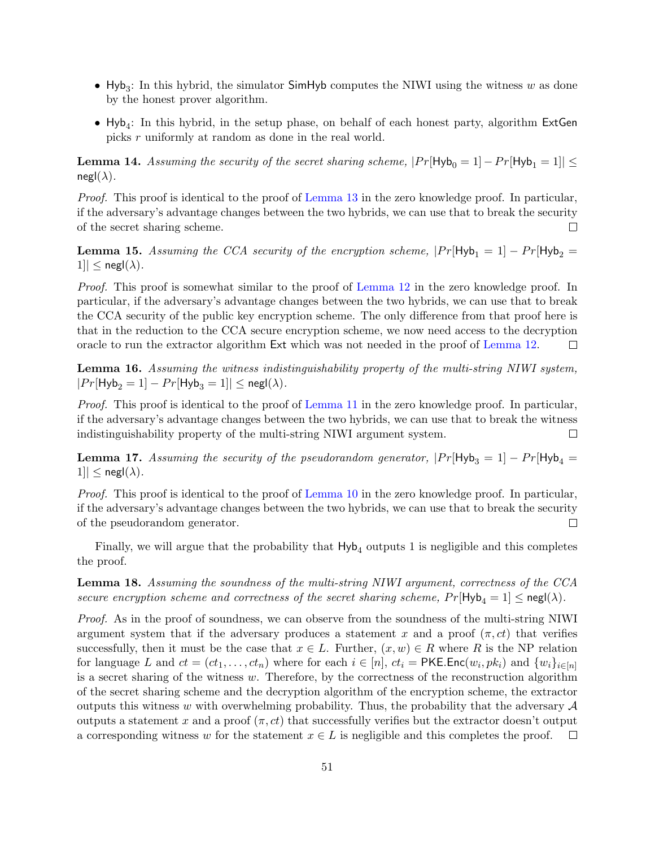- Hyb<sub>3</sub>: In this hybrid, the simulator  $SimHyb$  computes the NIWI using the witness w as done by the honest prover algorithm.
- Hyb<sub>4</sub>: In this hybrid, in the setup phase, on behalf of each honest party, algorithm ExtGen picks r uniformly at random as done in the real world.

**Lemma 14.** Assuming the security of the secret sharing scheme,  $|Pr[\text{Hyb}_0 = 1] - Pr[\text{Hyb}_1 = 1]| \le$  $negl(\lambda)$ .

Proof. This proof is identical to the proof of [Lemma 13](#page-48-0) in the zero knowledge proof. In particular, if the adversary's advantage changes between the two hybrids, we can use that to break the security of the secret sharing scheme.  $\Box$ 

**Lemma 15.** Assuming the CCA security of the encryption scheme,  $|Pr[\text{Hyb}_1 = 1] - Pr[\text{Hyb}_2 =$  $1$ ]  $\leq$  negl $(\lambda)$ .

Proof. This proof is somewhat similar to the proof of [Lemma 12](#page-48-1) in the zero knowledge proof. In particular, if the adversary's advantage changes between the two hybrids, we can use that to break the CCA security of the public key encryption scheme. The only difference from that proof here is that in the reduction to the CCA secure encryption scheme, we now need access to the decryption oracle to run the extractor algorithm Ext which was not needed in the proof of [Lemma 12.](#page-48-1)  $\Box$ 

Lemma 16. Assuming the witness indistinguishability property of the multi-string NIWI system,  $|Pr[\text{Hyb}_{2} = 1] - Pr[\text{Hyb}_{3} = 1]| \leq \text{negl}(\lambda).$ 

Proof. This proof is identical to the proof of [Lemma 11](#page-48-2) in the zero knowledge proof. In particular, if the adversary's advantage changes between the two hybrids, we can use that to break the witness indistinguishability property of the multi-string NIWI argument system.  $\Box$ 

**Lemma 17.** Assuming the security of the pseudorandom generator,  $|Pr[\text{Hyb}_3 = 1] - Pr[\text{Hyb}_4 = 1]$  $1$ ]  $\leq$  negl $(\lambda)$ .

Proof. This proof is identical to the proof of [Lemma 10](#page-48-3) in the zero knowledge proof. In particular, if the adversary's advantage changes between the two hybrids, we can use that to break the security of the pseudorandom generator.  $\Box$ 

Finally, we will argue that the probability that  $Hyb_4$  outputs 1 is negligible and this completes the proof.

Lemma 18. Assuming the soundness of the multi-string NIWI argument, correctness of the CCA secure encryption scheme and correctness of the secret sharing scheme,  $Pr[\text{Hyb}_4 = 1] \leq \text{negl}(\lambda)$ .

Proof. As in the proof of soundness, we can observe from the soundness of the multi-string NIWI argument system that if the adversary produces a statement x and a proof  $(\pi, ct)$  that verifies successfully, then it must be the case that  $x \in L$ . Further,  $(x, w) \in R$  where R is the NP relation for language L and  $ct = (ct_1, \ldots, ct_n)$  where for each  $i \in [n]$ ,  $ct_i = \textsf{PKE}$ . Enc $(w_i, pk_i)$  and  $\{w_i\}_{i \in [n]}$ is a secret sharing of the witness  $w$ . Therefore, by the correctness of the reconstruction algorithm of the secret sharing scheme and the decryption algorithm of the encryption scheme, the extractor outputs this witness w with overwhelming probability. Thus, the probability that the adversary  $\mathcal A$ outputs a statement x and a proof  $(\pi, ct)$  that successfully verifies but the extractor doesn't output a corresponding witness w for the statement  $x \in L$  is negligible and this completes the proof.  $\Box$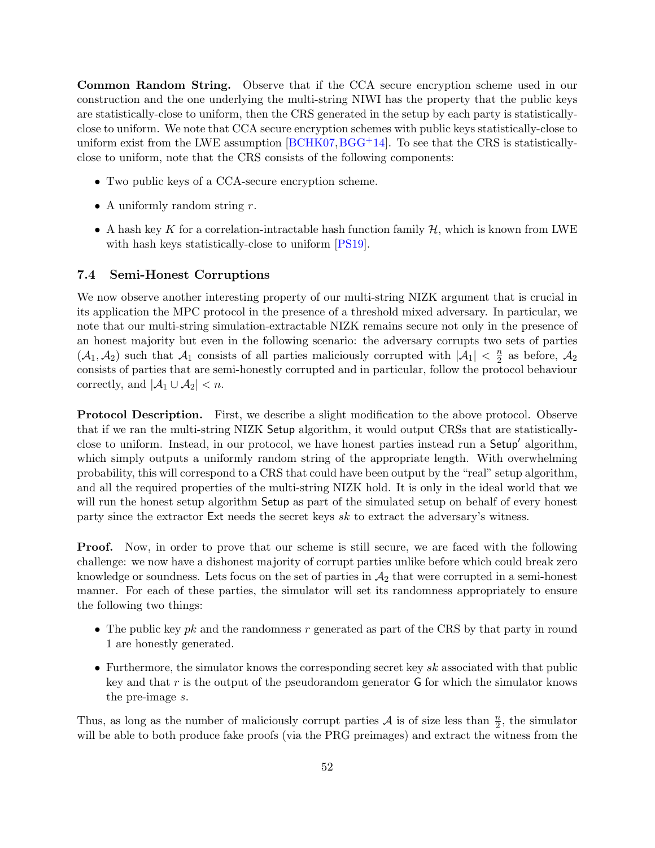Common Random String. Observe that if the CCA secure encryption scheme used in our construction and the one underlying the multi-string NIWI has the property that the public keys are statistically-close to uniform, then the CRS generated in the setup by each party is statisticallyclose to uniform. We note that CCA secure encryption schemes with public keys statistically-close to uniform exist from the LWE assumption  $[BCHK07, BGG<sup>+</sup>14]$  $[BCHK07, BGG<sup>+</sup>14]$  $[BCHK07, BGG<sup>+</sup>14]$  $[BCHK07, BGG<sup>+</sup>14]$ . To see that the CRS is statisticallyclose to uniform, note that the CRS consists of the following components:

- Two public keys of a CCA-secure encryption scheme.
- A uniformly random string  $r$ .
- A hash key K for a correlation-intractable hash function family  $H$ , which is known from LWE with hash keys statistically-close to uniform [\[PS19\]](#page-57-1).

### 7.4 Semi-Honest Corruptions

We now observe another interesting property of our multi-string NIZK argument that is crucial in its application the MPC protocol in the presence of a threshold mixed adversary. In particular, we note that our multi-string simulation-extractable NIZK remains secure not only in the presence of an honest majority but even in the following scenario: the adversary corrupts two sets of parties  $(A_1, A_2)$  such that  $A_1$  consists of all parties maliciously corrupted with  $|A_1| < \frac{n}{2}$  $\frac{n}{2}$  as before,  $\mathcal{A}_2$ consists of parties that are semi-honestly corrupted and in particular, follow the protocol behaviour correctly, and  $|\mathcal{A}_1 \cup \mathcal{A}_2| < n$ .

**Protocol Description.** First, we describe a slight modification to the above protocol. Observe that if we ran the multi-string NIZK Setup algorithm, it would output CRSs that are statisticallyclose to uniform. Instead, in our protocol, we have honest parties instead run a Setup' algorithm, which simply outputs a uniformly random string of the appropriate length. With overwhelming probability, this will correspond to a CRS that could have been output by the "real" setup algorithm, and all the required properties of the multi-string NIZK hold. It is only in the ideal world that we will run the honest setup algorithm Setup as part of the simulated setup on behalf of every honest party since the extractor Ext needs the secret keys sk to extract the adversary's witness.

**Proof.** Now, in order to prove that our scheme is still secure, we are faced with the following challenge: we now have a dishonest majority of corrupt parties unlike before which could break zero knowledge or soundness. Lets focus on the set of parties in  $A_2$  that were corrupted in a semi-honest manner. For each of these parties, the simulator will set its randomness appropriately to ensure the following two things:

- The public key pk and the randomness r generated as part of the CRS by that party in round 1 are honestly generated.
- Furthermore, the simulator knows the corresponding secret key  $sk$  associated with that public key and that  $r$  is the output of the pseudorandom generator  $\mathsf G$  for which the simulator knows the pre-image s.

Thus, as long as the number of maliciously corrupt parties  $A$  is of size less than  $\frac{n}{2}$ , the simulator will be able to both produce fake proofs (via the PRG preimages) and extract the witness from the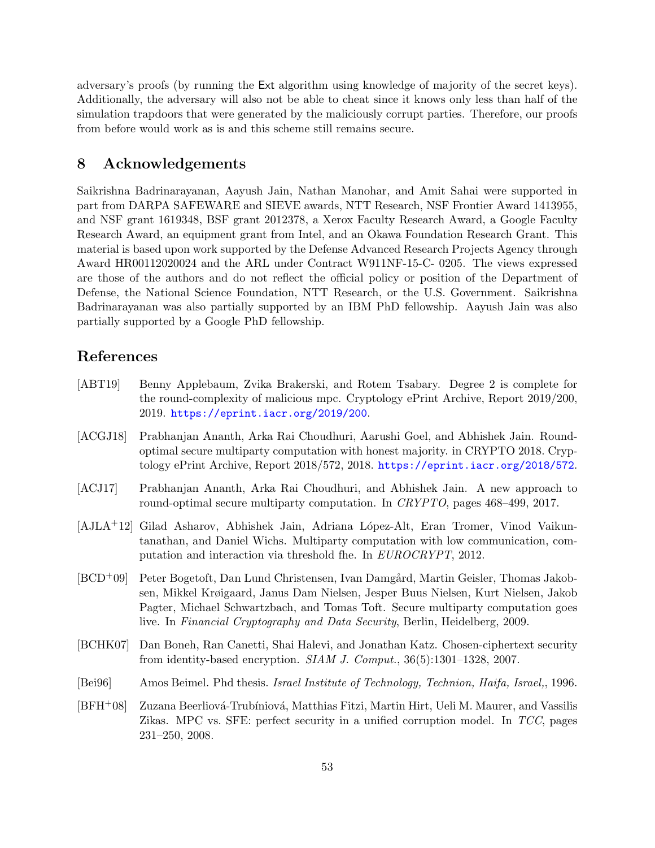adversary's proofs (by running the Ext algorithm using knowledge of majority of the secret keys). Additionally, the adversary will also not be able to cheat since it knows only less than half of the simulation trapdoors that were generated by the maliciously corrupt parties. Therefore, our proofs from before would work as is and this scheme still remains secure.

## 8 Acknowledgements

Saikrishna Badrinarayanan, Aayush Jain, Nathan Manohar, and Amit Sahai were supported in part from DARPA SAFEWARE and SIEVE awards, NTT Research, NSF Frontier Award 1413955, and NSF grant 1619348, BSF grant 2012378, a Xerox Faculty Research Award, a Google Faculty Research Award, an equipment grant from Intel, and an Okawa Foundation Research Grant. This material is based upon work supported by the Defense Advanced Research Projects Agency through Award HR00112020024 and the ARL under Contract W911NF-15-C- 0205. The views expressed are those of the authors and do not reflect the official policy or position of the Department of Defense, the National Science Foundation, NTT Research, or the U.S. Government. Saikrishna Badrinarayanan was also partially supported by an IBM PhD fellowship. Aayush Jain was also partially supported by a Google PhD fellowship.

## References

- [ABT19] Benny Applebaum, Zvika Brakerski, and Rotem Tsabary. Degree 2 is complete for the round-complexity of malicious mpc. Cryptology ePrint Archive, Report 2019/200, 2019. <https://eprint.iacr.org/2019/200>.
- [ACGJ18] Prabhanjan Ananth, Arka Rai Choudhuri, Aarushi Goel, and Abhishek Jain. Roundoptimal secure multiparty computation with honest majority. in CRYPTO 2018. Cryptology ePrint Archive, Report 2018/572, 2018. <https://eprint.iacr.org/2018/572>.
- [ACJ17] Prabhanjan Ananth, Arka Rai Choudhuri, and Abhishek Jain. A new approach to round-optimal secure multiparty computation. In CRYPTO, pages 468–499, 2017.
- <span id="page-52-2"></span>[AJLA<sup>+</sup>12] Gilad Asharov, Abhishek Jain, Adriana López-Alt, Eran Tromer, Vinod Vaikuntanathan, and Daniel Wichs. Multiparty computation with low communication, computation and interaction via threshold fhe. In EUROCRYPT, 2012.
- [BCD<sup>+</sup>09] Peter Bogetoft, Dan Lund Christensen, Ivan Damgård, Martin Geisler, Thomas Jakobsen, Mikkel Krøigaard, Janus Dam Nielsen, Jesper Buus Nielsen, Kurt Nielsen, Jakob Pagter, Michael Schwartzbach, and Tomas Toft. Secure multiparty computation goes live. In Financial Cryptography and Data Security, Berlin, Heidelberg, 2009.
- <span id="page-52-0"></span>[BCHK07] Dan Boneh, Ran Canetti, Shai Halevi, and Jonathan Katz. Chosen-ciphertext security from identity-based encryption. SIAM J. Comput., 36(5):1301-1328, 2007.
- <span id="page-52-1"></span>[Bei96] Amos Beimel. Phd thesis. Israel Institute of Technology, Technion, Haifa, Israel,, 1996.
- [BFH+08] Zuzana Beerliová-Trubíniová, Matthias Fitzi, Martin Hirt, Ueli M. Maurer, and Vassilis Zikas. MPC vs. SFE: perfect security in a unified corruption model. In TCC, pages 231–250, 2008.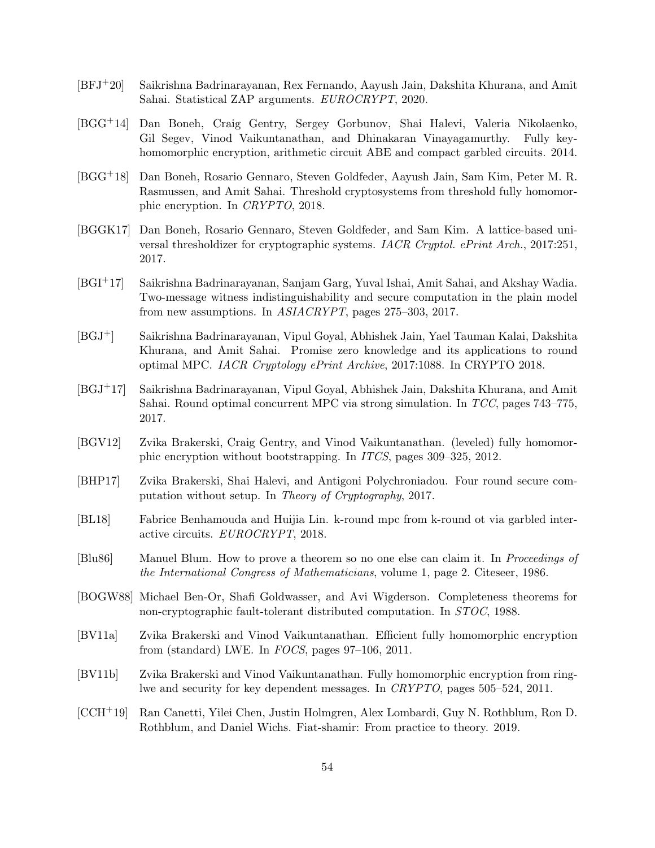- [BFJ+20] Saikrishna Badrinarayanan, Rex Fernando, Aayush Jain, Dakshita Khurana, and Amit Sahai. Statistical ZAP arguments. EUROCRYPT, 2020.
- <span id="page-53-1"></span>[BGG+14] Dan Boneh, Craig Gentry, Sergey Gorbunov, Shai Halevi, Valeria Nikolaenko, Gil Segev, Vinod Vaikuntanathan, and Dhinakaran Vinayagamurthy. Fully keyhomomorphic encryption, arithmetic circuit ABE and compact garbled circuits. 2014.
- [BGG+18] Dan Boneh, Rosario Gennaro, Steven Goldfeder, Aayush Jain, Sam Kim, Peter M. R. Rasmussen, and Amit Sahai. Threshold cryptosystems from threshold fully homomorphic encryption. In CRYPTO, 2018.
- [BGGK17] Dan Boneh, Rosario Gennaro, Steven Goldfeder, and Sam Kim. A lattice-based universal thresholdizer for cryptographic systems. IACR Cryptol. ePrint Arch., 2017:251, 2017.
- [BGI+17] Saikrishna Badrinarayanan, Sanjam Garg, Yuval Ishai, Amit Sahai, and Akshay Wadia. Two-message witness indistinguishability and secure computation in the plain model from new assumptions. In ASIACRYPT, pages 275–303, 2017.
- [BGJ+] Saikrishna Badrinarayanan, Vipul Goyal, Abhishek Jain, Yael Tauman Kalai, Dakshita Khurana, and Amit Sahai. Promise zero knowledge and its applications to round optimal MPC. IACR Cryptology ePrint Archive, 2017:1088. In CRYPTO 2018.
- [BGJ+17] Saikrishna Badrinarayanan, Vipul Goyal, Abhishek Jain, Dakshita Khurana, and Amit Sahai. Round optimal concurrent MPC via strong simulation. In TCC, pages 743–775, 2017.
- [BGV12] Zvika Brakerski, Craig Gentry, and Vinod Vaikuntanathan. (leveled) fully homomorphic encryption without bootstrapping. In ITCS, pages 309–325, 2012.
- <span id="page-53-0"></span>[BHP17] Zvika Brakerski, Shai Halevi, and Antigoni Polychroniadou. Four round secure computation without setup. In Theory of Cryptography, 2017.
- [BL18] Fabrice Benhamouda and Huijia Lin. k-round mpc from k-round ot via garbled interactive circuits. EUROCRYPT, 2018.
- <span id="page-53-3"></span>[Blu86] Manuel Blum. How to prove a theorem so no one else can claim it. In Proceedings of the International Congress of Mathematicians, volume 1, page 2. Citeseer, 1986.
- [BOGW88] Michael Ben-Or, Shafi Goldwasser, and Avi Wigderson. Completeness theorems for non-cryptographic fault-tolerant distributed computation. In STOC, 1988.
- [BV11a] Zvika Brakerski and Vinod Vaikuntanathan. Efficient fully homomorphic encryption from (standard) LWE. In FOCS, pages  $97-106$ ,  $2011$ .
- [BV11b] Zvika Brakerski and Vinod Vaikuntanathan. Fully homomorphic encryption from ringlwe and security for key dependent messages. In CRYPTO, pages 505–524, 2011.
- <span id="page-53-2"></span>[CCH+19] Ran Canetti, Yilei Chen, Justin Holmgren, Alex Lombardi, Guy N. Rothblum, Ron D. Rothblum, and Daniel Wichs. Fiat-shamir: From practice to theory. 2019.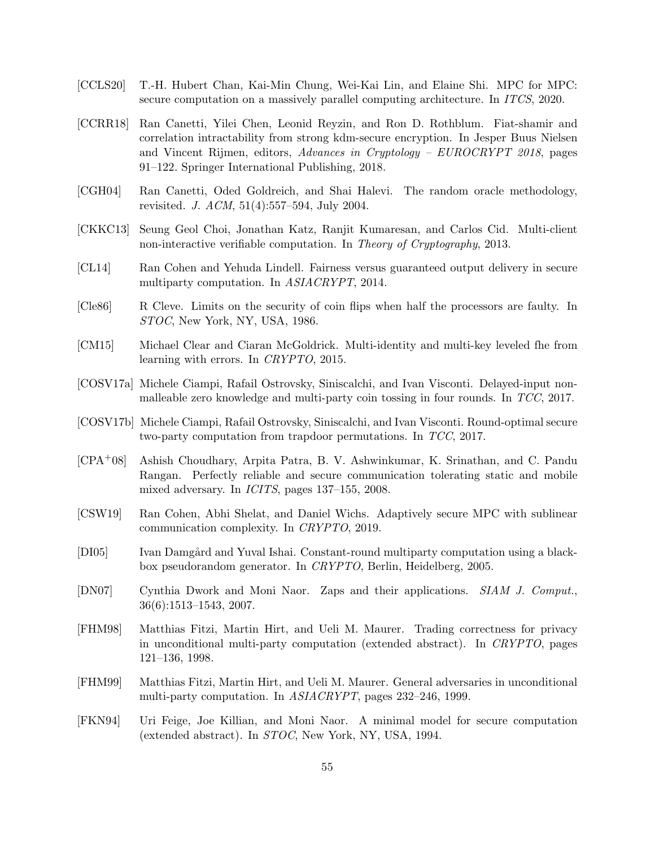- [CCLS20] T.-H. Hubert Chan, Kai-Min Chung, Wei-Kai Lin, and Elaine Shi. MPC for MPC: secure computation on a massively parallel computing architecture. In *ITCS*, 2020.
- [CCRR18] Ran Canetti, Yilei Chen, Leonid Reyzin, and Ron D. Rothblum. Fiat-shamir and correlation intractability from strong kdm-secure encryption. In Jesper Buus Nielsen and Vincent Rijmen, editors, Advances in Cryptology – EUROCRYPT 2018, pages 91–122. Springer International Publishing, 2018.
- [CGH04] Ran Canetti, Oded Goldreich, and Shai Halevi. The random oracle methodology, revisited. J. ACM, 51(4):557–594, July 2004.
- [CKKC13] Seung Geol Choi, Jonathan Katz, Ranjit Kumaresan, and Carlos Cid. Multi-client non-interactive verifiable computation. In Theory of Cryptography, 2013.
- [CL14] Ran Cohen and Yehuda Lindell. Fairness versus guaranteed output delivery in secure multiparty computation. In *ASIACRYPT*, 2014.
- [Cle86] R Cleve. Limits on the security of coin flips when half the processors are faulty. In STOC, New York, NY, USA, 1986.
- <span id="page-54-2"></span>[CM15] Michael Clear and Ciaran McGoldrick. Multi-identity and multi-key leveled fhe from learning with errors. In CRYPTO, 2015.
- [COSV17a] Michele Ciampi, Rafail Ostrovsky, Siniscalchi, and Ivan Visconti. Delayed-input nonmalleable zero knowledge and multi-party coin tossing in four rounds. In TCC, 2017.
- [COSV17b] Michele Ciampi, Rafail Ostrovsky, Siniscalchi, and Ivan Visconti. Round-optimal secure two-party computation from trapdoor permutations. In TCC, 2017.
- [CPA+08] Ashish Choudhary, Arpita Patra, B. V. Ashwinkumar, K. Srinathan, and C. Pandu Rangan. Perfectly reliable and secure communication tolerating static and mobile mixed adversary. In ICITS, pages 137–155, 2008.
- [CSW19] Ran Cohen, Abhi Shelat, and Daniel Wichs. Adaptively secure MPC with sublinear communication complexity. In CRYPTO, 2019.
- [DI05] Ivan Damgård and Yuval Ishai. Constant-round multiparty computation using a blackbox pseudorandom generator. In CRYPTO, Berlin, Heidelberg, 2005.
- [DN07] Cynthia Dwork and Moni Naor. Zaps and their applications. SIAM J. Comput., 36(6):1513–1543, 2007.
- <span id="page-54-0"></span>[FHM98] Matthias Fitzi, Martin Hirt, and Ueli M. Maurer. Trading correctness for privacy in unconditional multi-party computation (extended abstract). In CRYPTO, pages 121–136, 1998.
- <span id="page-54-1"></span>[FHM99] Matthias Fitzi, Martin Hirt, and Ueli M. Maurer. General adversaries in unconditional multi-party computation. In ASIACRYPT, pages 232–246, 1999.
- [FKN94] Uri Feige, Joe Killian, and Moni Naor. A minimal model for secure computation (extended abstract). In STOC, New York, NY, USA, 1994.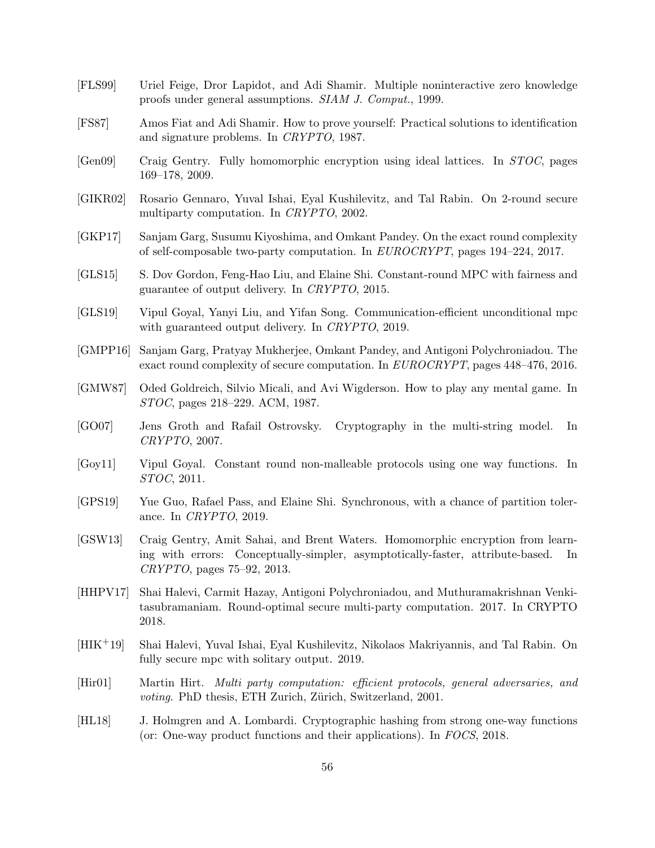- [FLS99] Uriel Feige, Dror Lapidot, and Adi Shamir. Multiple noninteractive zero knowledge proofs under general assumptions. SIAM J. Comput., 1999.
- [FS87] Amos Fiat and Adi Shamir. How to prove yourself: Practical solutions to identification and signature problems. In CRYPTO, 1987.
- [Gen09] Craig Gentry. Fully homomorphic encryption using ideal lattices. In STOC, pages 169–178, 2009.
- [GIKR02] Rosario Gennaro, Yuval Ishai, Eyal Kushilevitz, and Tal Rabin. On 2-round secure multiparty computation. In *CRYPTO*, 2002.
- [GKP17] Sanjam Garg, Susumu Kiyoshima, and Omkant Pandey. On the exact round complexity of self-composable two-party computation. In EUROCRYPT, pages 194–224, 2017.
- [GLS15] S. Dov Gordon, Feng-Hao Liu, and Elaine Shi. Constant-round MPC with fairness and guarantee of output delivery. In CRYPTO, 2015.
- [GLS19] Vipul Goyal, Yanyi Liu, and Yifan Song. Communication-efficient unconditional mpc with guaranteed output delivery. In CRYPTO, 2019.
- [GMPP16] Sanjam Garg, Pratyay Mukherjee, Omkant Pandey, and Antigoni Polychroniadou. The exact round complexity of secure computation. In EUROCRYPT, pages 448–476, 2016.
- [GMW87] Oded Goldreich, Silvio Micali, and Avi Wigderson. How to play any mental game. In STOC, pages 218–229. ACM, 1987.
- <span id="page-55-0"></span>[GO07] Jens Groth and Rafail Ostrovsky. Cryptography in the multi-string model. In CRYPTO, 2007.
- [Goy11] Vipul Goyal. Constant round non-malleable protocols using one way functions. In STOC, 2011.
- [GPS19] Yue Guo, Rafael Pass, and Elaine Shi. Synchronous, with a chance of partition tolerance. In CRYPTO, 2019.
- <span id="page-55-1"></span>[GSW13] Craig Gentry, Amit Sahai, and Brent Waters. Homomorphic encryption from learning with errors: Conceptually-simpler, asymptotically-faster, attribute-based. In CRYPTO, pages 75–92, 2013.
- [HHPV17] Shai Halevi, Carmit Hazay, Antigoni Polychroniadou, and Muthuramakrishnan Venkitasubramaniam. Round-optimal secure multi-party computation. 2017. In CRYPTO 2018.
- [HIK+19] Shai Halevi, Yuval Ishai, Eyal Kushilevitz, Nikolaos Makriyannis, and Tal Rabin. On fully secure mpc with solitary output. 2019.
- [Hir01] Martin Hirt. Multi party computation: efficient protocols, general adversaries, and *voting.* PhD thesis, ETH Zurich, Zürich, Switzerland,  $2001$ .
- [HL18] J. Holmgren and A. Lombardi. Cryptographic hashing from strong one-way functions (or: One-way product functions and their applications). In FOCS, 2018.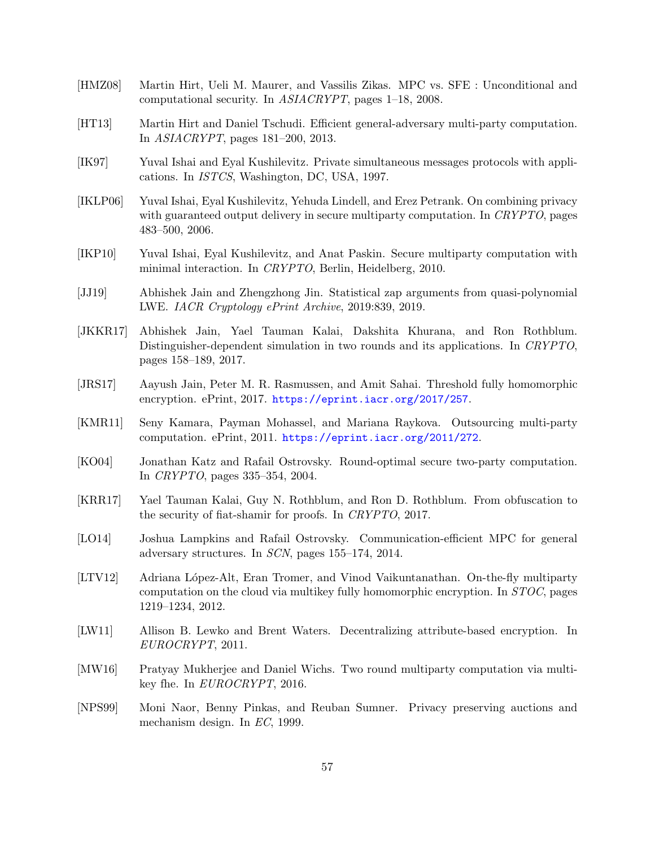- [HMZ08] Martin Hirt, Ueli M. Maurer, and Vassilis Zikas. MPC vs. SFE : Unconditional and computational security. In ASIACRYPT, pages 1–18, 2008.
- [HT13] Martin Hirt and Daniel Tschudi. Efficient general-adversary multi-party computation. In ASIACRYPT, pages 181–200, 2013.
- [IK97] Yuval Ishai and Eyal Kushilevitz. Private simultaneous messages protocols with applications. In ISTCS, Washington, DC, USA, 1997.
- [IKLP06] Yuval Ishai, Eyal Kushilevitz, Yehuda Lindell, and Erez Petrank. On combining privacy with guaranteed output delivery in secure multiparty computation. In CRYPTO, pages 483–500, 2006.
- [IKP10] Yuval Ishai, Eyal Kushilevitz, and Anat Paskin. Secure multiparty computation with minimal interaction. In CRYPTO, Berlin, Heidelberg, 2010.
- [JJ19] Abhishek Jain and Zhengzhong Jin. Statistical zap arguments from quasi-polynomial LWE. IACR Cryptology ePrint Archive, 2019:839, 2019.
- [JKKR17] Abhishek Jain, Yael Tauman Kalai, Dakshita Khurana, and Ron Rothblum. Distinguisher-dependent simulation in two rounds and its applications. In CRYPTO, pages 158–189, 2017.
- <span id="page-56-0"></span>[JRS17] Aayush Jain, Peter M. R. Rasmussen, and Amit Sahai. Threshold fully homomorphic encryption. ePrint, 2017. <https://eprint.iacr.org/2017/257>.
- [KMR11] Seny Kamara, Payman Mohassel, and Mariana Raykova. Outsourcing multi-party computation. ePrint, 2011. <https://eprint.iacr.org/2011/272>.
- [KO04] Jonathan Katz and Rafail Ostrovsky. Round-optimal secure two-party computation. In CRYPTO, pages 335–354, 2004.
- [KRR17] Yael Tauman Kalai, Guy N. Rothblum, and Ron D. Rothblum. From obfuscation to the security of fiat-shamir for proofs. In CRYPTO, 2017.
- [LO14] Joshua Lampkins and Rafail Ostrovsky. Communication-efficient MPC for general adversary structures. In SCN, pages 155–174, 2014.
- [LTV12] Adriana L´opez-Alt, Eran Tromer, and Vinod Vaikuntanathan. On-the-fly multiparty computation on the cloud via multikey fully homomorphic encryption. In STOC, pages 1219–1234, 2012.
- <span id="page-56-2"></span>[LW11] Allison B. Lewko and Brent Waters. Decentralizing attribute-based encryption. In EUROCRYPT, 2011.
- <span id="page-56-1"></span>[MW16] Pratyay Mukherjee and Daniel Wichs. Two round multiparty computation via multikey fhe. In EUROCRYPT, 2016.
- [NPS99] Moni Naor, Benny Pinkas, and Reuban Sumner. Privacy preserving auctions and mechanism design. In EC, 1999.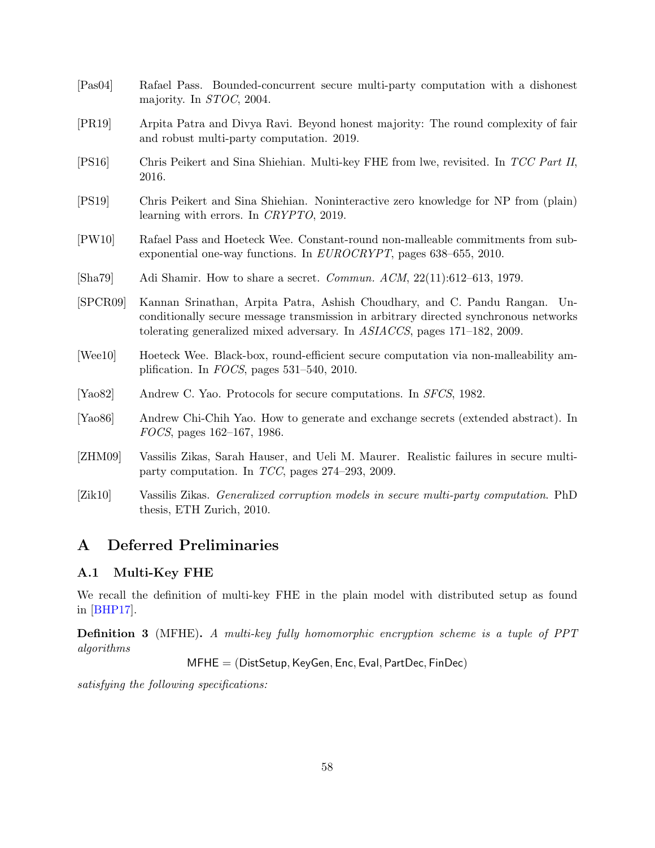- [Pas04] Rafael Pass. Bounded-concurrent secure multi-party computation with a dishonest majority. In STOC, 2004.
- [PR19] Arpita Patra and Divya Ravi. Beyond honest majority: The round complexity of fair and robust multi-party computation. 2019.
- [PS16] Chris Peikert and Sina Shiehian. Multi-key FHE from lwe, revisited. In TCC Part II, 2016.
- <span id="page-57-1"></span>[PS19] Chris Peikert and Sina Shiehian. Noninteractive zero knowledge for NP from (plain) learning with errors. In CRYPTO, 2019.
- [PW10] Rafael Pass and Hoeteck Wee. Constant-round non-malleable commitments from subexponential one-way functions. In  $EUROCRYPT$ , pages 638–655, 2010.
- <span id="page-57-0"></span>[Sha79] Adi Shamir. How to share a secret. Commun. ACM, 22(11):612–613, 1979.
- [SPCR09] Kannan Srinathan, Arpita Patra, Ashish Choudhary, and C. Pandu Rangan. Unconditionally secure message transmission in arbitrary directed synchronous networks tolerating generalized mixed adversary. In ASIACCS, pages 171–182, 2009.
- [Wee10] Hoeteck Wee. Black-box, round-efficient secure computation via non-malleability amplification. In FOCS, pages 531–540, 2010.
- [Yao82] Andrew C. Yao. Protocols for secure computations. In SFCS, 1982.
- [Yao86] Andrew Chi-Chih Yao. How to generate and exchange secrets (extended abstract). In FOCS, pages 162–167, 1986.
- [ZHM09] Vassilis Zikas, Sarah Hauser, and Ueli M. Maurer. Realistic failures in secure multiparty computation. In TCC, pages 274–293, 2009.
- [Zik10] Vassilis Zikas. Generalized corruption models in secure multi-party computation. PhD thesis, ETH Zurich, 2010.

### A Deferred Preliminaries

#### A.1 Multi-Key FHE

We recall the definition of multi-key FHE in the plain model with distributed setup as found in [\[BHP17\]](#page-53-0).

Definition 3 (MFHE). A multi-key fully homomorphic encryption scheme is a tuple of PPT algorithms

 $MFHE = (DistSetup, KeyGen, Enc, eval, PartDec, FinDec)$ 

satisfying the following specifications: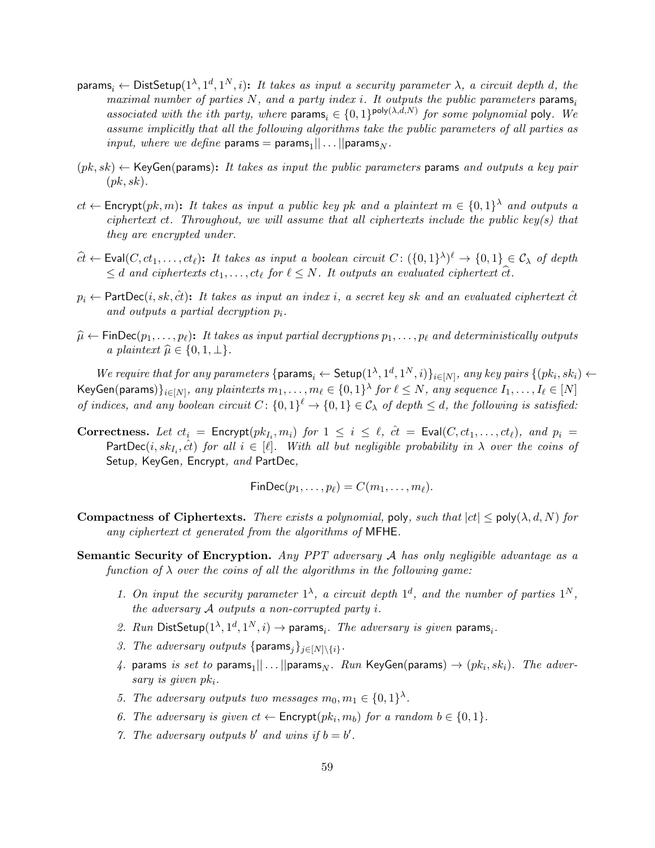- $\mathsf{params}_i \gets \mathsf{DistSetup}(1^\lambda,1^d,1^N,i)$ : It takes as input a security parameter  $\lambda,$  a circuit depth  $d,$  the maximal number of parties N, and a party index i. It outputs the public parameters params<sub>i</sub> associated with the ith party, where  $\text{params}_i \in \{0, 1\}^{\text{poly}(\lambda, d, N)}$  for some polynomial poly. We assume implicitly that all the following algorithms take the public parameters of all parties as  $input, \ where \ we \ define \ params = params_1 || \dots || params_N.$
- $(pk, sk) \leftarrow \text{KeyGen(params)}$ : It takes as input the public parameters params and outputs a key pair  $(pk, sk)$ .
- $ct \leftarrow$  Encrypt $(pk, m)$ : It takes as input a public key pk and a plaintext  $m \in \{0, 1\}^{\lambda}$  and outputs a ciphertext ct. Throughout, we will assume that all ciphertexts include the public key(s) that they are encrypted under.
- $\hat{ct} \leftarrow \text{Eval}(C, ct_1, \ldots, ct_\ell)$ : It takes as input a boolean circuit  $C : (\{0, 1\}^\lambda)^\ell \rightarrow \{0, 1\} \in C_\lambda$  of depth  $\leq d$  and ciphertexts  $ct_1, \ldots, ct_\ell$  for  $\ell \leq N$ . It outputs an evaluated ciphertext  $ct$ .
- $p_i \leftarrow$  PartDec(i, sk,  $\hat{ct}$ ): It takes as input an index i, a secret key sk and an evaluated ciphertext  $\hat{ct}$ and outputs a partial decryption  $p_i$ .
- $\hat{\mu} \leftarrow$  FinDec( $p_1, \ldots, p_\ell$ ): It takes as input partial decryptions  $p_1, \ldots, p_\ell$  and deterministically outputs a plaintext  $\widehat{\mu} \in \{0, 1, \perp\}.$

We require that for any parameters  $\{$  params<sub>i</sub>  $\leftarrow$  Setup $(1^{\lambda}, 1^d, 1^N, i) \}_{i \in [N]}$ , any key pairs  $\{(pk_i, sk_i) \leftarrow$ KeyGen(params) $\}_{i\in [N]},$  any plaintexts  $m_1,\ldots,m_\ell\in \{0,1\}^\lambda$  for  $\ell\le N,$  any sequence  $I_1,\ldots,I_\ell\in [N]$ of indices, and any boolean circuit  $C: \{0,1\}^{\ell} \to \{0,1\} \in \mathcal{C}_{\lambda}$  of depth  $\leq d$ , the following is satisfied:

Correctness. Let  $ct_i =$  Encrypt $(pk_{I_i}, m_i)$  for  $1 \leq i \leq \ell$ ,  $\hat{ct} =$  Eval $(C, ct_1, \ldots, ct_\ell)$ , and  $p_i =$ PartDec(i,  $sk_{I_i}$ ,  $\hat{ct}$ ) for all  $i \in [\ell]$ . With all but negligible probability in  $\lambda$  over the coins of Setup, KeyGen, Encrypt, and PartDec,

 $\text{FinDec}(p_1, \ldots, p_\ell) = C(m_1, \ldots, m_\ell).$ 

- **Compactness of Ciphertexts.** There exists a polynomial, poly, such that  $|ct| \le \text{poly}(\lambda, d, N)$  for any ciphertext ct generated from the algorithms of MFHE.
- **Semantic Security of Encryption.** Any PPT adversary  $A$  has only negligible advantage as a function of  $\lambda$  over the coins of all the algorithms in the following game:
	- 1. On input the security parameter  $1^{\lambda}$ , a circuit depth  $1^d$ , and the number of parties  $1^N$ , the adversary  $A$  outputs a non-corrupted party  $i$ .
	- 2. Run DistSetup $(1^{\lambda}, 1^d, 1^N, i) \rightarrow$  params<sub>i</sub>. The adversary is given params<sub>i</sub>.
	- 3. The adversary outputs  $\{\text{params}_j\}_{j \in [N] \setminus \{i\}}$ .
	- $\hbox{$4$.}$  params  $\emph{is set to }$  param $\mathsf{s}_1||\ldots||$ param $\mathsf{s}_N.$   $\emph{Run}$  KeyGen $(\textsf{params}) \to (\textit{pk}_i,\textit{sk}_i).$   $\emph{The adver-}$ sary is given  $pk_i$ .
	- 5. The adversary outputs two messages  $m_0, m_1 \in \{0, 1\}^{\lambda}$ .
	- 6. The adversary is given  $ct \leftarrow$  Encrypt $(pk_i, m_b)$  for a random  $b \in \{0, 1\}$ .
	- 7. The adversary outputs b' and wins if  $b = b'$ .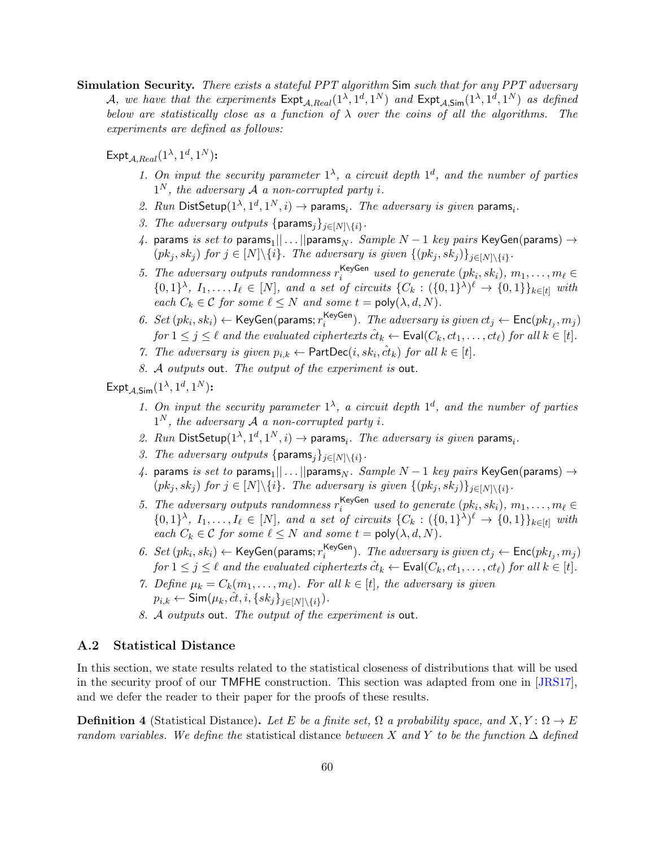Simulation Security. There exists a stateful PPT algorithm Sim such that for any PPT adversary A, we have that the experiments  $\textsf{Expt}_{\mathcal{A},Real}(1^{\lambda}, 1^d, 1^N)$  and  $\textsf{Expt}_{\mathcal{A},Sim}(1^{\lambda}, 1^d, 1^N)$  as defined below are statistically close as a function of  $\lambda$  over the coins of all the algorithms. The experiments are defined as follows:

 ${\sf Ext}_{{\cal A},Real} (1^{\lambda},1^d,1^N)$ :

- 1. On input the security parameter  $1^{\lambda}$ , a circuit depth  $1^d$ , and the number of parties  $1^N$ , the adversary A a non-corrupted party i.
- 2. Run DistSetup $(1^{\lambda}, 1^d, 1^N, i) \rightarrow$  params<sub>i</sub>. The adversary is given params<sub>i</sub>.
- 3. The adversary outputs  $\{\text{params}_j\}_{j \in [N] \setminus \{i\}}$ .
- 4. params  $\it{is set to~params}_1 || \ldots || \text{params}_N.$   $Sample~N-1~key~pairs$  KeyGen(params)  $\rightarrow$  $(pk_j, sk_j)$  for  $j \in [N] \setminus \{i\}$ . The adversary is given  $\{(pk_j, sk_j)\}_{j \in [N] \setminus \{i\}}$ .
- 5. The adversary outputs randomness  $r_i^{\text{KeyGen}}$  $\sum_{i=1}^{\text{NeyGen}}$  used to generate  $(pk_i, sk_i), m_1, \ldots, m_\ell \in$  $\{0,1\}^{\lambda}, I_1,\ldots,I_{\ell} \in [N]$ , and a set of circuits  $\{C_k : (\{0,1\}^{\lambda})^{\ell} \to \{0,1\}\}_{k \in [t]}$  with each  $C_k \in \mathcal{C}$  for some  $\ell \leq N$  and some  $t = \text{poly}(\lambda, d, N)$ .
- 6.  $Set(pk_i, sk_i) \leftarrow \mathsf{KeyGen}(params; r_i^{\mathsf{KeyGen}})$ <sup>Reyden</sup>). The adversary is given  $ct_j \leftarrow \mathsf{Enc}(pk_{I_j}, m_j)$ for  $1 \leq j \leq \ell$  and the evaluated ciphertexts  $\hat{ct}_k \leftarrow \text{Eval}(C_k, ct_1, \ldots, ct_\ell)$  for all  $k \in [t]$ .
- 7. The adversary is given  $p_{i,k} \leftarrow \textsf{PartDec}(i, sk_i, \hat{ct}_k)$  for all  $k \in [t]$ .
- 8. A outputs out. The output of the experiment is out.

 $\mathsf{Expt}_{\mathcal{A},\mathsf{Sim}}(1^{\lambda},1^d,1^N)$ :

- 1. On input the security parameter  $1^{\lambda}$ , a circuit depth  $1^d$ , and the number of parties  $1^N$ , the adversary A a non-corrupted party i.
- 2. Run DistSetup $(1^{\lambda}, 1^d, 1^N, i) \rightarrow$  params<sub>i</sub>. The adversary is given params<sub>i</sub>.
- 3. The adversary outputs  $\{\text{params}_j\}_{j \in [N] \setminus \{i\}}$ .
- 4. params  $\it{is set to~params}_1 || \ldots || \text{params}_N.$   $Sample~N-1~key~pairs$  KeyGen(params)  $\rightarrow$  $(pk_j, sk_j)$  for  $j \in [N] \setminus \{i\}$ . The adversary is given  $\{(pk_j, sk_j)\}_{j \in [N] \setminus \{i\}}$ .
- 5. The adversary outputs randomness  $r_i^{\text{KeyGen}}$  $i_i^{\text{AeyGen}}$  used to generate  $(pk_i, sk_i), m_1, \ldots, m_\ell \in$  $\{0,1\}^{\lambda}, I_1,\ldots,I_{\ell} \in [N]$ , and a set of circuits  $\{C_k : (\{0,1\}^{\lambda})^{\ell} \to \{0,1\}\}_{k \in [t]}$  with each  $C_k \in \mathcal{C}$  for some  $\ell \leq N$  and some  $t = \text{poly}(\lambda, d, N)$ .
- 6.  $Set(pk_i, sk_i) \leftarrow \textsf{KeyGen}(params; r_i^{\textsf{KeyGen}})$ <sup>Reyden</sup>). The adversary is given  $ct_j \leftarrow \mathsf{Enc}(pk_{I_j}, m_j)$ for  $1 \leq j \leq \ell$  and the evaluated ciphertexts  $\hat{ct}_k \leftarrow \text{Eval}(C_k, ct_1, \ldots, ct_\ell)$  for all  $k \in [t]$ .
- 7. Define  $\mu_k = C_k(m_1, \ldots, m_\ell)$ . For all  $k \in [t]$ , the adversary is given  $p_{i,k} \leftarrow \mathsf{Sim}(\mu_k, \hat{ct}, i, \{sk_j\}_{j \in [N] \setminus \{i\}}).$
- 8. A outputs out. The output of the experiment is out.

#### A.2 Statistical Distance

In this section, we state results related to the statistical closeness of distributions that will be used in the security proof of our TMFHE construction. This section was adapted from one in [\[JRS17\]](#page-56-0), and we defer the reader to their paper for the proofs of these results.

**Definition 4** (Statistical Distance). Let E be a finite set,  $\Omega$  a probability space, and  $X, Y: \Omega \to E$ random variables. We define the statistical distance between X and Y to be the function  $\Delta$  defined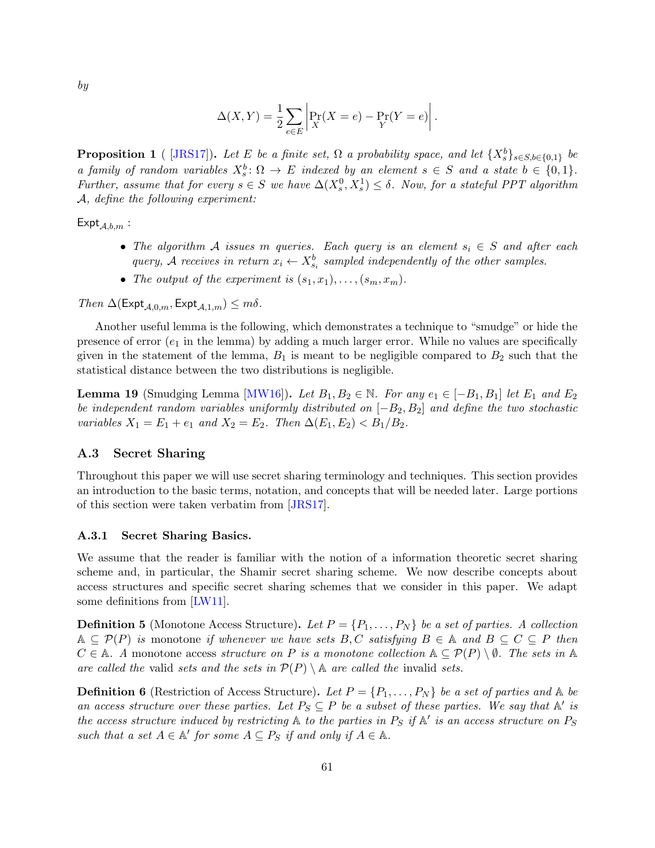by

$$
\Delta(X,Y) = \frac{1}{2} \sum_{e \in E} \left| \Pr_{X}(X = e) - \Pr_{Y}(Y = e) \right|.
$$

**Proposition 1** ( [\[JRS17\]](#page-56-0)). Let E be a finite set,  $\Omega$  a probability space, and let  $\{X_s^b\}_{s\in S, b\in\{0,1\}}$  be a family of random variables  $X_s^b: \Omega \to E$  indexed by an element  $s \in S$  and a state  $b \in \{0,1\}.$ Further, assume that for every  $s \in S$  we have  $\Delta(X_s^0, X_s^1) \leq \delta$ . Now, for a stateful PPT algorithm A, define the following experiment:

 $\mathsf{Expt}_{\mathcal{A},b,m}$ :

- The algorithm A issues m queries. Each query is an element  $s_i \in S$  and after each query, A receives in return  $x_i \leftarrow X_{s_i}^b$  sampled independently of the other samples.
- The output of the experiment is  $(s_1, x_1), \ldots, (s_m, x_m)$ .

Then  $\Delta$ (Expt<sub>A,0,m</sub>, Expt<sub>A,1,m</sub>)  $\leq m\delta$ .

Another useful lemma is the following, which demonstrates a technique to "smudge" or hide the presence of error  $(e_1$  in the lemma) by adding a much larger error. While no values are specifically given in the statement of the lemma,  $B_1$  is meant to be negligible compared to  $B_2$  such that the statistical distance between the two distributions is negligible.

**Lemma 19** (Smudging Lemma [\[MW16\]](#page-56-1)). Let  $B_1, B_2 \in \mathbb{N}$ . For any  $e_1 \in [-B_1, B_1]$  let  $E_1$  and  $E_2$ be independent random variables uniformly distributed on  $[-B_2, B_2]$  and define the two stochastic variables  $X_1 = E_1 + e_1$  and  $X_2 = E_2$ . Then  $\Delta(E_1, E_2) < B_1/B_2$ .

#### A.3 Secret Sharing

Throughout this paper we will use secret sharing terminology and techniques. This section provides an introduction to the basic terms, notation, and concepts that will be needed later. Large portions of this section were taken verbatim from [\[JRS17\]](#page-56-0).

#### A.3.1 Secret Sharing Basics.

We assume that the reader is familiar with the notion of a information theoretic secret sharing scheme and, in particular, the Shamir secret sharing scheme. We now describe concepts about access structures and specific secret sharing schemes that we consider in this paper. We adapt some definitions from [\[LW11\]](#page-56-2).

**Definition 5** (Monotone Access Structure). Let  $P = \{P_1, \ldots, P_N\}$  be a set of parties. A collection  $A \subseteq \mathcal{P}(P)$  is monotone if whenever we have sets B, C satisfying  $B \in A$  and  $B \subseteq C \subseteq P$  then  $C \in \mathbb{A}$ . A monotone access structure on P is a monotone collection  $\mathbb{A} \subseteq \mathcal{P}(P) \setminus \emptyset$ . The sets in  $\mathbb{A}$ are called the valid sets and the sets in  $\mathcal{P}(P) \setminus \mathbb{A}$  are called the invalid sets.

**Definition 6** (Restriction of Access Structure). Let  $P = \{P_1, \ldots, P_N\}$  be a set of parties and A be an access structure over these parties. Let  $P_S \subseteq P$  be a subset of these parties. We say that  $\mathbb{A}'$  is the access structure induced by restricting  $\mathbb A$  to the parties in  $P_S$  if  $\mathbb A'$  is an access structure on  $P_S$ such that a set  $A \in \mathbb{A}'$  for some  $A \subseteq P_S$  if and only if  $A \in \mathbb{A}$ .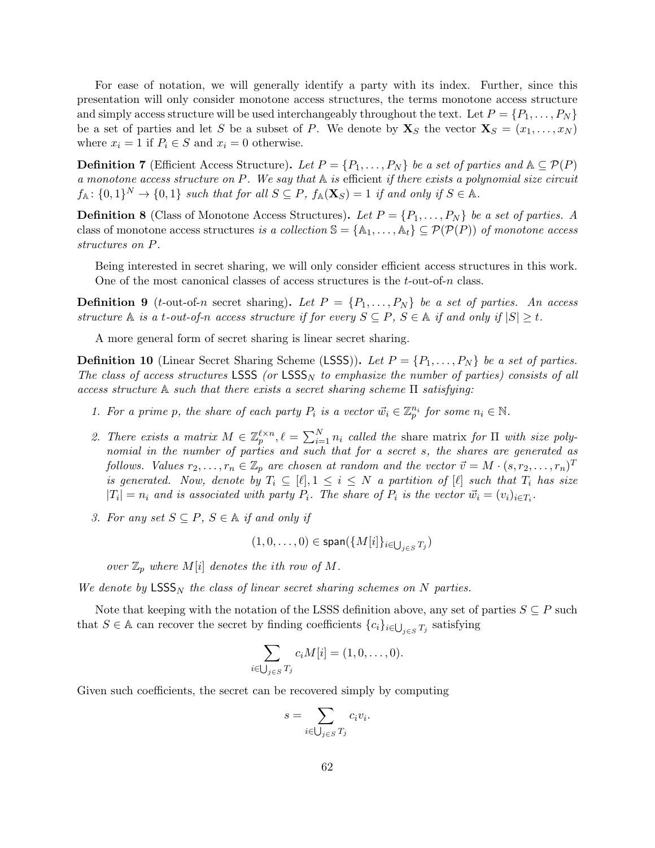For ease of notation, we will generally identify a party with its index. Further, since this presentation will only consider monotone access structures, the terms monotone access structure and simply access structure will be used interchangeably throughout the text. Let  $P = \{P_1, \ldots, P_N\}$ be a set of parties and let S be a subset of P. We denote by  $\mathbf{X}_S$  the vector  $\mathbf{X}_S = (x_1, \ldots, x_N)$ where  $x_i = 1$  if  $P_i \in S$  and  $x_i = 0$  otherwise.

**Definition 7** (Efficient Access Structure). Let  $P = \{P_1, \ldots, P_N\}$  be a set of parties and  $\mathbb{A} \subseteq \mathcal{P}(P)$ a monotone access structure on  $P$ . We say that  $A$  is efficient if there exists a polynomial size circuit  $f_{\mathbb{A}}: \{0,1\}^N \to \{0,1\}$  such that for all  $S \subseteq P$ ,  $f_{\mathbb{A}}(\mathbf{X}_S) = 1$  if and only if  $S \in \mathbb{A}$ .

**Definition 8** (Class of Monotone Access Structures). Let  $P = \{P_1, \ldots, P_N\}$  be a set of parties. A class of monotone access structures is a collection  $\mathbb{S} = {\mathbb{A}_1, \ldots, \mathbb{A}_t} \subseteq \mathcal{P}(\mathcal{P}(P))$  of monotone access structures on P.

Being interested in secret sharing, we will only consider efficient access structures in this work. One of the most canonical classes of access structures is the  $t$ -out-of-n class.

**Definition 9** (*t*-out-of-*n* secret sharing). Let  $P = \{P_1, \ldots, P_N\}$  be a set of parties. An access structure  $\mathbb A$  is a t-out-of-n access structure if for every  $S \subseteq P$ ,  $S \in \mathbb A$  if and only if  $|S| \ge t$ .

A more general form of secret sharing is linear secret sharing.

**Definition 10** (Linear Secret Sharing Scheme (LSSS)). Let  $P = \{P_1, \ldots, P_N\}$  be a set of parties. The class of access structures LSSS (or LSSS<sub>N</sub> to emphasize the number of parties) consists of all access structure  $\mathbb A$  such that there exists a secret sharing scheme  $\Pi$  satisfying:

- 1. For a prime p, the share of each party  $P_i$  is a vector  $\vec{w}_i \in \mathbb{Z}_p^{n_i}$  for some  $n_i \in \mathbb{N}$ .
- 2. There exists a matrix  $M \in \mathbb{Z}_p^{\ell \times n}, \ell = \sum_{i=1}^N n_i$  called the share matrix for  $\Pi$  with size polynomial in the number of parties and such that for a secret s, the shares are generated as follows. Values  $r_2, \ldots, r_n \in \mathbb{Z}_p$  are chosen at random and the vector  $\vec{v} = M \cdot (s, r_2, \ldots, r_n)^T$ is generated. Now, denote by  $T_i \subseteq [\ell], 1 \leq i \leq N$  a partition of  $[\ell]$  such that  $T_i$  has size  $|T_i| = n_i$  and is associated with party  $P_i$ . The share of  $P_i$  is the vector  $\vec{w_i} = (v_i)_{i \in T_i}$ .
- 3. For any set  $S \subseteq P$ ,  $S \in \mathbb{A}$  if and only if

$$
(1,0,\ldots,0) \in \text{span}(\{M[i]\}_{i \in \bigcup_{j \in S} T_j})
$$

over  $\mathbb{Z}_p$  where  $M[i]$  denotes the ith row of M.

We denote by  $\textsf{LSSS}_N$  the class of linear secret sharing schemes on N parties.

Note that keeping with the notation of the LSSS definition above, any set of parties  $S \subseteq P$  such that  $S \in \mathbb{A}$  can recover the secret by finding coefficients  $\{c_i\}_{i \in \bigcup_{j \in S} T_j}$  satisfying

$$
\sum_{i\in\bigcup_{j\in S}T_j}c_iM[i]=(1,0,\ldots,0).
$$

Given such coefficients, the secret can be recovered simply by computing

$$
s = \sum_{i \in \bigcup_{j \in S} T_j} c_i v_i.
$$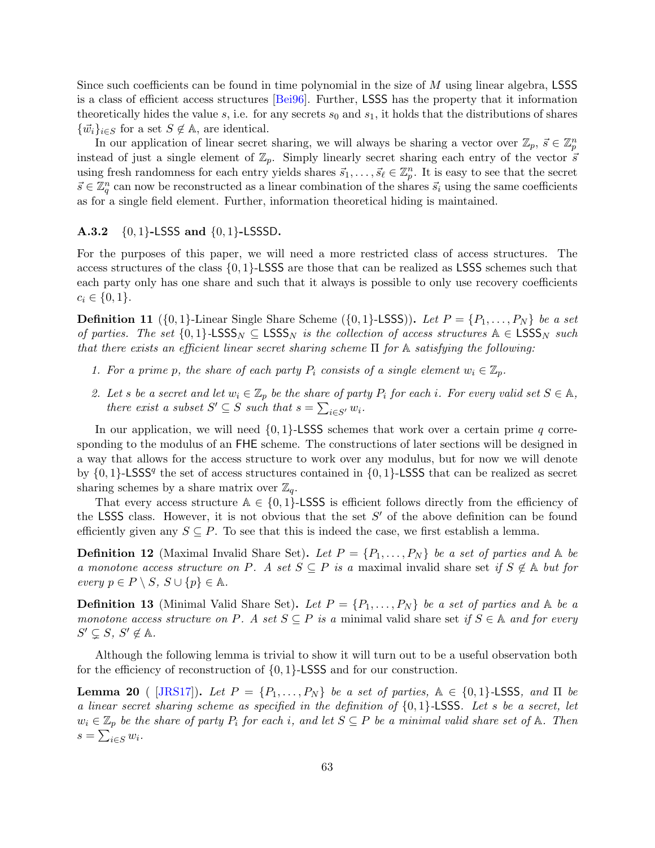Since such coefficients can be found in time polynomial in the size of M using linear algebra, LSSS is a class of efficient access structures [\[Bei96\]](#page-52-1). Further, LSSS has the property that it information theoretically hides the value s, i.e. for any secrets  $s_0$  and  $s_1$ , it holds that the distributions of shares  ${\{\vec{w}_i\}}_{i\in S}$  for a set  $S \notin A$ , are identical.

In our application of linear secret sharing, we will always be sharing a vector over  $\mathbb{Z}_p, \ \vec{s} \in \mathbb{Z}_p^n$ instead of just a single element of  $\mathbb{Z}_p$ . Simply linearly secret sharing each entry of the vector  $\vec{s}$ using fresh randomness for each entry yields shares  $\vec{s}_1, \ldots, \vec{s}_{\ell} \in \mathbb{Z}_p^n$ . It is easy to see that the secret  $\vec{s} \in \mathbb{Z}_q^n$  can now be reconstructed as a linear combination of the shares  $\vec{s}_i$  using the same coefficients as for a single field element. Further, information theoretical hiding is maintained.

#### **A.3.2** {0, 1}-LSSS and {0, 1}-LSSSD.

For the purposes of this paper, we will need a more restricted class of access structures. The access structures of the class  $\{0,1\}$ -LSSS are those that can be realized as LSSS schemes such that each party only has one share and such that it always is possible to only use recovery coefficients  $c_i \in \{0, 1\}.$ 

**Definition 11** ({0, 1}-Linear Single Share Scheme ({0, 1}-LSSS)). Let  $P = \{P_1, \ldots, P_N\}$  be a set of parties. The set  $\{0,1\}$ -LSSS<sub>N</sub>  $\subseteq$  LSSS<sub>N</sub> is the collection of access structures  $A \in LSSS_N$  such that there exists an efficient linear secret sharing scheme  $\Pi$  for  $\mathbb A$  satisfying the following:

- 1. For a prime p, the share of each party  $P_i$  consists of a single element  $w_i \in \mathbb{Z}_p$ .
- 2. Let s be a secret and let  $w_i \in \mathbb{Z}_p$  be the share of party  $P_i$  for each i. For every valid set  $S \in \mathbb{A}$ , there exist a subset  $S' \subseteq S$  such that  $s = \sum_{i \in S'} w_i$ .

In our application, we will need  $\{0, 1\}$ -LSSS schemes that work over a certain prime q corresponding to the modulus of an FHE scheme. The constructions of later sections will be designed in a way that allows for the access structure to work over any modulus, but for now we will denote by  ${0, 1}$ -LSSS<sup>q</sup> the set of access structures contained in  ${0, 1}$ -LSSS that can be realized as secret sharing schemes by a share matrix over  $\mathbb{Z}_q$ .

That every access structure  $A \in \{0,1\}$ -LSSS is efficient follows directly from the efficiency of the LSSS class. However, it is not obvious that the set  $S'$  of the above definition can be found efficiently given any  $S \subseteq P$ . To see that this is indeed the case, we first establish a lemma.

**Definition 12** (Maximal Invalid Share Set). Let  $P = \{P_1, \ldots, P_N\}$  be a set of parties and A be a monotone access structure on P. A set  $S \subseteq P$  is a maximal invalid share set if  $S \notin A$  but for every  $p \in P \setminus S$ ,  $S \cup \{p\} \in A$ .

**Definition 13** (Minimal Valid Share Set). Let  $P = \{P_1, \ldots, P_N\}$  be a set of parties and A be a monotone access structure on P. A set  $S \subseteq P$  is a minimal valid share set if  $S \in \mathbb{A}$  and for every  $S' \subsetneq S$ ,  $S' \notin \mathbb{A}$ .

Although the following lemma is trivial to show it will turn out to be a useful observation both for the efficiency of reconstruction of  $\{0, 1\}$ -LSSS and for our construction.

**Lemma 20** (  $[\text{JRS17}]$ ). Let  $P = \{P_1, \ldots, P_N\}$  be a set of parties,  $A \in \{0, 1\}$ -LSSS, and  $\Pi$  be a linear secret sharing scheme as specified in the definition of  $\{0,1\}$ -LSSS. Let s be a secret, let  $w_i \in \mathbb{Z}_p$  be the share of party  $P_i$  for each i, and let  $S \subseteq P$  be a minimal valid share set of  $\mathbb{A}$ . Then  $s = \sum_{i \in S} w_i$ .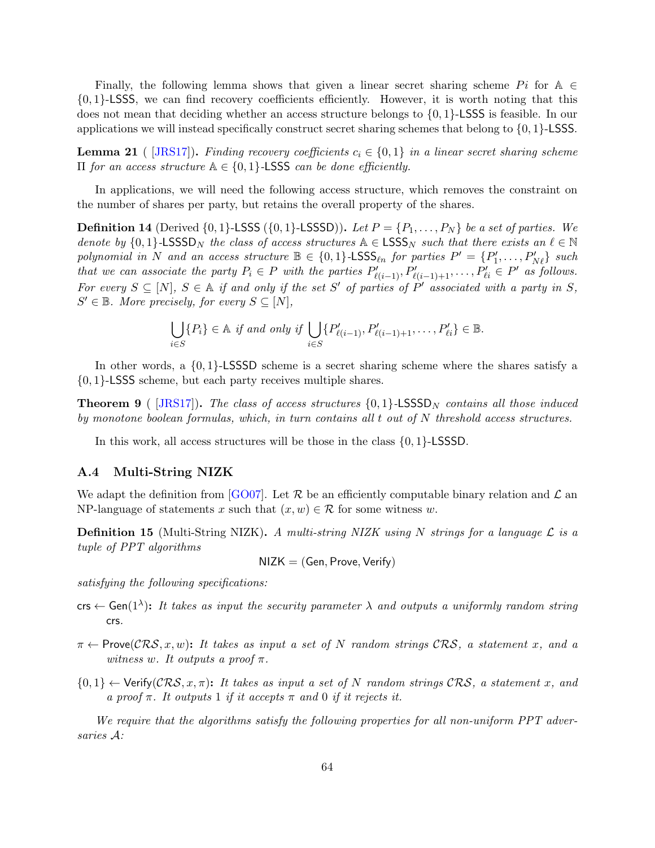Finally, the following lemma shows that given a linear secret sharing scheme  $Pi$  for  $A \in$ {0, 1}-LSSS, we can find recovery coefficients efficiently. However, it is worth noting that this does not mean that deciding whether an access structure belongs to  $\{0, 1\}$ -LSSS is feasible. In our applications we will instead specifically construct secret sharing schemes that belong to  $\{0, 1\}$ -LSSS.

**Lemma 21** ( [\[JRS17\]](#page-56-0)). Finding recovery coefficients  $c_i \in \{0,1\}$  in a linear secret sharing scheme Π for an access structure A ∈ {0, 1}-LSSS can be done efficiently.

In applications, we will need the following access structure, which removes the constraint on the number of shares per party, but retains the overall property of the shares.

**Definition 14** (Derived  $\{0, 1\}$ -LSSS  $(\{0, 1\}$ -LSSSD)). Let  $P = \{P_1, \ldots, P_N\}$  be a set of parties. We denote by  $\{0,1\}$ -LSSSD<sub>N</sub> the class of access structures  $A \in LSSS_N$  such that there exists an  $\ell \in \mathbb{N}$ polynomial in N and an access structure  $\mathbb{B} \in \{0,1\}$ -LSSS<sub> $\ell_n$ </sub> for parties  $P' = \{P'_1, \ldots, P'_{N\ell}\}$  such that we can associate the party  $P_i \in P$  with the parties  $P'_{\ell(i-1)}, P'_{\ell(i-1)+1}, \ldots, P'_{\ell i} \in P'$  as follows. For every  $S \subseteq [N], S \in \mathbb{A}$  if and only if the set S' of parties of  $P'$  associated with a party in S,  $S' \in \mathbb{B}$ . More precisely, for every  $S \subseteq [N]$ ,

$$
\bigcup_{i\in S} \{P_i\} \in \mathbb{A} \text{ if and only if } \bigcup_{i\in S} \{P'_{\ell(i-1)}, P'_{\ell(i-1)+1}, \ldots, P'_{\ell i}\} \in \mathbb{B}.
$$

In other words, a {0, 1}-LSSSD scheme is a secret sharing scheme where the shares satisfy a {0, 1}-LSSS scheme, but each party receives multiple shares.

**Theorem 9** (  $[JRS17]$ ). The class of access structures  $\{0,1\}$ -LSSSD<sub>N</sub> contains all those induced by monotone boolean formulas, which, in turn contains all  $t$  out of  $N$  threshold access structures.

In this work, all access structures will be those in the class  $\{0, 1\}$ -LSSSD.

#### <span id="page-63-0"></span>A.4 Multi-String NIZK

We adapt the definition from [\[GO07\]](#page-55-0). Let  $\mathcal R$  be an efficiently computable binary relation and  $\mathcal L$  and NP-language of statements x such that  $(x, w) \in \mathcal{R}$  for some witness w.

**Definition 15** (Multi-String NIZK). A multi-string NIZK using N strings for a language  $\mathcal{L}$  is a tuple of PPT algorithms

$$
NIZK = (Gen, Prove, Verify)
$$

satisfying the following specifications:

- crs  $\leftarrow$  Gen(1<sup> $\lambda$ </sup>): It takes as input the security parameter  $\lambda$  and outputs a uniformly random string crs.
- $\pi \leftarrow$  Prove $(\mathcal{CRS}, x, w)$ : It takes as input a set of N random strings  $\mathcal{CRS}$ , a statement x, and a witness w. It outputs a proof  $\pi$ .
- $\{0,1\} \leftarrow$  Verify( $\mathcal{CRS}, x, \pi$ ): It takes as input a set of N random strings  $\mathcal{CRS},$  a statement x, and a proof  $\pi$ . It outputs 1 if it accepts  $\pi$  and 0 if it rejects it.

We require that the algorithms satisfy the following properties for all non-uniform PPT adversaries A: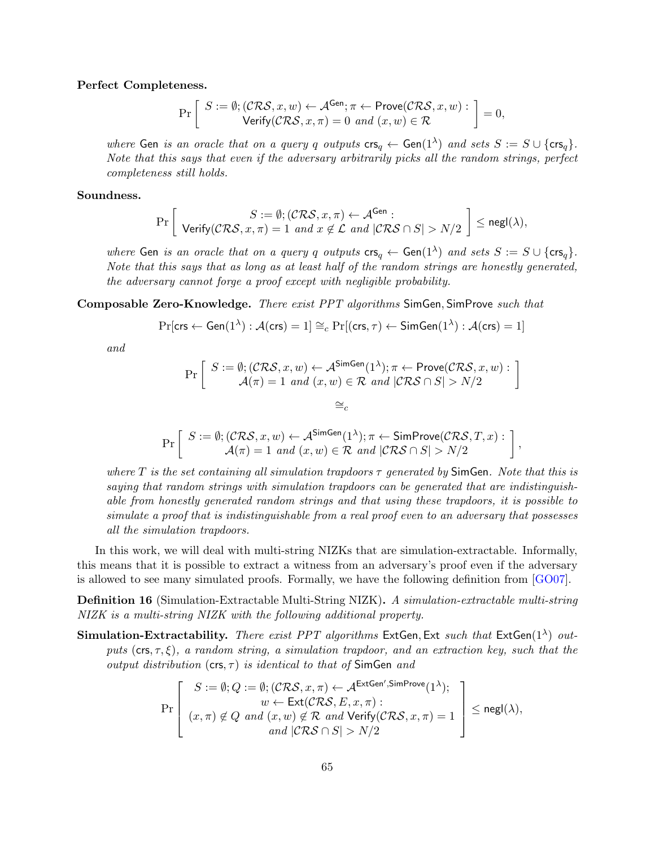Perfect Completeness.

$$
\Pr\left[\begin{array}{l} S := \emptyset; (\mathcal{CRS}, x, w) \leftarrow \mathcal{A}^{\mathsf{Gen}}; \pi \leftarrow \mathsf{Prove}(\mathcal{CRS}, x, w) : \\ \mathsf{Verify}(\mathcal{CRS}, x, \pi) = 0 \text{ and } (x, w) \in \mathcal{R} \end{array}\right] = 0,
$$

where Gen is an oracle that on a query q outputs  $\text{crs}_q \leftarrow \text{Gen}(1^{\lambda})$  and sets  $S := S \cup \{\text{crs}_q\}.$ Note that this says that even if the adversary arbitrarily picks all the random strings, perfect completeness still holds.

Soundness.

$$
\Pr\left[\begin{array}{c}S:=\emptyset;(\mathcal{CRS},x,\pi)\leftarrow\mathcal{A}^\mathsf{Gen}:\\\mathsf{Verify}(\mathcal{CRS},x,\pi)=1\;\,and\;x\not\in\mathcal{L}\;\,and\,|\mathcal{CRS}\cap S|>N/2\end{array}\right]\leq \mathsf{negl}(\lambda),
$$

where Gen is an oracle that on a query q outputs  $\text{crs}_q \leftarrow \text{Gen}(1^{\lambda})$  and sets  $S := S \cup \{\text{crs}_q\}.$ Note that this says that as long as at least half of the random strings are honestly generated, the adversary cannot forge a proof except with negligible probability.

Composable Zero-Knowledge. There exist PPT algorithms SimGen, SimProve such that

$$
\Pr[\mathsf{crs} \gets \mathsf{Gen}(1^\lambda): \mathcal{A}(\mathsf{crs}) = 1] \cong_c \Pr[(\mathsf{crs}, \tau) \gets \mathsf{SimGen}(1^\lambda): \mathcal{A}(\mathsf{crs}) = 1]
$$

and

$$
\Pr\left[\begin{array}{c} S := \emptyset; (\mathcal{CRS}, x, w) \leftarrow \mathcal{A}^{\mathsf{SimGen}}(1^{\lambda}); \pi \leftarrow \mathsf{Prove}(\mathcal{CRS}, x, w): \\ \mathcal{A}(\pi) = 1 \ \text{and} \ (x, w) \in \mathcal{R} \ \text{and} \ |\mathcal{CRS} \cap S| > N/2 \end{array}\right]\right]
$$

$$
\Pr\left[\begin{array}{l} S := \emptyset; (\mathcal{CRS}, x, w) \leftarrow \mathcal{A}^{\mathsf{SimGen}}(1^{\lambda}); \pi \leftarrow \mathsf{SimProve}(\mathcal{CRS}, T, x) : \\ \mathcal{A}(\pi) = 1 \ \textit{and} \ (x, w) \in \mathcal{R} \ \textit{and} \ |\mathcal{CRS} \cap S| > N/2 \end{array}\right],
$$

 $\cong_c$ 

where T is the set containing all simulation trapdoors  $\tau$  generated by SimGen. Note that this is saying that random strings with simulation trapdoors can be generated that are indistinguishable from honestly generated random strings and that using these trapdoors, it is possible to simulate a proof that is indistinguishable from a real proof even to an adversary that possesses all the simulation trapdoors.

In this work, we will deal with multi-string NIZKs that are simulation-extractable. Informally, this means that it is possible to extract a witness from an adversary's proof even if the adversary is allowed to see many simulated proofs. Formally, we have the following definition from [\[GO07\]](#page-55-0).

Definition 16 (Simulation-Extractable Multi-String NIZK). A simulation-extractable multi-string NIZK is a multi-string NIZK with the following additional property.

Simulation-Extractability. There exist PPT algorithms ExtGen, Ext such that ExtGen( $1^{\lambda}$ ) outputs (crs,  $\tau$ ,  $\xi$ ), a random string, a simulation trapdoor, and an extraction key, such that the output distribution (crs,  $\tau$ ) is identical to that of SimGen and

$$
\Pr\left[\begin{array}{c} S:=\emptyset; Q:=\emptyset; (\mathcal{CRS}, x, \pi) \leftarrow \mathcal{A}^{\mathrm{ExtGen}',\mathrm{SimProve}}(1^{\lambda}); \\ w \leftarrow \mathrm{Ext}(\mathcal{CRS}, E, x, \pi): \\ (x, \pi) \not\in Q \ \ and \ (x, w) \not\in \mathcal{R} \ \ and \ \mathrm{Verify}(\mathcal{CRS}, x, \pi)=1 \\ \ \ and \ |\mathcal{CRS} \cap S| > N/2 \end{array}\right] \leq \mathrm{negl}(\lambda),
$$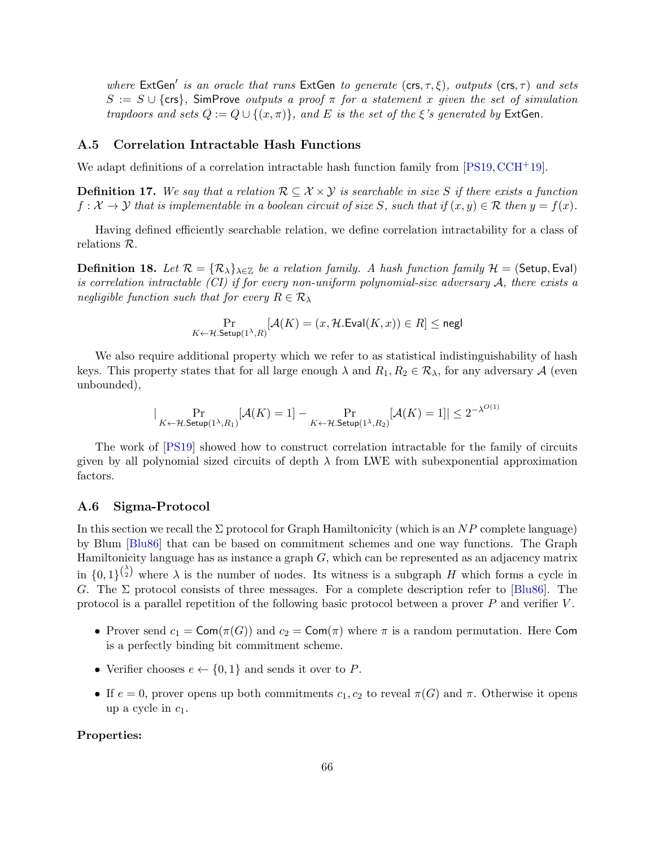where ExtGen' is an oracle that runs ExtGen to generate (crs,  $\tau$ ,  $\xi$ ), outputs (crs,  $\tau$ ) and sets  $S := S \cup \{\text{crs}\}\$ , SimProve outputs a proof  $\pi$  for a statement x given the set of simulation trapdoors and sets  $Q := Q \cup \{(x, \pi)\}\$ , and E is the set of the  $\xi$ 's generated by ExtGen.

#### <span id="page-65-1"></span>A.5 Correlation Intractable Hash Functions

We adapt definitions of a correlation intractable hash function family from [\[PS19,](#page-57-1) [CCH](#page-53-2)+19].

**Definition 17.** We say that a relation  $\mathcal{R} \subseteq \mathcal{X} \times \mathcal{Y}$  is searchable in size S if there exists a function  $f: \mathcal{X} \to \mathcal{Y}$  that is implementable in a boolean circuit of size S, such that if  $(x, y) \in \mathcal{R}$  then  $y = f(x)$ .

Having defined efficiently searchable relation, we define correlation intractability for a class of relations R.

**Definition 18.** Let  $\mathcal{R} = {\mathcal{R}}_{\lambda}$ ,  $\lambda \in \mathbb{Z}$  be a relation family. A hash function family  $\mathcal{H} =$  (Setup, Eval) is correlation intractable  $(CI)$  if for every non-uniform polynomial-size adversary  $A$ , there exists a negligible function such that for every  $R \in \mathcal{R}_{\lambda}$ 

$$
\Pr_{K \leftarrow \mathcal{H}.\mathsf{Setup}(1^\lambda,R)}[\mathcal{A}(K) = (x, \mathcal{H}.\mathsf{Eval}(K,x)) \in R] \leq \mathsf{negl}
$$

We also require additional property which we refer to as statistical indistinguishability of hash keys. This property states that for all large enough  $\lambda$  and  $R_1, R_2 \in \mathcal{R}_{\lambda}$ , for any adversary  $\mathcal{A}$  (even unbounded),

$$
|\Pr_{K \leftarrow \mathcal{H}.\mathsf{Setup}(1^{\lambda}, R_1)}[\mathcal{A}(K) = 1] - \Pr_{K \leftarrow \mathcal{H}.\mathsf{Setup}(1^{\lambda}, R_2)}[\mathcal{A}(K) = 1]| \leq 2^{-\lambda^{O(1)}}
$$

The work of [\[PS19\]](#page-57-1) showed how to construct correlation intractable for the family of circuits given by all polynomial sized circuits of depth  $\lambda$  from LWE with subexponential approximation factors.

#### <span id="page-65-0"></span>A.6 Sigma-Protocol

In this section we recall the  $\Sigma$  protocol for Graph Hamiltonicity (which is an NP complete language) by Blum [\[Blu86\]](#page-53-3) that can be based on commitment schemes and one way functions. The Graph Hamiltonicity language has as instance a graph  $G$ , which can be represented as an adjacency matrix in  $\{0,1\}^{(\lambda)}$  where  $\lambda$  is the number of nodes. Its witness is a subgraph H which forms a cycle in G. The  $\Sigma$  protocol consists of three messages. For a complete description refer to [\[Blu86\]](#page-53-3). The protocol is a parallel repetition of the following basic protocol between a prover  $P$  and verifier  $V$ .

- Prover send  $c_1 = \text{Com}(\pi(G))$  and  $c_2 = \text{Com}(\pi)$  where  $\pi$  is a random permutation. Here Com is a perfectly binding bit commitment scheme.
- Verifier chooses  $e \leftarrow \{0, 1\}$  and sends it over to P.
- If  $e = 0$ , prover opens up both commitments  $c_1, c_2$  to reveal  $\pi(G)$  and  $\pi$ . Otherwise it opens up a cycle in  $c_1$ .

### Properties: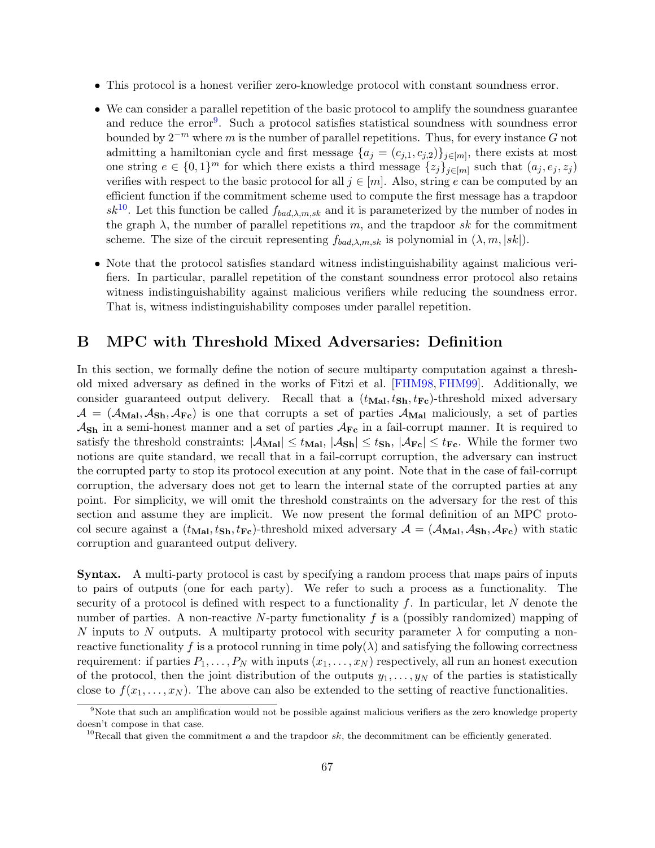- This protocol is a honest verifier zero-knowledge protocol with constant soundness error.
- We can consider a parallel repetition of the basic protocol to amplify the soundness guarantee and reduce the error<sup>[9](#page-0-0)</sup>. Such a protocol satisfies statistical soundness with soundness error bounded by  $2^{-m}$  where m is the number of parallel repetitions. Thus, for every instance G not admitting a hamiltonian cycle and first message  $\{a_j = (c_{j,1}, c_{j,2})\}_{j \in [m]}$ , there exists at most one string  $e \in \{0,1\}^m$  for which there exists a third message  $\{z_j\}_{j\in[m]}$  such that  $(a_j, e_j, z_j)$ verifies with respect to the basic protocol for all  $j \in [m]$ . Also, string e can be computed by an efficient function if the commitment scheme used to compute the first message has a trapdoor  $sk^{10}$  $sk^{10}$  $sk^{10}$ . Let this function be called  $f_{bad,\lambda,m,sk}$  and it is parameterized by the number of nodes in the graph  $\lambda$ , the number of parallel repetitions m, and the trapdoor sk for the commitment scheme. The size of the circuit representing  $f_{bad,\lambda,msk}$  is polynomial in  $(\lambda, m, |sk|)$ .
- Note that the protocol satisfies standard witness indistinguishability against malicious verifiers. In particular, parallel repetition of the constant soundness error protocol also retains witness indistinguishability against malicious verifiers while reducing the soundness error. That is, witness indistinguishability composes under parallel repetition.

## B MPC with Threshold Mixed Adversaries: Definition

In this section, we formally define the notion of secure multiparty computation against a threshold mixed adversary as defined in the works of Fitzi et al. [\[FHM98,](#page-54-0) [FHM99\]](#page-54-1). Additionally, we consider guaranteed output delivery. Recall that a  $(t_{\text{Mal}}, t_{\text{Sh}}, t_{\text{Fe}})$ -threshold mixed adversary  $A = (A_{\text{Mal}}, A_{\text{Sh}}, A_{\text{Fc}})$  is one that corrupts a set of parties  $A_{\text{Mal}}$  maliciously, a set of parties  $\mathcal{A}_{\text{Sh}}$  in a semi-honest manner and a set of parties  $\mathcal{A}_{\text{Fc}}$  in a fail-corrupt manner. It is required to satisfy the threshold constraints:  $|\mathcal{A}_{\text{Mal}}| \le t_{\text{Mal}}$ ,  $|\mathcal{A}_{\text{Sh}}| \le t_{\text{Sh}}$ ,  $|\mathcal{A}_{\text{Fc}}| \le t_{\text{Fc}}$ . While the former two notions are quite standard, we recall that in a fail-corrupt corruption, the adversary can instruct the corrupted party to stop its protocol execution at any point. Note that in the case of fail-corrupt corruption, the adversary does not get to learn the internal state of the corrupted parties at any point. For simplicity, we will omit the threshold constraints on the adversary for the rest of this section and assume they are implicit. We now present the formal definition of an MPC protocol secure against a  $(t_{\text{Mal}}, t_{\text{Sh}}, t_{\text{Fc}})$ -threshold mixed adversary  $A = (A_{\text{Mal}}, A_{\text{Sh}}, A_{\text{Fc}})$  with static corruption and guaranteed output delivery.

Syntax. A multi-party protocol is cast by specifying a random process that maps pairs of inputs to pairs of outputs (one for each party). We refer to such a process as a functionality. The security of a protocol is defined with respect to a functionality f. In particular, let  $N$  denote the number of parties. A non-reactive  $N$ -party functionality  $f$  is a (possibly randomized) mapping of N inputs to N outputs. A multiparty protocol with security parameter  $\lambda$  for computing a nonreactive functionality f is a protocol running in time  $poly(\lambda)$  and satisfying the following correctness requirement: if parties  $P_1, \ldots, P_N$  with inputs  $(x_1, \ldots, x_N)$  respectively, all run an honest execution of the protocol, then the joint distribution of the outputs  $y_1, \ldots, y_N$  of the parties is statistically close to  $f(x_1, \ldots, x_N)$ . The above can also be extended to the setting of reactive functionalities.

<sup>9</sup>Note that such an amplification would not be possible against malicious verifiers as the zero knowledge property doesn't compose in that case.

<sup>&</sup>lt;sup>10</sup>Recall that given the commitment a and the trapdoor sk, the decommitment can be efficiently generated.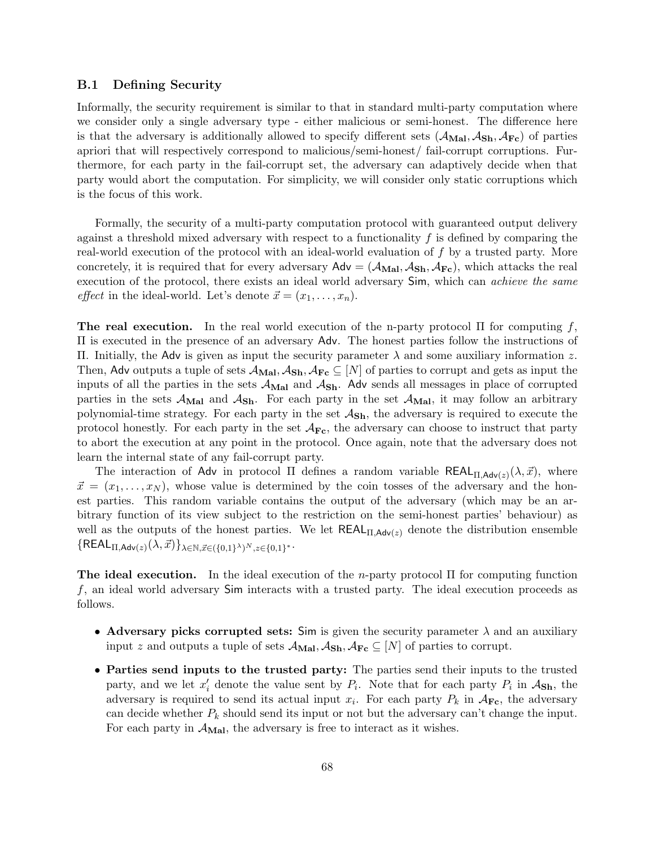### B.1 Defining Security

Informally, the security requirement is similar to that in standard multi-party computation where we consider only a single adversary type - either malicious or semi-honest. The difference here is that the adversary is additionally allowed to specify different sets  $(A_{\text{Mal}}, A_{\text{Sh}}, A_{\text{Fc}})$  of parties apriori that will respectively correspond to malicious/semi-honest/ fail-corrupt corruptions. Furthermore, for each party in the fail-corrupt set, the adversary can adaptively decide when that party would abort the computation. For simplicity, we will consider only static corruptions which is the focus of this work.

Formally, the security of a multi-party computation protocol with guaranteed output delivery against a threshold mixed adversary with respect to a functionality  $f$  is defined by comparing the real-world execution of the protocol with an ideal-world evaluation of f by a trusted party. More concretely, it is required that for every adversary  $\mathsf{Adv} = (\mathcal{A}_{\mathbf{Mal}}, \mathcal{A}_{\mathbf{Sh}}, \mathcal{A}_{\mathbf{Fc}})$ , which attacks the real execution of the protocol, there exists an ideal world adversary Sim, which can *achieve the same* effect in the ideal-world. Let's denote  $\vec{x} = (x_1, \ldots, x_n)$ .

The real execution. In the real world execution of the n-party protocol  $\Pi$  for computing f, Π is executed in the presence of an adversary Adv. The honest parties follow the instructions of Π. Initially, the Adv is given as input the security parameter λ and some auxiliary information z. Then, Adv outputs a tuple of sets  $\mathcal{A}_{\text{Mal}}, \mathcal{A}_{\text{Sh}}, \mathcal{A}_{\text{Fc}} \subseteq [N]$  of parties to corrupt and gets as input the inputs of all the parties in the sets  $\mathcal{A}_{\text{Mal}}$  and  $\mathcal{A}_{\text{Sh}}$ . Adv sends all messages in place of corrupted parties in the sets  $A_{\text{Mal}}$  and  $A_{\text{Sh}}$ . For each party in the set  $A_{\text{Mal}}$ , it may follow an arbitrary polynomial-time strategy. For each party in the set  $A_{\rm Sh}$ , the adversary is required to execute the protocol honestly. For each party in the set  $A_{\text{Fc}}$ , the adversary can choose to instruct that party to abort the execution at any point in the protocol. Once again, note that the adversary does not learn the internal state of any fail-corrupt party.

The interaction of Adv in protocol  $\Pi$  defines a random variable  $REAL_{\Pi, Adv(z)}(\lambda, \vec{x})$ , where  $\vec{x} = (x_1, \ldots, x_N)$ , whose value is determined by the coin tosses of the adversary and the honest parties. This random variable contains the output of the adversary (which may be an arbitrary function of its view subject to the restriction on the semi-honest parties' behaviour) as well as the outputs of the honest parties. We let  $REAL_{\Pi, Adv(z)}$  denote the distribution ensemble  $\{REAL_{\Pi,\text{Adv}(z)}(\lambda, \vec{x})\}_{\lambda \in \mathbb{N}, \vec{x} \in (\{0,1\}^{\lambda})^N, z \in \{0,1\}^*}$ 

**The ideal execution.** In the ideal execution of the *n*-party protocol  $\Pi$  for computing function f, an ideal world adversary Sim interacts with a trusted party. The ideal execution proceeds as follows.

- Adversary picks corrupted sets: Sim is given the security parameter  $\lambda$  and an auxiliary input z and outputs a tuple of sets  $\mathcal{A}_{\text{Mal}}, \mathcal{A}_{\text{Sh}}, \mathcal{A}_{\text{Fc}} \subseteq [N]$  of parties to corrupt.
- Parties send inputs to the trusted party: The parties send their inputs to the trusted party, and we let  $x'_i$  denote the value sent by  $P_i$ . Note that for each party  $P_i$  in  $\mathcal{A}_{\mathbf{Sh}}$ , the adversary is required to send its actual input  $x_i$ . For each party  $P_k$  in  $A_{\text{Fc}}$ , the adversary can decide whether  $P_k$  should send its input or not but the adversary can't change the input. For each party in  $\mathcal{A}_{\text{Mal}}$ , the adversary is free to interact as it wishes.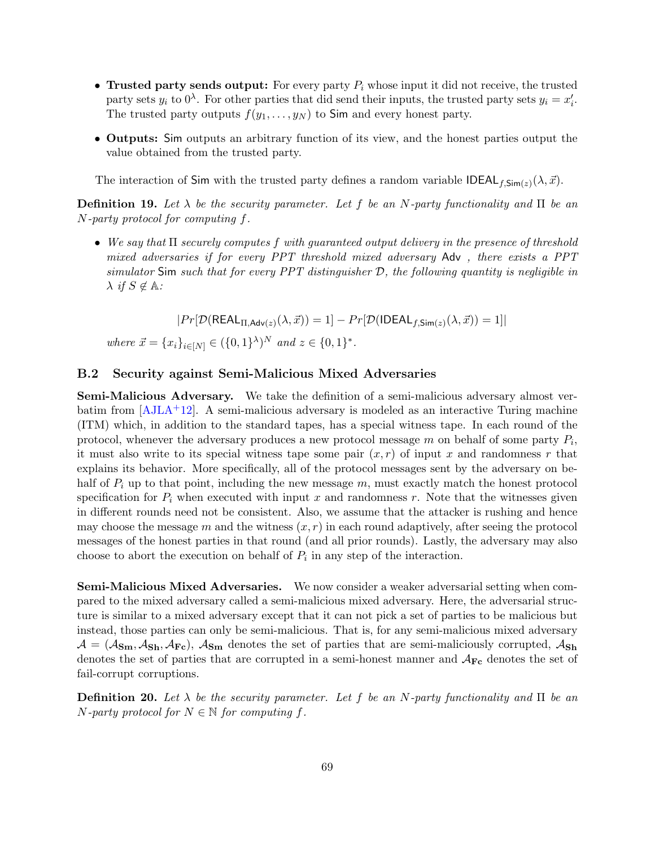- Trusted party sends output: For every party  $P_i$  whose input it did not receive, the trusted party sets  $y_i$  to  $0^{\lambda}$ . For other parties that did send their inputs, the trusted party sets  $y_i = x'_i$ . The trusted party outputs  $f(y_1, \ldots, y_N)$  to Sim and every honest party.
- Outputs: Sim outputs an arbitrary function of its view, and the honest parties output the value obtained from the trusted party.

The interaction of Sim with the trusted party defines a random variable IDEAL $_{f,\text{Sim}(z)}(\lambda, \vec{x})$ .

**Definition 19.** Let  $\lambda$  be the security parameter. Let f be an N-party functionality and  $\Pi$  be an N-party protocol for computing f.

• We say that  $\Pi$  securely computes f with quaranteed output delivery in the presence of threshold mixed adversaries if for every PPT threshold mixed adversary Adv , there exists a PPT simulator  $\mathsf{Sim}$  such that for every PPT distinguisher  $\mathcal{D}$ , the following quantity is negligible in  $\lambda$  if  $S \notin \mathbb{A}$ :

 $|Pr[\mathcal{D}(\mathsf{REAL}_{\Pi,\mathsf{Adv}(z)}(\lambda,\vec{x})) = 1] - Pr[\mathcal{D}(\mathsf{IDEAL}_{f,\mathsf{Sim}(z)}(\lambda,\vec{x})) = 1]|$ where  $\vec{x} = \{x_i\}_{i \in [N]} \in (\{0,1\}^{\lambda})^N$  and  $z \in \{0,1\}^*$ .

#### B.2 Security against Semi-Malicious Mixed Adversaries

Semi-Malicious Adversary. We take the definition of a semi-malicious adversary almost verbatim from  $[AJLA+12]$  $[AJLA+12]$ . A semi-malicious adversary is modeled as an interactive Turing machine (ITM) which, in addition to the standard tapes, has a special witness tape. In each round of the protocol, whenever the adversary produces a new protocol message  $m$  on behalf of some party  $P_i$ , it must also write to its special witness tape some pair  $(x, r)$  of input x and randomness r that explains its behavior. More specifically, all of the protocol messages sent by the adversary on behalf of  $P_i$  up to that point, including the new message  $m$ , must exactly match the honest protocol specification for  $P_i$  when executed with input x and randomness r. Note that the witnesses given in different rounds need not be consistent. Also, we assume that the attacker is rushing and hence may choose the message m and the witness  $(x, r)$  in each round adaptively, after seeing the protocol messages of the honest parties in that round (and all prior rounds). Lastly, the adversary may also choose to abort the execution on behalf of  $P_i$  in any step of the interaction.

Semi-Malicious Mixed Adversaries. We now consider a weaker adversarial setting when compared to the mixed adversary called a semi-malicious mixed adversary. Here, the adversarial structure is similar to a mixed adversary except that it can not pick a set of parties to be malicious but instead, those parties can only be semi-malicious. That is, for any semi-malicious mixed adversary  $A = (A_{\rm Sm}, A_{\rm Sh}, A_{\rm Fe})$ ,  $A_{\rm Sm}$  denotes the set of parties that are semi-maliciously corrupted,  $A_{\rm Sh}$ denotes the set of parties that are corrupted in a semi-honest manner and  $A_{\text{Fc}}$  denotes the set of fail-corrupt corruptions.

**Definition 20.** Let  $\lambda$  be the security parameter. Let f be an N-party functionality and  $\Pi$  be an N-party protocol for  $N \in \mathbb{N}$  for computing f.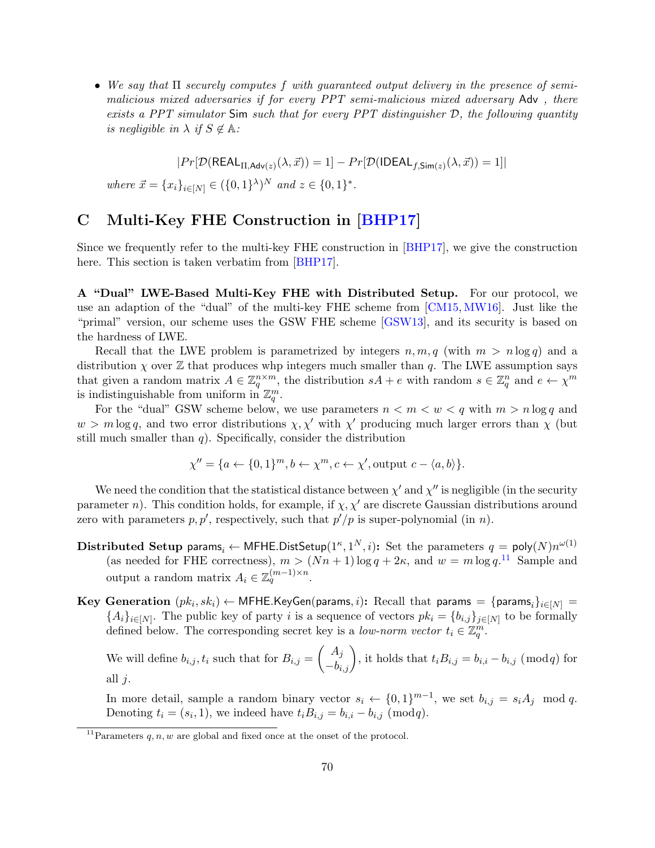• We say that  $\Pi$  securely computes f with guaranteed output delivery in the presence of semimalicious mixed adversaries if for every PPT semi-malicious mixed adversary Adv, there exists a PPT simulator Sim such that for every PPT distinguisher  $D$ , the following quantity is negligible in  $\lambda$  if  $S \notin \mathbb{A}$ :

$$
|Pr[\mathcal{D}(\mathsf{REAL}_{\Pi, \mathsf{Adv}(z)}(\lambda, \vec{x})) = 1] - Pr[\mathcal{D}(\mathsf{IDEAL}_{f, \mathsf{Sim}(z)}(\lambda, \vec{x})) = 1]|
$$
  
where  $\vec{x} = \{x_i\}_{i \in [N]} \in (\{0, 1\}^{\lambda})^N$  and  $z \in \{0, 1\}^*$ .

## C Multi-Key FHE Construction in [\[BHP17\]](#page-53-0)

Since we frequently refer to the multi-key FHE construction in [\[BHP17\]](#page-53-0), we give the construction here. This section is taken verbatim from [\[BHP17\]](#page-53-0).

A "Dual" LWE-Based Multi-Key FHE with Distributed Setup. For our protocol, we use an adaption of the "dual" of the multi-key FHE scheme from [\[CM15,](#page-54-2) [MW16\]](#page-56-1). Just like the "primal" version, our scheme uses the GSW FHE scheme [\[GSW13\]](#page-55-1), and its security is based on the hardness of LWE.

Recall that the LWE problem is parametrized by integers  $n, m, q$  (with  $m > n \log q$ ) and a distribution  $\chi$  over  $\mathbb Z$  that produces whp integers much smaller than q. The LWE assumption says that given a random matrix  $A \in \mathbb{Z}_q^{n \times m}$ , the distribution  $sA + e$  with random  $s \in \mathbb{Z}_q^n$  and  $e \leftarrow \chi^m$ is indistinguishable from uniform in  $\mathbb{Z}_q^m$ .

For the "dual" GSW scheme below, we use parameters  $n < m < w < q$  with  $m > n \log q$  and  $w > m \log q$ , and two error distributions  $\chi, \chi'$  with  $\chi'$  producing much larger errors than  $\chi$  (but still much smaller than  $q$ ). Specifically, consider the distribution

$$
\chi'' = \{a \leftarrow \{0, 1\}^m, b \leftarrow \chi^m, c \leftarrow \chi', \text{output } c - \langle a, b \rangle\}.
$$

We need the condition that the statistical distance between  $\chi'$  and  $\chi''$  is negligible (in the security parameter n). This condition holds, for example, if  $\chi, \chi'$  are discrete Gaussian distributions around zero with parameters  $p, p'$ , respectively, such that  $p'/p$  is super-polynomial (in n).

- ${\rm \bf Distributed\ Setup\ params}_i \leftarrow {\sf MFHE.DistSetup}(1^{\kappa},1^N,i)\colon {\rm Set\ the\ parameters\ } q={\sf poly}(N)n^{\omega(1)}$ (as needed for FHE correctness),  $m > (Nn + 1) \log q + 2\kappa$ , and  $w = m \log q$ .<sup>[11](#page-0-0)</sup> Sample and output a random matrix  $A_i \in \mathbb{Z}_q^{(m-1)\times n}$ .
- ${\rm\bf Key\,\, Generation}\,\, (pk_i, sk_i) \leftarrow$  MFHE.KeyGen(params,  $i$ ):  ${\rm Recall\,\, that\,\,params} \, = \, \{{\rm params}_i\}_{i \in [N]} \, =$  ${A_i}_{i\in[N]}$ . The public key of party i is a sequence of vectors  $pk_i = {b_{i,j}}_{j\in[N]}$  to be formally defined below. The corresponding secret key is a *low-norm vector*  $t_i \in \mathbb{Z}_q^m$ .

We will define  $b_{i,j}$ ,  $t_i$  such that for  $B_{i,j} = \begin{pmatrix} A_j \\ -b_{i,j} \end{pmatrix}$ , it holds that  $t_i B_{i,j} = b_{i,i} - b_{i,j} \pmod{q}$  for all  $i$ .

In more detail, sample a random binary vector  $s_i \leftarrow \{0,1\}^{m-1}$ , we set  $b_{i,j} = s_i A_j \mod q$ . Denoting  $t_i = (s_i, 1)$ , we indeed have  $t_i B_{i,j} = b_{i,i} - b_{i,j} \pmod{q}$ .

<sup>&</sup>lt;sup>11</sup>Parameters  $q, n, w$  are global and fixed once at the onset of the protocol.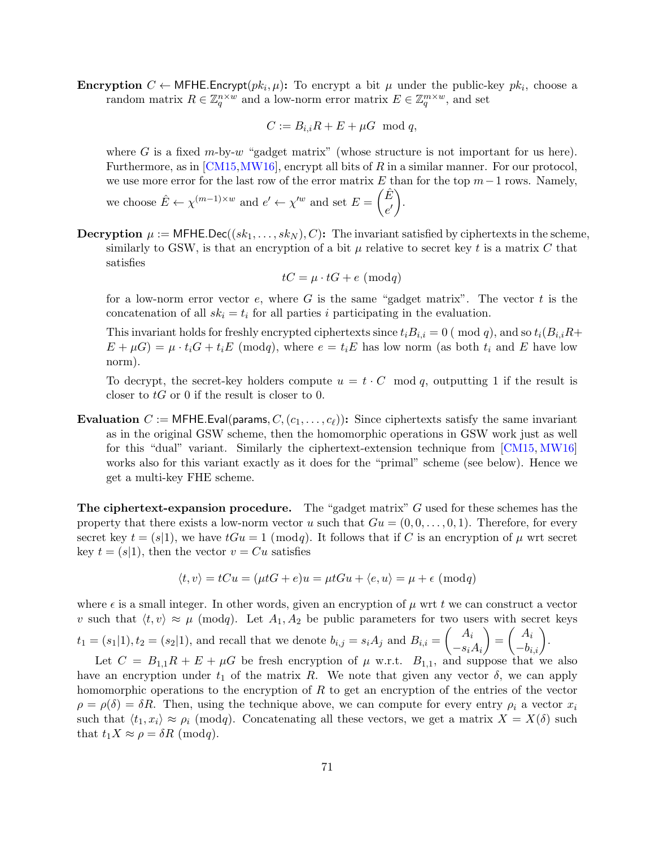**Encryption**  $C \leftarrow \textsf{MFHE}$ . Encrypt $(pk_i, \mu)$ : To encrypt a bit  $\mu$  under the public-key  $pk_i$ , choose a random matrix  $R \in \mathbb{Z}_q^{n \times w}$  and a low-norm error matrix  $E \in \mathbb{Z}_q^{m \times w}$ , and set

$$
C := B_{i,i}R + E + \mu G \mod q,
$$

where G is a fixed  $m$ -by-w "gadget matrix" (whose structure is not important for us here). Furthermore, as in [\[CM15,](#page-54-2) [MW16\]](#page-56-1), encrypt all bits of R in a similar manner. For our protocol, we use more error for the last row of the error matrix E than for the top  $m-1$  rows. Namely, we choose  $\hat{E} \leftarrow \chi^{(m-1)\times w}$  and  $e' \leftarrow \chi'^w$  and set  $E = \begin{pmatrix} \hat{E}_1 \\ h_2 \end{pmatrix}$  $e'$ .

**Decryption**  $\mu := \mathsf{MFHE}.\mathsf{Dec}((sk_1,\ldots, sk_N), C)$ : The invariant satisfied by ciphertexts in the scheme, similarly to GSW, is that an encryption of a bit  $\mu$  relative to secret key t is a matrix C that satisfies

$$
tC = \mu \cdot tG + e \pmod{q}
$$

for a low-norm error vector  $e$ , where  $G$  is the same "gadget matrix". The vector  $t$  is the concatenation of all  $sk_i = t_i$  for all parties i participating in the evaluation.

This invariant holds for freshly encrypted ciphertexts since  $t_iB_{i,i} = 0$  (mod q), and so  $t_i(B_{i,i}R+)$  $E + \mu G = \mu \cdot t_i G + t_i E \pmod{q}$ , where  $e = t_i E$  has low norm (as both  $t_i$  and E have low norm).

To decrypt, the secret-key holders compute  $u = t \cdot C \mod q$ , outputting 1 if the result is closer to  $tG$  or 0 if the result is closer to 0.

Evaluation  $C := \mathsf{MFHE}$ . Evaluation  $C$ ,  $(c_1, \ldots, c_\ell)$ : Since ciphertexts satisfy the same invariant as in the original GSW scheme, then the homomorphic operations in GSW work just as well for this "dual" variant. Similarly the ciphertext-extension technique from [\[CM15,](#page-54-2) [MW16\]](#page-56-1) works also for this variant exactly as it does for the "primal" scheme (see below). Hence we get a multi-key FHE scheme.

The ciphertext-expansion procedure. The "gadget matrix" G used for these schemes has the property that there exists a low-norm vector u such that  $Gu = (0, 0, \ldots, 0, 1)$ . Therefore, for every secret key  $t = (s|1)$ , we have  $tGu = 1 \pmod{q}$ . It follows that if C is an encryption of  $\mu$  wrt secret key  $t = (s|1)$ , then the vector  $v = Cu$  satisfies

$$
\langle t, v \rangle = tCu = (\mu tG + e)u = \mu tGu + \langle e, u \rangle = \mu + \epsilon \pmod{q}
$$

where  $\epsilon$  is a small integer. In other words, given an encryption of  $\mu$  wrt t we can construct a vector v such that  $\langle t, v \rangle \approx \mu$  (modq). Let  $A_1, A_2$  be public parameters for two users with secret keys  $t_1 = (s_1|1), t_2 = (s_2|1),$  and recall that we denote  $b_{i,j} = s_i A_j$  and  $B_{i,i} = \begin{pmatrix} A_i \\ A_j \end{pmatrix}$  $-s_iA_i$  $\bigg) = \begin{pmatrix} A_i \ -b_{i,i} \end{pmatrix}.$ 

Let  $C = B_{1,1}R + E + \mu G$  be fresh encryption of  $\mu$  w.r.t.  $B_{1,1}$ , and suppose that we also have an encryption under  $t_1$  of the matrix R. We note that given any vector  $\delta$ , we can apply homomorphic operations to the encryption of R to get an encryption of the entries of the vector  $\rho = \rho(\delta) = \delta R$ . Then, using the technique above, we can compute for every entry  $\rho_i$  a vector  $x_i$ such that  $\langle t_1, x_i \rangle \approx \rho_i \pmod{q}$ . Concatenating all these vectors, we get a matrix  $X = X(\delta)$  such that  $t_1X \approx \rho = \delta R \pmod{q}$ .